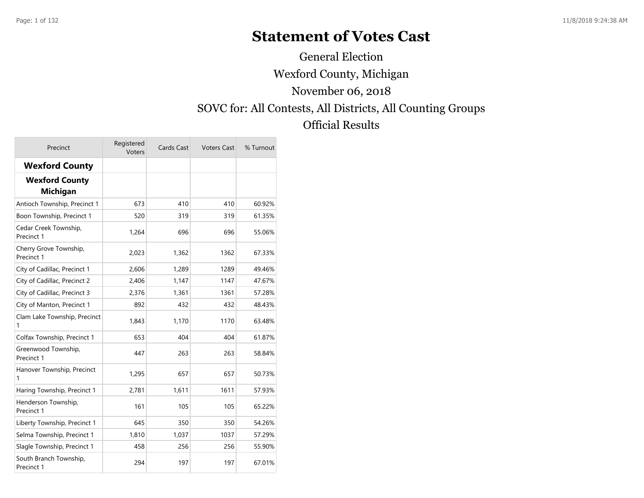# **Statement of Votes Cast**

Wexford County, Michigan SOVC for: All Contests, All Districts, All Counting Groups Official Results November 06, 2018 General Election

| Precinct                                 | Registered<br>Voters | Cards Cast | <b>Voters Cast</b> | % Turnout |
|------------------------------------------|----------------------|------------|--------------------|-----------|
| <b>Wexford County</b>                    |                      |            |                    |           |
| <b>Wexford County</b><br><b>Michigan</b> |                      |            |                    |           |
| Antioch Township, Precinct 1             | 673                  | 410        | 410                | 60.92%    |
| Boon Township, Precinct 1                | 520                  | 319        | 319                | 61.35%    |
| Cedar Creek Township,<br>Precinct 1      | 1.264                | 696        | 696                | 55.06%    |
| Cherry Grove Township,<br>Precinct 1     | 2,023                | 1,362      | 1362               | 67.33%    |
| City of Cadillac, Precinct 1             | 2,606                | 1,289      | 1289               | 49.46%    |
| City of Cadillac, Precinct 2             | 2,406                | 1,147      | 1147               | 47.67%    |
| City of Cadillac, Precinct 3             | 2,376                | 1,361      | 1361               | 57.28%    |
| City of Manton, Precinct 1               | 892                  | 432        | 432                | 48.43%    |
| Clam Lake Township, Precinct<br>1        | 1,843                | 1,170      | 1170               | 63.48%    |
| Colfax Township, Precinct 1              | 653                  | 404        | 404                | 61.87%    |
| Greenwood Township,<br>Precinct 1        | 447                  | 263        | 263                | 58.84%    |
| Hanover Township, Precinct<br>1          | 1,295                | 657        | 657                | 50.73%    |
| Haring Township, Precinct 1              | 2,781                | 1,611      | 1611               | 57.93%    |
| Henderson Township,<br>Precinct 1        | 161                  | 105        | 105                | 65.22%    |
| Liberty Township, Precinct 1             | 645                  | 350        | 350                | 54.26%    |
| Selma Township, Precinct 1               | 1,810                | 1,037      | 1037               | 57.29%    |
| Slagle Township, Precinct 1              | 458                  | 256        | 256                | 55.90%    |
| South Branch Township,<br>Precinct 1     | 294                  | 197        | 197                | 67.01%    |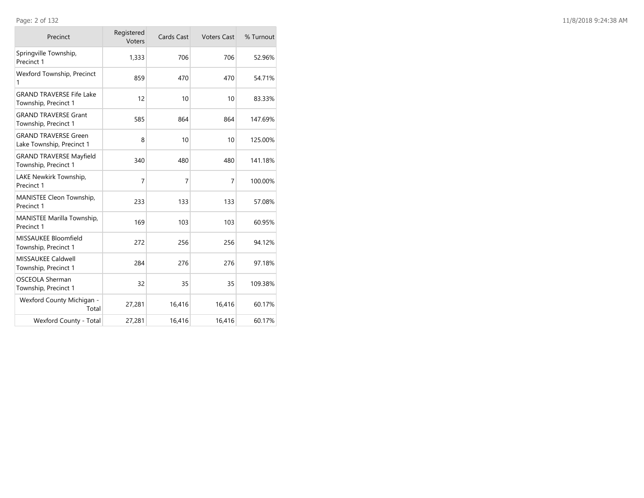| Precinct                                                 | Registered<br>Voters | Cards Cast | <b>Voters Cast</b> | % Turnout |
|----------------------------------------------------------|----------------------|------------|--------------------|-----------|
| Springville Township,<br>Precinct 1                      | 1,333                | 706        | 706                | 52.96%    |
| Wexford Township, Precinct<br>1                          | 859                  | 470        | 470                | 54.71%    |
| <b>GRAND TRAVERSE Fife Lake</b><br>Township, Precinct 1  | 12                   | 10         | 10                 | 83.33%    |
| <b>GRAND TRAVERSE Grant</b><br>Township, Precinct 1      | 585                  | 864        | 864                | 147.69%   |
| <b>GRAND TRAVERSE Green</b><br>Lake Township, Precinct 1 | 8                    | 10         | 10                 | 125.00%   |
| <b>GRAND TRAVERSE Mayfield</b><br>Township, Precinct 1   | 340                  | 480        | 480                | 141.18%   |
| LAKE Newkirk Township,<br>Precinct 1                     | $\overline{7}$       | 7          | $\overline{7}$     | 100.00%   |
| MANISTEE Cleon Township,<br>Precinct 1                   | 233                  | 133        | 133                | 57.08%    |
| MANISTEE Marilla Township,<br>Precinct 1                 | 169                  | 103        | 103                | 60.95%    |
| MISSAUKEE Bloomfield<br>Township, Precinct 1             | 272                  | 256        | 256                | 94.12%    |
| <b>MISSAUKEE Caldwell</b><br>Township, Precinct 1        | 284                  | 276        | 276                | 97.18%    |
| OSCEOLA Sherman<br>Township, Precinct 1                  | 32                   | 35         | 35                 | 109.38%   |
| Wexford County Michigan -<br>Total                       | 27,281               | 16,416     | 16,416             | 60.17%    |
| Wexford County - Total                                   | 27,281               | 16,416     | 16,416             | 60.17%    |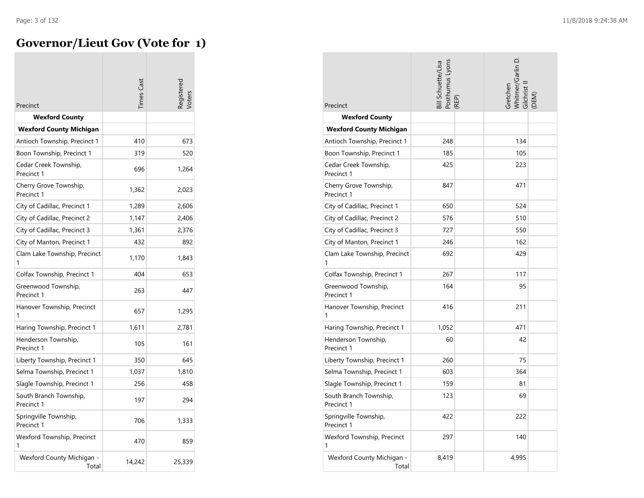## **Governor/Lieut Gov (Vote for 1)**

| Precinct                                                | imes Cast | eqistere |
|---------------------------------------------------------|-----------|----------|
|                                                         |           |          |
| <b>Wexford County</b><br><b>Wexford County Michigan</b> |           |          |
| Antioch Township, Precinct 1                            | 410       | 673      |
| Boon Township, Precinct 1                               | 319       | 520      |
| Cedar Creek Township,<br>Precinct 1                     | 696       | 1,264    |
| Cherry Grove Township,<br>Precinct 1                    | 1,362     | 2,023    |
| City of Cadillac, Precinct 1                            | 1,289     | 2,606    |
| City of Cadillac, Precinct 2                            | 1,147     | 2,406    |
| City of Cadillac, Precinct 3                            | 1,361     | 2,376    |
| City of Manton, Precinct 1                              | 432       | 892      |
| Clam Lake Township, Precinct<br>1                       | 1,170     | 1,843    |
| Colfax Township, Precinct 1                             | 404       | 653      |
| Greenwood Township,<br>Precinct 1                       | 263       | 447      |
| Hanover Township, Precinct<br>1                         | 657       | 1,295    |
| Haring Township, Precinct 1                             | 1,611     | 2,781    |
| Henderson Township,<br>Precinct 1                       | 105       | 161      |
| Liberty Township, Precinct 1                            | 350       | 645      |
| Selma Township, Precinct 1                              | 1,037     | 1,810    |
| Slagle Township, Precinct 1                             | 256       | 458      |
| South Branch Township,<br>Precinct 1                    | 197       | 294      |
| Springville Township,<br>Precinct 1                     | 706       | 1,333    |
| Wexford Township, Precinct<br>1                         | 470       | 859      |
| Wexford County Michigan -<br>Total                      | 14,242    | 25,339   |

| Precinct                             | Bill Schuette/Lisa<br>Posthumus Lyons<br>REP) | Whitmer/Garlin D.<br>Gretchen<br>Gilchrist<br>DEM) |
|--------------------------------------|-----------------------------------------------|----------------------------------------------------|
| <b>Wexford County</b>                |                                               |                                                    |
| <b>Wexford County Michigan</b>       |                                               |                                                    |
| Antioch Township, Precinct 1         | 248                                           | 134                                                |
| Boon Township, Precinct 1            | 185                                           | 105                                                |
| Cedar Creek Township,<br>Precinct 1  | 425                                           | 223                                                |
| Cherry Grove Township,<br>Precinct 1 | 847                                           | 471                                                |
| City of Cadillac, Precinct 1         | 650                                           | 524                                                |
| City of Cadillac, Precinct 2         | 576                                           | 510                                                |
| City of Cadillac, Precinct 3         | 727                                           | 550                                                |
| City of Manton, Precinct 1           | 246                                           | 162                                                |
| Clam Lake Township, Precinct<br>1    | 692                                           | 429                                                |
| Colfax Township, Precinct 1          | 267                                           | 117                                                |
| Greenwood Township,<br>Precinct 1    | 164                                           | 95                                                 |
| Hanover Township, Precinct<br>1      | 416                                           | 211                                                |
| Haring Township, Precinct 1          | 1,052                                         | 471                                                |
| Henderson Township,<br>Precinct 1    | 60                                            | 42                                                 |
| Liberty Township, Precinct 1         | 260                                           | 75                                                 |
| Selma Township, Precinct 1           | 603                                           | 364                                                |
| Slagle Township, Precinct 1          | 159                                           | 81                                                 |
| South Branch Township,<br>Precinct 1 | 123                                           | 69                                                 |
| Springville Township,<br>Precinct 1  | 422                                           | 222                                                |
| Wexford Township, Precinct<br>1      | 297                                           | 140                                                |
| Wexford County Michigan -<br>Total   | 8,419                                         | 4,995                                              |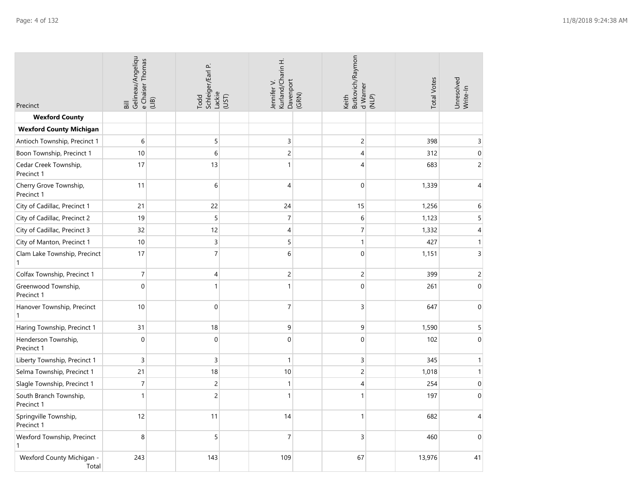| Precinct                                     | Gelineau/Angeliqu<br>e Chaiser Thomas<br>(11B)<br>$\overline{B}$ | ρ.<br>Schleiger/Earl<br>Lackie<br>Todd | Kurland/Charin H.<br>Jennifer V.<br>(UST) | Butkovich/Raymon<br>Davenport<br>(GRN)<br>Keith | <b>Total Votes</b><br>d Warner<br>(NLP) | Unresolved<br>Write-In   |
|----------------------------------------------|------------------------------------------------------------------|----------------------------------------|-------------------------------------------|-------------------------------------------------|-----------------------------------------|--------------------------|
| <b>Wexford County</b>                        |                                                                  |                                        |                                           |                                                 |                                         |                          |
| <b>Wexford County Michigan</b>               |                                                                  |                                        |                                           |                                                 |                                         |                          |
| Antioch Township, Precinct 1                 | 6                                                                | 5                                      | 3                                         | $\overline{c}$                                  | 398                                     | 3                        |
| Boon Township, Precinct 1                    | 10                                                               | 6                                      | $\overline{c}$                            | $\overline{4}$                                  | 312                                     | $\Omega$                 |
| Cedar Creek Township,<br>Precinct 1          | 17                                                               | 13                                     | $\mathbf{1}$                              | 4                                               | 683                                     | $\overline{c}$           |
| Cherry Grove Township,<br>Precinct 1         | 11                                                               | 6                                      | $\overline{4}$                            | $\mathbf 0$                                     | 1,339                                   | 4                        |
| City of Cadillac, Precinct 1                 | 21                                                               | 22                                     | 24                                        | 15                                              | 1,256                                   | 6                        |
| City of Cadillac, Precinct 2                 | 19                                                               | 5                                      | $\overline{7}$                            | 6                                               | 1,123                                   | 5                        |
| City of Cadillac, Precinct 3                 | 32                                                               | 12                                     | 4                                         | 7                                               | 1,332                                   | 4                        |
| City of Manton, Precinct 1                   | 10                                                               | $\overline{3}$                         | 5                                         | $\mathbf{1}$                                    | 427                                     | $\mathbf{1}$             |
| Clam Lake Township, Precinct<br>$\mathbf{1}$ | 17                                                               | $\overline{7}$                         | 6                                         | $\mathbf{0}$                                    | 1,151                                   | 3                        |
| Colfax Township, Precinct 1                  | $\overline{7}$                                                   | 4                                      | $\mathsf{2}\,$                            | $\overline{c}$                                  | 399                                     | $\overline{c}$           |
| Greenwood Township,<br>Precinct 1            | $\boldsymbol{0}$                                                 | $\mathbf{1}$                           | $\mathbf{1}$                              | $\Omega$                                        | 261                                     | $\Omega$                 |
| Hanover Township, Precinct<br>$\mathbf{1}$   | 10                                                               | $\boldsymbol{0}$                       | $\overline{7}$                            | $\mathsf 3$                                     | 647                                     | $\Omega$                 |
| Haring Township, Precinct 1                  | 31                                                               | 18                                     | $\boldsymbol{9}$                          | 9                                               | 1,590                                   | 5                        |
| Henderson Township,<br>Precinct 1            | $\boldsymbol{0}$                                                 | $\mathbf 0$                            | $\mathbf{0}$                              | $\overline{0}$                                  | 102                                     | $\mathbf{0}$             |
| Liberty Township, Precinct 1                 | $\mathsf{3}$                                                     | 3                                      | $\mathbf{1}$                              | 3                                               | 345                                     | $\mathbf{1}$             |
| Selma Township, Precinct 1                   | 21                                                               | 18                                     | 10                                        | 2                                               | 1,018                                   | $\mathbf{1}$             |
| Slagle Township, Precinct 1                  | $\boldsymbol{7}$                                                 | $\overline{c}$                         | $\mathbf{1}$                              | 4                                               | 254                                     | $\mathbf{0}$             |
| South Branch Township,<br>Precinct 1         | $\mathbf{1}$                                                     | $\overline{c}$                         | $\mathbf{1}$                              | 1                                               | 197                                     | $\Omega$                 |
| Springville Township,<br>Precinct 1          | 12                                                               | 11                                     | 14                                        | 1                                               | 682                                     | $\overline{\mathcal{A}}$ |
| Wexford Township, Precinct<br>$\mathbf{1}$   | 8                                                                | 5                                      | $\overline{7}$                            | 3                                               | 460                                     | $\Omega$                 |
| Wexford County Michigan -<br>Total           | 243                                                              | 143                                    | 109                                       | 67                                              | 13,976                                  | 41                       |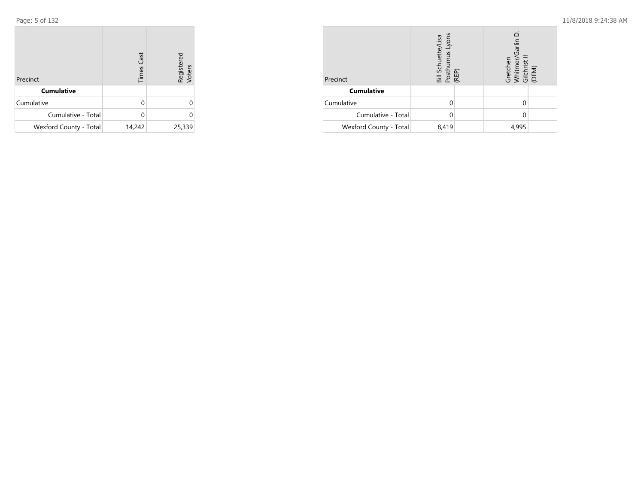Page: 5 of 132

| Precinct               | <b>Times Cast</b> | Registered<br>Voters |
|------------------------|-------------------|----------------------|
| <b>Cumulative</b>      |                   |                      |
| Cumulative             | O                 | 0                    |
| Cumulative - Total     | O                 | 0                    |
| Wexford County - Total | 14,242            | 25,339               |

| Precinct               | Bill Schuette/Lisa<br>Posthumus Lyons<br>(REP) | Garlin<br>Gretchen<br>Whitmer/<br>Gilchrist I<br>(DEM) |
|------------------------|------------------------------------------------|--------------------------------------------------------|
| <b>Cumulative</b>      |                                                |                                                        |
| Cumulative             |                                                |                                                        |
| Cumulative - Total     |                                                |                                                        |
| Wexford County - Total | 8,419                                          | 4,995                                                  |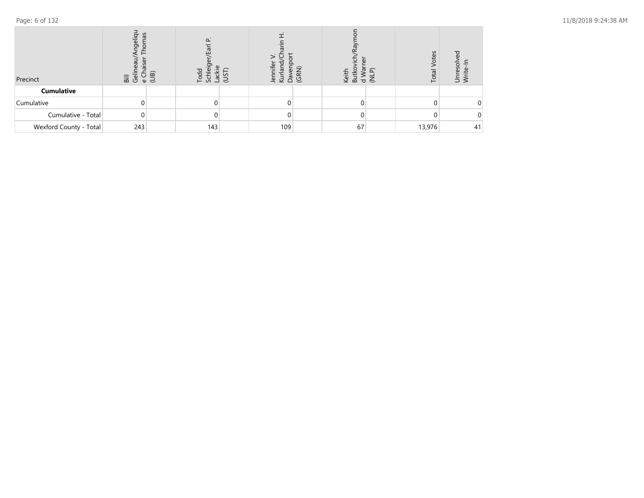| Precinct               | geliq<br>cel<br>$\overline{a}$ $\overline{b}$<br>$\omega$ | $\Omega$<br>$\omega$<br>≂<br>☎<br>Ō<br>pă<br>F<br>ヒ | SCI<br>Der<br>ది | ത<br>쏲<br>Keith<br>GR<br>മ്<br>$\overline{\sigma}$ | Votes<br>Total<br>൳<br>ξ | ℧<br>eso<br>$\supset$ $\ge$ |
|------------------------|-----------------------------------------------------------|-----------------------------------------------------|------------------|----------------------------------------------------|--------------------------|-----------------------------|
| <b>Cumulative</b>      |                                                           |                                                     |                  |                                                    |                          |                             |
| Cumulative             |                                                           |                                                     |                  |                                                    |                          | 0.                          |
| Cumulative - Total     | 0                                                         |                                                     |                  |                                                    |                          |                             |
| Wexford County - Total | 243                                                       | 143                                                 | 109              | 67                                                 | 13,976                   | 41                          |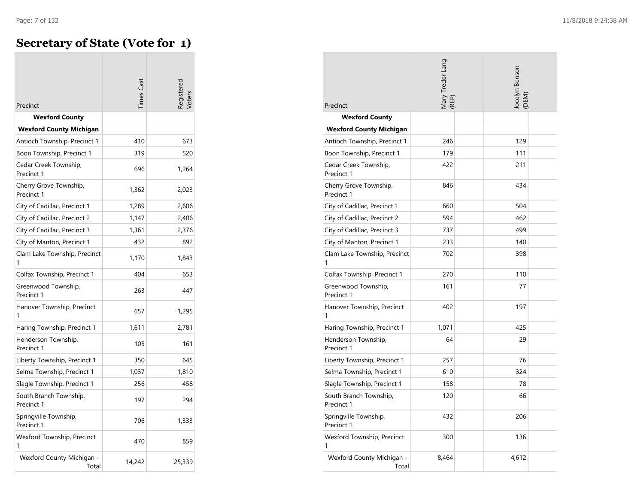## **Secretary of State (Vote for 1)**

| Precinct                             | imes Cas |        |
|--------------------------------------|----------|--------|
| <b>Wexford County</b>                |          |        |
| <b>Wexford County Michigan</b>       |          |        |
| Antioch Township, Precinct 1         | 410      | 673    |
| Boon Township, Precinct 1            | 319      | 520    |
| Cedar Creek Township,<br>Precinct 1  | 696      | 1,264  |
| Cherry Grove Township,<br>Precinct 1 | 1,362    | 2,023  |
| City of Cadillac, Precinct 1         | 1,289    | 2,606  |
| City of Cadillac, Precinct 2         | 1,147    | 2,406  |
| City of Cadillac, Precinct 3         | 1,361    | 2,376  |
| City of Manton, Precinct 1           | 432      | 892    |
| Clam Lake Township, Precinct<br>1    | 1,170    | 1,843  |
| Colfax Township, Precinct 1          | 404      | 653    |
| Greenwood Township,<br>Precinct 1    | 263      | 447    |
| Hanover Township, Precinct<br>1      | 657      | 1,295  |
| Haring Township, Precinct 1          | 1,611    | 2,781  |
| Henderson Township,<br>Precinct 1    | 105      | 161    |
| Liberty Township, Precinct 1         | 350      | 645    |
| Selma Township, Precinct 1           | 1,037    | 1,810  |
| Slagle Township, Precinct 1          | 256      | 458    |
| South Branch Township,<br>Precinct 1 | 197      | 294    |
| Springville Township,<br>Precinct 1  | 706      | 1,333  |
| Wexford Township, Precinct<br>1      | 470      | 859    |
| Wexford County Michigan -<br>Total   | 14,242   | 25,339 |

| Precinct                             | Mary Treder Lang<br>(REP) | Jocelyn Benson<br>(DEM) |
|--------------------------------------|---------------------------|-------------------------|
| <b>Wexford County</b>                |                           |                         |
| <b>Wexford County Michigan</b>       |                           |                         |
| Antioch Township, Precinct 1         | 246                       | 129                     |
| Boon Township, Precinct 1            | 179                       | 111                     |
| Cedar Creek Township,<br>Precinct 1  | 422                       | 211                     |
| Cherry Grove Township,<br>Precinct 1 | 846                       | 434                     |
| City of Cadillac, Precinct 1         | 660                       | 504                     |
| City of Cadillac, Precinct 2         | 594                       | 462                     |
| City of Cadillac, Precinct 3         | 737                       | 499                     |
| City of Manton, Precinct 1           | 233                       | 140                     |
| Clam Lake Township, Precinct<br>1    | 702                       | 398                     |
| Colfax Township, Precinct 1          | 270                       | 110                     |
| Greenwood Township,<br>Precinct 1    | 161                       | 77                      |
| Hanover Township, Precinct<br>1      | 402                       | 197                     |
| Haring Township, Precinct 1          | 1,071                     | 425                     |
| Henderson Township,<br>Precinct 1    | 64                        | 29                      |
| Liberty Township, Precinct 1         | 257                       | 76                      |
| Selma Township, Precinct 1           | 610                       | 324                     |
| Slagle Township, Precinct 1          | 158                       | 78                      |
| South Branch Township,<br>Precinct 1 | 120                       | 66                      |
| Springville Township,<br>Precinct 1  | 432                       | 206                     |
| Wexford Township, Precinct<br>1      | 300                       | 136                     |
| Wexford County Michigan -<br>Total   | 8,464                     | 4,612                   |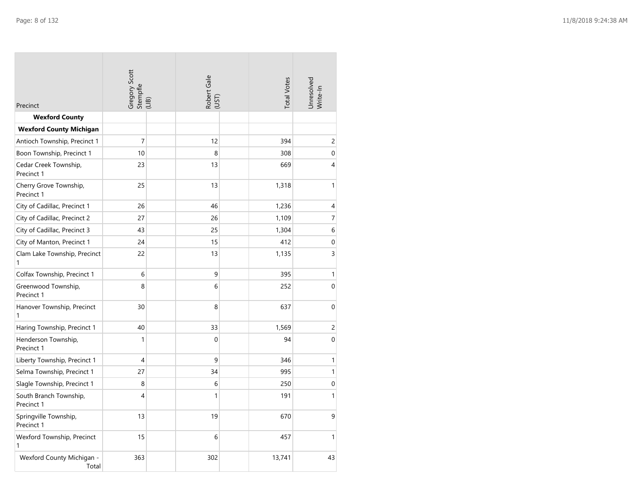| Precinct                             | Gregory Scott<br>Stempfle<br>(LIB) | Robert Gale<br>(UST) | <b>Total Votes</b> | Unresolved<br>Write-In |
|--------------------------------------|------------------------------------|----------------------|--------------------|------------------------|
| <b>Wexford County</b>                |                                    |                      |                    |                        |
| <b>Wexford County Michigan</b>       |                                    |                      |                    |                        |
| Antioch Township, Precinct 1         | $\overline{7}$                     | 12                   | 394                | $\overline{c}$         |
| Boon Township, Precinct 1            | 10                                 | 8                    | 308                | $\boldsymbol{0}$       |
| Cedar Creek Township,<br>Precinct 1  | 23                                 | 13                   | 669                | $\overline{4}$         |
| Cherry Grove Township,<br>Precinct 1 | 25                                 | 13                   | 1,318              | $\mathbf{1}$           |
| City of Cadillac, Precinct 1         | 26                                 | 46                   | 1,236              | 4                      |
| City of Cadillac, Precinct 2         | 27                                 | 26                   | 1,109              | $\overline{7}$         |
| City of Cadillac, Precinct 3         | 43                                 | 25                   | 1,304              | $\,$ 6 $\,$            |
| City of Manton, Precinct 1           | 24                                 | 15                   | 412                | $\boldsymbol{0}$       |
| Clam Lake Township, Precinct<br>1    | 22                                 | 13                   | 1,135              | 3                      |
| Colfax Township, Precinct 1          | 6                                  | 9                    | 395                | 1                      |
| Greenwood Township,<br>Precinct 1    | 8                                  | 6                    | 252                | $\mathbf 0$            |
| Hanover Township, Precinct<br>1      | 30                                 | 8                    | 637                | $\boldsymbol{0}$       |
| Haring Township, Precinct 1          | 40                                 | 33                   | 1,569              | $\overline{c}$         |
| Henderson Township,<br>Precinct 1    | $\mathbf{1}$                       | $\mathbf 0$          | 94                 | $\mathbf 0$            |
| Liberty Township, Precinct 1         | 4                                  | 9                    | 346                | $\mathbf{1}$           |
| Selma Township, Precinct 1           | 27                                 | 34                   | 995                | $\mathbf{1}$           |
| Slagle Township, Precinct 1          | 8                                  | 6                    | 250                | $\boldsymbol{0}$       |
| South Branch Township,<br>Precinct 1 | 4                                  | $\mathbf{1}$         | 191                | $\mathbf{1}$           |
| Springville Township,<br>Precinct 1  | 13                                 | 19                   | 670                | 9                      |
| Wexford Township, Precinct<br>1      | 15                                 | 6                    | 457                | $\mathbf{1}$           |
| Wexford County Michigan -<br>Total   | 363                                | 302                  | 13,741             | 43                     |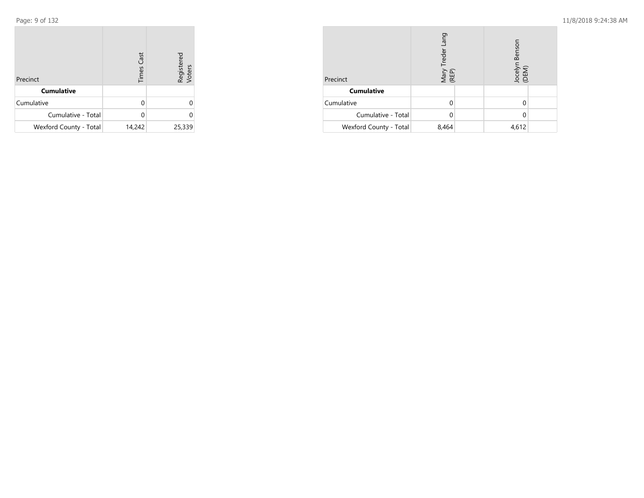Page: 9 of 132

| Precinct               | <b>Times Cast</b> | Registered<br>Voters |
|------------------------|-------------------|----------------------|
| <b>Cumulative</b>      |                   |                      |
| Cumulative             | U                 |                      |
| Cumulative - Total     |                   |                      |
| Wexford County - Total | 14,242            | 25,339               |

| Precinct               | Mary Treder Lang<br>(REP) |  | Benson<br>Jocelyr<br>(DEM) |  |
|------------------------|---------------------------|--|----------------------------|--|
| <b>Cumulative</b>      |                           |  |                            |  |
| Cumulative             |                           |  |                            |  |
| Cumulative - Total     |                           |  |                            |  |
| Wexford County - Total | 8,464                     |  | 4,612                      |  |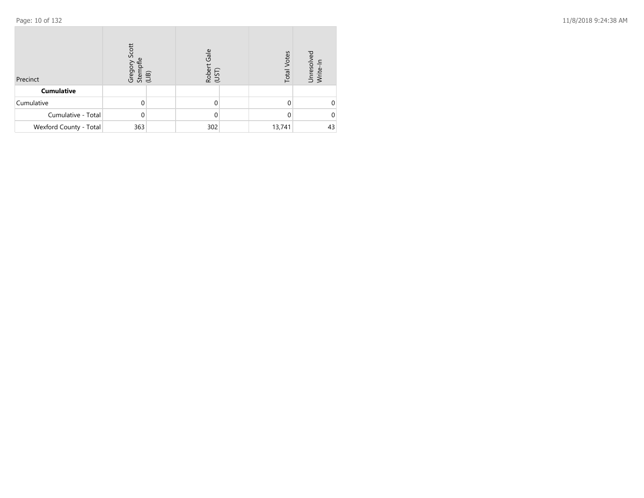| Precinct               | Scott<br>Grego<br>Stem<br>(LIB) | Gale<br>Rober<br>(UST) | <b>Total Votes</b> | Unresolved<br>Write-In |
|------------------------|---------------------------------|------------------------|--------------------|------------------------|
| <b>Cumulative</b>      |                                 |                        |                    |                        |
| Cumulative             |                                 |                        |                    |                        |
| Cumulative - Total     |                                 |                        | 0                  |                        |
| Wexford County - Total | 363                             | 302                    | 13,741             | 43                     |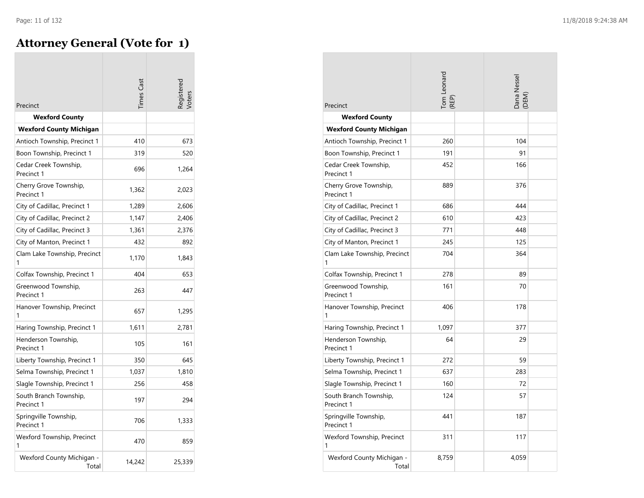$\sim$ 

## **Attorney General (Vote for 1)**

| Precinct                             | imes Cas |        |
|--------------------------------------|----------|--------|
| <b>Wexford County</b>                |          |        |
| <b>Wexford County Michigan</b>       |          |        |
| Antioch Township, Precinct 1         | 410      | 673    |
| Boon Township, Precinct 1            | 319      | 520    |
| Cedar Creek Township,<br>Precinct 1  | 696      | 1,264  |
| Cherry Grove Township,<br>Precinct 1 | 1,362    | 2,023  |
| City of Cadillac, Precinct 1         | 1,289    | 2,606  |
| City of Cadillac, Precinct 2         | 1,147    | 2,406  |
| City of Cadillac, Precinct 3         | 1,361    | 2,376  |
| City of Manton, Precinct 1           | 432      | 892    |
| Clam Lake Township, Precinct<br>1    | 1,170    | 1,843  |
| Colfax Township, Precinct 1          | 404      | 653    |
| Greenwood Township,<br>Precinct 1    | 263      | 447    |
| Hanover Township, Precinct           | 657      | 1,295  |
| Haring Township, Precinct 1          | 1,611    | 2,781  |
| Henderson Township,<br>Precinct 1    | 105      | 161    |
| Liberty Township, Precinct 1         | 350      | 645    |
| Selma Township, Precinct 1           | 1,037    | 1,810  |
| Slagle Township, Precinct 1          | 256      | 458    |
| South Branch Township,<br>Precinct 1 | 197      | 294    |
| Springville Township,<br>Precinct 1  | 706      | 1,333  |
| Wexford Township, Precinct<br>1      | 470      | 859    |
| Wexford County Michigan -<br>Total   | 14,242   | 25,339 |

| Precinct                             | Tom Leonard<br>REP) | Dana Nessel<br>(DEM) |
|--------------------------------------|---------------------|----------------------|
| <b>Wexford County</b>                |                     |                      |
| <b>Wexford County Michigan</b>       |                     |                      |
| Antioch Township, Precinct 1         | 260                 | 104                  |
| Boon Township, Precinct 1            | 191                 | 91                   |
| Cedar Creek Township,<br>Precinct 1  | 452                 | 166                  |
| Cherry Grove Township,<br>Precinct 1 | 889                 | 376                  |
| City of Cadillac, Precinct 1         | 686                 | 444                  |
| City of Cadillac, Precinct 2         | 610                 | 423                  |
| City of Cadillac, Precinct 3         | 771                 | 448                  |
| City of Manton, Precinct 1           | 245                 | 125                  |
| Clam Lake Township, Precinct<br>1    | 704                 | 364                  |
| Colfax Township, Precinct 1          | 278                 | 89                   |
| Greenwood Township,<br>Precinct 1    | 161                 | 70                   |
| Hanover Township, Precinct<br>1      | 406                 | 178                  |
| Haring Township, Precinct 1          | 1,097               | 377                  |
| Henderson Township,<br>Precinct 1    | 64                  | 29                   |
| Liberty Township, Precinct 1         | 272                 | 59                   |
| Selma Township, Precinct 1           | 637                 | 283                  |
| Slagle Township, Precinct 1          | 160                 | 72                   |
| South Branch Township,<br>Precinct 1 | 124                 | 57                   |
| Springville Township,<br>Precinct 1  | 441                 | 187                  |
| Wexford Township, Precinct<br>1      | 311                 | 117                  |
| Wexford County Michigan -<br>Total   | 8,759               | 4,059                |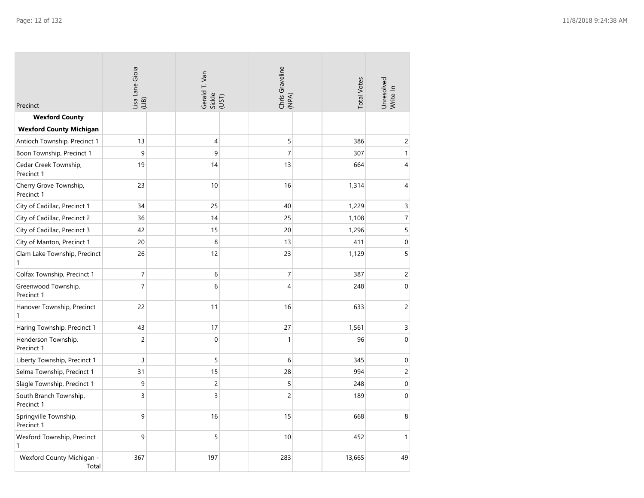| Precinct                             | Lisa Lane Gioia<br>(LIB) | Gerald T. Van<br>Sickle<br>(UST) | Chris Graveline<br>(NPA) | <b>Total Votes</b> | Unresolved<br>Write-In   |
|--------------------------------------|--------------------------|----------------------------------|--------------------------|--------------------|--------------------------|
| <b>Wexford County</b>                |                          |                                  |                          |                    |                          |
| <b>Wexford County Michigan</b>       |                          |                                  |                          |                    |                          |
| Antioch Township, Precinct 1         | 13                       | 4                                | 5                        | 386                | $\overline{c}$           |
| Boon Township, Precinct 1            | 9                        | 9                                | $\overline{7}$           | 307                | $\mathbf{1}$             |
| Cedar Creek Township,<br>Precinct 1  | 19                       | 14                               | 13                       | 664                | $\overline{4}$           |
| Cherry Grove Township,<br>Precinct 1 | 23                       | 10                               | 16                       | 1,314              | $\overline{4}$           |
| City of Cadillac, Precinct 1         | 34                       | 25                               | 40                       | 1,229              | 3                        |
| City of Cadillac, Precinct 2         | 36                       | 14                               | 25                       | 1,108              | $\overline{\mathcal{I}}$ |
| City of Cadillac, Precinct 3         | 42                       | 15                               | 20                       | 1,296              | 5                        |
| City of Manton, Precinct 1           | 20                       | 8                                | 13                       | 411                | $\pmb{0}$                |
| Clam Lake Township, Precinct<br>1    | 26                       | 12                               | 23                       | 1,129              | 5                        |
| Colfax Township, Precinct 1          | 7                        | 6                                | $\overline{7}$           | 387                | $\mathsf{2}\,$           |
| Greenwood Township,<br>Precinct 1    | $\overline{7}$           | 6                                | $\overline{4}$           | 248                | $\mathbf{0}$             |
| Hanover Township, Precinct<br>1      | 22                       | 11                               | 16                       | 633                | $\mathsf{2}\,$           |
| Haring Township, Precinct 1          | 43                       | 17                               | 27                       | 1,561              | $\mathsf 3$              |
| Henderson Township,<br>Precinct 1    | $\overline{c}$           | $\boldsymbol{0}$                 | $\mathbf{1}$             | 96                 | $\boldsymbol{0}$         |
| Liberty Township, Precinct 1         | $\mathsf 3$              | 5                                | 6                        | 345                | $\boldsymbol{0}$         |
| Selma Township, Precinct 1           | 31                       | 15                               | 28                       | 994                | $\mathsf{2}\,$           |
| Slagle Township, Precinct 1          | 9                        | $\overline{c}$                   | 5                        | 248                | $\boldsymbol{0}$         |
| South Branch Township,<br>Precinct 1 | 3                        | 3                                | $\overline{c}$           | 189                | $\mathbf{0}$             |
| Springville Township,<br>Precinct 1  | 9                        | 16                               | 15                       | 668                | 8                        |
| Wexford Township, Precinct<br>1      | 9                        | 5                                | 10                       | 452                | $\mathbf{1}$             |
| Wexford County Michigan -<br>Total   | 367                      | 197                              | 283                      | 13,665             | 49                       |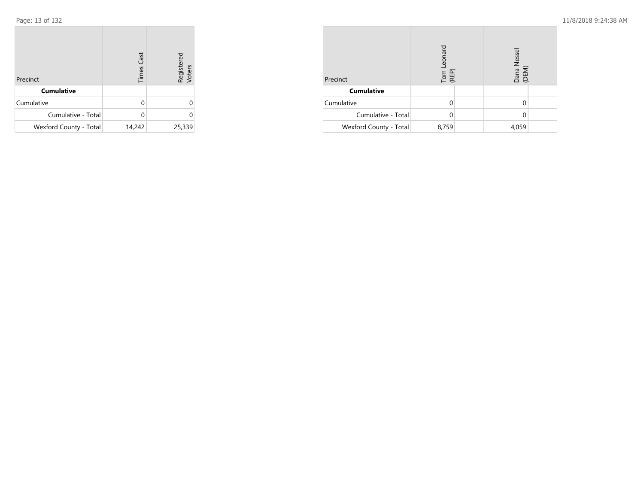| Precinct               | <b>Times Cast</b> | Registered<br>Voters |
|------------------------|-------------------|----------------------|
| <b>Cumulative</b>      |                   |                      |
| Cumulative             | U                 |                      |
| Cumulative - Total     | U                 | 0                    |
| Wexford County - Total | 14,242            | 25,339               |

| Precinct               | Tom Leonard<br>(REP) |  | Dana Nessel<br>(DEM) |  |
|------------------------|----------------------|--|----------------------|--|
| <b>Cumulative</b>      |                      |  |                      |  |
| Cumulative             |                      |  |                      |  |
| Cumulative - Total     |                      |  |                      |  |
| Wexford County - Total | 8,759                |  | 4,059                |  |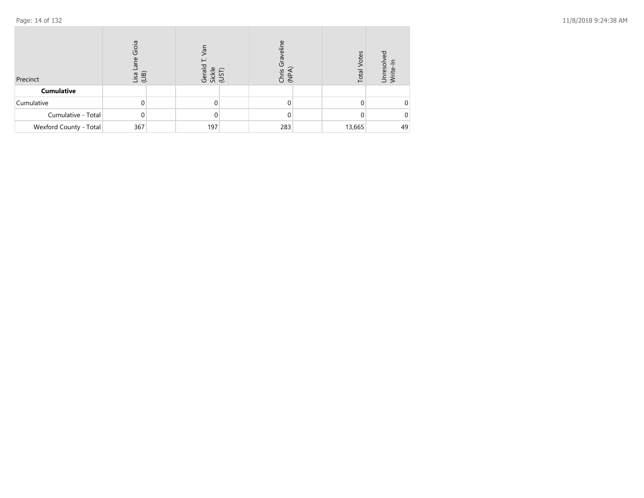| Precinct               | Gioia<br>Lisa<br>(LIB) | Tē/<br>ple<br>ns<br>이 있으 | eline<br>Grav<br>Chris<br>(NPA) | Votes<br>Total | 요<br>eso    |
|------------------------|------------------------|--------------------------|---------------------------------|----------------|-------------|
| <b>Cumulative</b>      |                        |                          |                                 |                |             |
| Cumulative             | 0                      | 0                        |                                 |                | $\mathbf 0$ |
| Cumulative - Total     | $\mathbf{0}$           | 0                        |                                 |                | $\mathbf 0$ |
| Wexford County - Total | 367                    | 197                      | 283                             | 13,665         | 49          |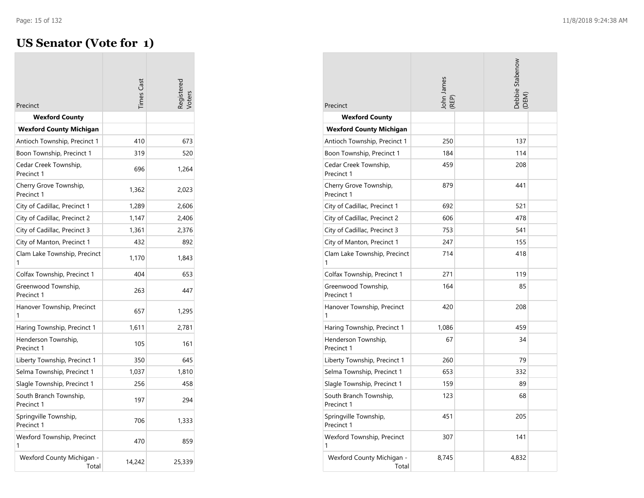**COL** 

## **US Senator (Vote for 1)**

| Precinct                             | imes Cast |        |
|--------------------------------------|-----------|--------|
| Wexford County                       |           |        |
| <b>Wexford County Michigan</b>       |           |        |
| Antioch Township, Precinct 1         | 410       | 673    |
| Boon Township, Precinct 1            | 319       | 520    |
| Cedar Creek Township,<br>Precinct 1  | 696       | 1,264  |
| Cherry Grove Township,<br>Precinct 1 | 1,362     | 2,023  |
| City of Cadillac, Precinct 1         | 1,289     | 2,606  |
| City of Cadillac, Precinct 2         | 1,147     | 2,406  |
| City of Cadillac, Precinct 3         | 1,361     | 2,376  |
| City of Manton, Precinct 1           | 432       | 892    |
| Clam Lake Township, Precinct         | 1,170     | 1,843  |
| Colfax Township, Precinct 1          | 404       | 653    |
| Greenwood Township,<br>Precinct 1    | 263       | 447    |
| Hanover Township, Precinct<br>1      | 657       | 1,295  |
| Haring Township, Precinct 1          | 1,611     | 2,781  |
| Henderson Township,<br>Precinct 1    | 105       | 161    |
| Liberty Township, Precinct 1         | 350       | 645    |
| Selma Township, Precinct 1           | 1,037     | 1,810  |
| Slagle Township, Precinct 1          | 256       | 458    |
| South Branch Township,<br>Precinct 1 | 197       | 294    |
| Springville Township,<br>Precinct 1  | 706       | 1,333  |
| Wexford Township, Precinct<br>1      | 470       | 859    |
| Wexford County Michigan -<br>Total   | 14,242    | 25,339 |

| Precinct                             | John James<br>(REP) | <b>Debbie Stabenow</b><br>DEM) |  |
|--------------------------------------|---------------------|--------------------------------|--|
| <b>Wexford County</b>                |                     |                                |  |
| <b>Wexford County Michigan</b>       |                     |                                |  |
| Antioch Township, Precinct 1         | 250                 | 137                            |  |
| Boon Township, Precinct 1            | 184                 | 114                            |  |
| Cedar Creek Township,<br>Precinct 1  | 459                 | 208                            |  |
| Cherry Grove Township,<br>Precinct 1 | 879                 | 441                            |  |
| City of Cadillac, Precinct 1         | 692                 | 521                            |  |
| City of Cadillac, Precinct 2         | 606                 | 478                            |  |
| City of Cadillac, Precinct 3         | 753                 | 541                            |  |
| City of Manton, Precinct 1           | 247                 | 155                            |  |
| Clam Lake Township, Precinct<br>1    | 714                 | 418                            |  |
| Colfax Township, Precinct 1          | 271                 | 119                            |  |
| Greenwood Township,<br>Precinct 1    | 164                 | 85                             |  |
| Hanover Township, Precinct<br>1      | 420                 | 208                            |  |
| Haring Township, Precinct 1          | 1,086               | 459                            |  |
| Henderson Township,<br>Precinct 1    | 67                  | 34                             |  |
| Liberty Township, Precinct 1         | 260                 | 79                             |  |
| Selma Township, Precinct 1           | 653                 | 332                            |  |
| Slagle Township, Precinct 1          | 159                 | 89                             |  |
| South Branch Township,<br>Precinct 1 | 123                 | 68                             |  |
| Springville Township,<br>Precinct 1  | 451                 | 205                            |  |
| Wexford Township, Precinct<br>1      | 307                 | 141                            |  |
| Wexford County Michigan -<br>Total   | 8,745               | 4,832                          |  |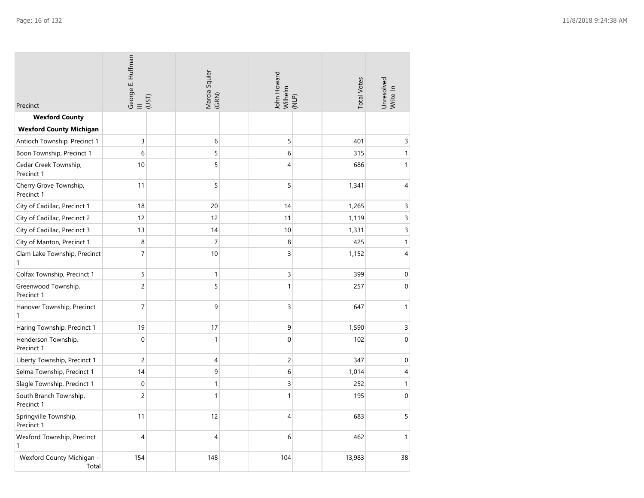| Precinct                                     | George E. Huffman<br>$\frac{1}{2}$ | Marcia Squier<br>(GRN) | John Howard<br>Wilhelm<br>(NLP) | <b>Total Votes</b> | Unresolved<br>Write-In |
|----------------------------------------------|------------------------------------|------------------------|---------------------------------|--------------------|------------------------|
| <b>Wexford County</b>                        |                                    |                        |                                 |                    |                        |
| <b>Wexford County Michigan</b>               |                                    |                        |                                 |                    |                        |
| Antioch Township, Precinct 1                 | 3                                  | 6                      | 5                               | 401                | 3                      |
| Boon Township, Precinct 1                    | 6                                  | 5                      | 6                               | 315                | $\mathbf{1}$           |
| Cedar Creek Township,<br>Precinct 1          | 10                                 | 5                      | $\overline{4}$                  | 686                | $\mathbf{1}$           |
| Cherry Grove Township,<br>Precinct 1         | 11                                 | 5                      | 5                               | 1,341              | 4                      |
| City of Cadillac, Precinct 1                 | 18                                 | 20                     | 14                              | 1,265              | 3                      |
| City of Cadillac, Precinct 2                 | 12                                 | 12                     | 11                              | 1,119              | 3                      |
| City of Cadillac, Precinct 3                 | 13                                 | 14                     | 10                              | 1,331              | 3                      |
| City of Manton, Precinct 1                   | 8                                  | $\overline{7}$         | 8                               | 425                | $\mathbf{1}$           |
| Clam Lake Township, Precinct<br>$\mathbf{1}$ | 7                                  | 10                     | 3                               | 1,152              | 4                      |
| Colfax Township, Precinct 1                  | 5                                  | 1                      | 3                               | 399                | $\boldsymbol{0}$       |
| Greenwood Township,<br>Precinct 1            | $\overline{c}$                     | 5                      | 1                               | 257                | $\mathbf 0$            |
| Hanover Township, Precinct<br>1              | $\overline{7}$                     | 9                      | 3                               | 647                | $\mathbf{1}$           |
| Haring Township, Precinct 1                  | 19                                 | 17                     | 9                               | 1,590              | $\mathsf 3$            |
| Henderson Township,<br>Precinct 1            | $\mathbf 0$                        | $\mathbf{1}$           | $\overline{0}$                  | 102                | $\boldsymbol{0}$       |
| Liberty Township, Precinct 1                 | $\overline{c}$                     | 4                      | $\overline{c}$                  | 347                | $\mathbf 0$            |
| Selma Township, Precinct 1                   | 14                                 | 9                      | 6                               | 1,014              | 4                      |
| Slagle Township, Precinct 1                  | $\mathbf 0$                        | $\mathbf{1}$           | 3                               | 252                | $\mathbf{1}$           |
| South Branch Township,<br>Precinct 1         | 2                                  | 1                      | 1                               | 195                | $\mathbf 0$            |
| Springville Township,<br>Precinct 1          | 11                                 | 12                     | $\overline{4}$                  | 683                | 5                      |
| Wexford Township, Precinct<br>$\mathbf{1}$   | 4                                  | 4                      | 6                               | 462                | $\mathbf{1}$           |
| Wexford County Michigan -<br>Total           | 154                                | 148                    | 104                             | 13,983             | 38                     |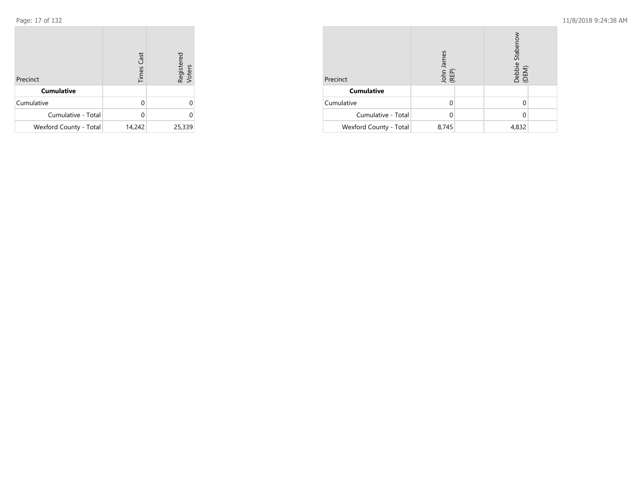| Precinct               | <b>Times Cast</b> | Registered<br>Voters |
|------------------------|-------------------|----------------------|
| <b>Cumulative</b>      |                   |                      |
| Cumulative             | U                 | U                    |
| Cumulative - Total     |                   |                      |
| Wexford County - Total | 14,242            | 25,339               |

| Precinct               | John James<br>(REP) | Debbie Stabenow<br>(DEM) |
|------------------------|---------------------|--------------------------|
| <b>Cumulative</b>      |                     |                          |
| Cumulative             |                     |                          |
| Cumulative - Total     |                     |                          |
| Wexford County - Total | 8,745               | 4,832                    |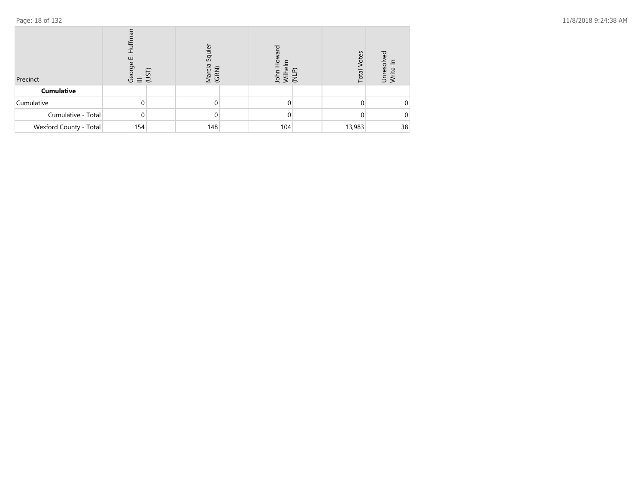| Precinct               | ⇆<br>ய<br>eorge<br>트 근<br>(7) | 5 | Squier<br>Marcia<br>(GRN) | 호 킹 | Votes<br>Total | ΒĐ<br>Unresol<br>Write-Ir |
|------------------------|-------------------------------|---|---------------------------|-----|----------------|---------------------------|
| <b>Cumulative</b>      |                               |   |                           |     |                |                           |
| Cumulative             | ი                             |   |                           |     |                | 0                         |
| Cumulative - Total     | $\mathbf 0$                   |   |                           |     |                | $\Omega$                  |
| Wexford County - Total | 154                           |   | 148                       | 104 | 13,983         | 38                        |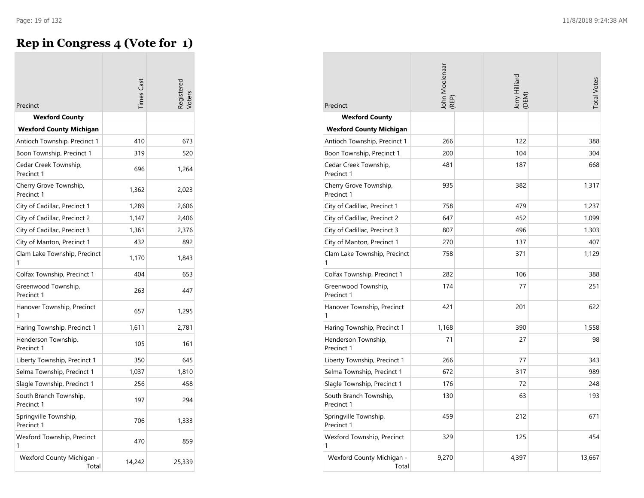## **Rep in Congress 4 (Vote for 1)**

| Precinct                             | imes Cast |        |
|--------------------------------------|-----------|--------|
| <b>Wexford County</b>                |           |        |
| <b>Wexford County Michigan</b>       |           |        |
| Antioch Township, Precinct 1         | 410       | 673    |
| Boon Township, Precinct 1            | 319       | 520    |
| Cedar Creek Township,<br>Precinct 1  | 696       | 1,264  |
| Cherry Grove Township,<br>Precinct 1 | 1,362     | 2,023  |
| City of Cadillac, Precinct 1         | 1,289     | 2,606  |
| City of Cadillac, Precinct 2         | 1,147     | 2,406  |
| City of Cadillac, Precinct 3         | 1,361     | 2,376  |
| City of Manton, Precinct 1           | 432       | 892    |
| Clam Lake Township, Precinct<br>1    | 1,170     | 1,843  |
| Colfax Township, Precinct 1          | 404       | 653    |
| Greenwood Township,<br>Precinct 1    | 263       | 447    |
| Hanover Township, Precinct<br>1      | 657       | 1,295  |
| Haring Township, Precinct 1          | 1,611     | 2,781  |
| Henderson Township,<br>Precinct 1    | 105       | 161    |
| Liberty Township, Precinct 1         | 350       | 645    |
| Selma Township, Precinct 1           | 1,037     | 1,810  |
| Slagle Township, Precinct 1          | 256       | 458    |
| South Branch Township,<br>Precinct 1 | 197       | 294    |
| Springville Township,<br>Precinct 1  | 706       | 1,333  |
| Wexford Township, Precinct<br>1      | 470       | 859    |
| Wexford County Michigan -<br>Total   | 14,242    | 25,339 |

| Precinct                             | John Moolenaar<br>(REP) | Jerry Hilliard<br>(DEM) | <b>Total Votes</b> |
|--------------------------------------|-------------------------|-------------------------|--------------------|
| <b>Wexford County</b>                |                         |                         |                    |
| <b>Wexford County Michigan</b>       |                         |                         |                    |
| Antioch Township, Precinct 1         | 266                     | 122                     | 388                |
| Boon Township, Precinct 1            | 200                     | 104                     | 304                |
| Cedar Creek Township,<br>Precinct 1  | 481                     | 187                     | 668                |
| Cherry Grove Township,<br>Precinct 1 | 935                     | 382                     | 1,317              |
| City of Cadillac, Precinct 1         | 758                     | 479                     | 1,237              |
| City of Cadillac, Precinct 2         | 647                     | 452                     | 1,099              |
| City of Cadillac, Precinct 3         | 807                     | 496                     | 1,303              |
| City of Manton, Precinct 1           | 270                     | 137                     | 407                |
| Clam Lake Township, Precinct<br>1    | 758                     | 371                     | 1,129              |
| Colfax Township, Precinct 1          | 282                     | 106                     | 388                |
| Greenwood Township,<br>Precinct 1    | 174                     | 77                      | 251                |
| Hanover Township, Precinct<br>1      | 421                     | 201                     | 622                |
| Haring Township, Precinct 1          | 1,168                   | 390                     | 1,558              |
| Henderson Township,<br>Precinct 1    | 71                      | 27                      | 98                 |
| Liberty Township, Precinct 1         | 266                     | 77                      | 343                |
| Selma Township, Precinct 1           | 672                     | 317                     | 989                |
| Slagle Township, Precinct 1          | 176                     | 72                      | 248                |
| South Branch Township,<br>Precinct 1 | 130                     | 63                      | 193                |
| Springville Township,<br>Precinct 1  | 459                     | 212                     | 671                |
| Wexford Township, Precinct<br>1      | 329                     | 125                     | 454                |
| Wexford County Michigan -<br>Total   | 9,270                   | 4,397                   | 13,667             |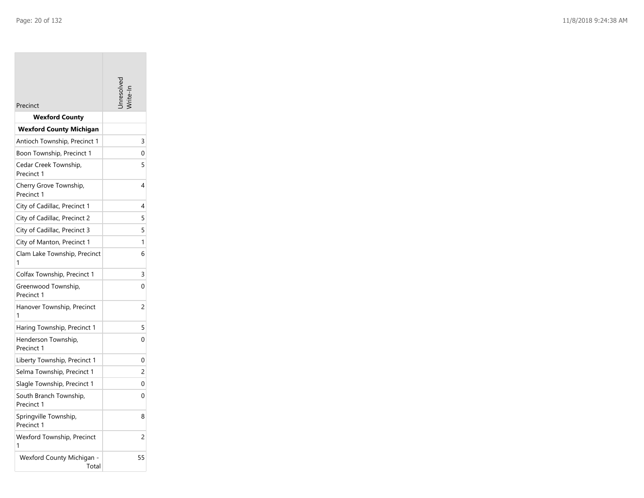**Tara** 

| Precinct                             |                |
|--------------------------------------|----------------|
| <b>Wexford County</b>                |                |
| <b>Wexford County Michigan</b>       |                |
| Antioch Township, Precinct 1         | 3              |
| Boon Township, Precinct 1            | 0              |
| Cedar Creek Township,<br>Precinct 1  | 5              |
| Cherry Grove Township,<br>Precinct 1 | 4              |
| City of Cadillac, Precinct 1         | 4              |
| City of Cadillac, Precinct 2         | 5              |
| City of Cadillac, Precinct 3         | 5              |
| City of Manton, Precinct 1           | 1              |
| Clam Lake Township, Precinct<br>1    | 6              |
| Colfax Township, Precinct 1          | 3              |
| Greenwood Township,<br>Precinct 1    | 0              |
| Hanover Township, Precinct<br>1      | 2              |
| Haring Township, Precinct 1          | 5              |
| Henderson Township,<br>Precinct 1    | 0              |
| Liberty Township, Precinct 1         | 0              |
| Selma Township, Precinct 1           | $\overline{c}$ |
| Slagle Township, Precinct 1          | 0              |
| South Branch Township,<br>Precinct 1 | 0              |
| Springville Township,<br>Precinct 1  | 8              |
| Wexford Township, Precinct<br>1      | $\overline{c}$ |
| Wexford County Michigan -<br>Total   | 55             |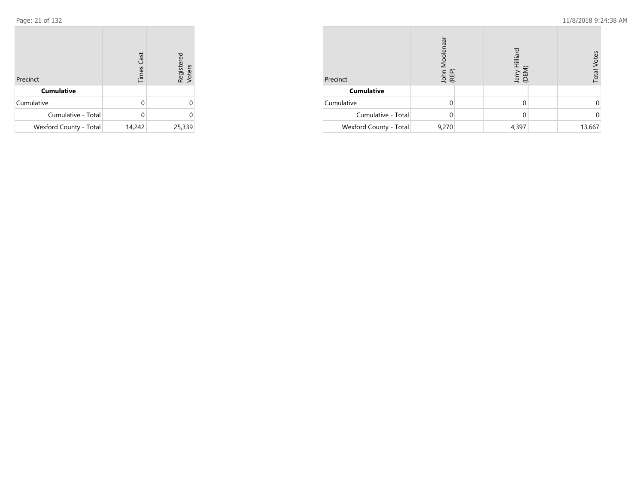| Precinct               | <b>Times Cast</b> | Registered<br>Voters |
|------------------------|-------------------|----------------------|
| <b>Cumulative</b>      |                   |                      |
| Cumulative             |                   |                      |
| Cumulative - Total     |                   |                      |
| Wexford County - Total | 14,242            | 25,339               |

| Precinct               | Moolenaar<br>John I<br>(REP) | Hilliard<br>.<br>GEN | Votes<br>Total |
|------------------------|------------------------------|----------------------|----------------|
| <b>Cumulative</b>      |                              |                      |                |
| Cumulative             |                              |                      |                |
| Cumulative - Total     |                              | 0                    |                |
| Wexford County - Total | 9,270                        | 4,397                | 13,667         |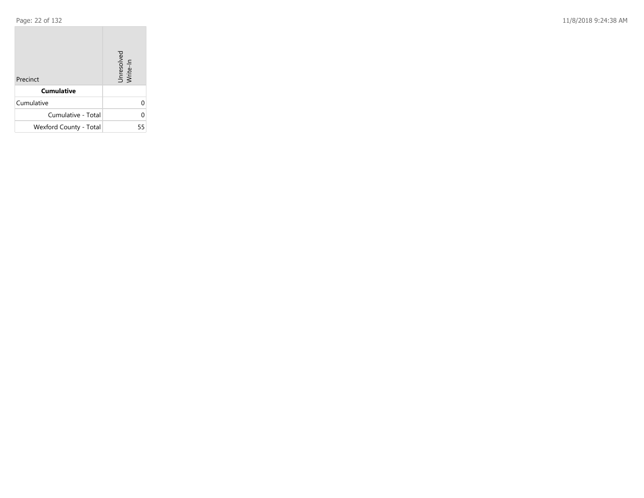**COL** 

Page: 22 of 132 11/8/2018 9:24:38 AM

| Precinct               | Unresolved<br>Write-In |
|------------------------|------------------------|
| <b>Cumulative</b>      |                        |
| Cumulative             | U                      |
| Cumulative - Total     | U                      |
| Wexford County - Total | 55                     |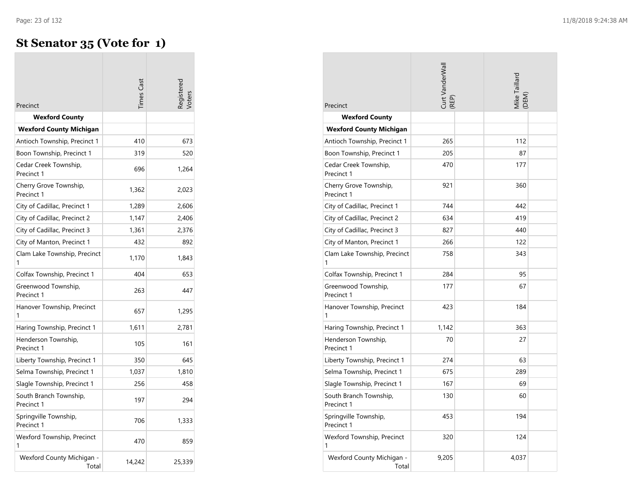$\overline{\phantom{a}}$ 

## **St Senator 35 (Vote for 1)**

| Precinct                             | imes Cast |        |
|--------------------------------------|-----------|--------|
| <b>Wexford County</b>                |           |        |
| <b>Wexford County Michigan</b>       |           |        |
| Antioch Township, Precinct 1         | 410       | 673    |
| Boon Township, Precinct 1            | 319       | 520    |
| Cedar Creek Township,<br>Precinct 1  | 696       | 1,264  |
| Cherry Grove Township,<br>Precinct 1 | 1,362     | 2,023  |
| City of Cadillac, Precinct 1         | 1,289     | 2,606  |
| City of Cadillac, Precinct 2         | 1,147     | 2,406  |
| City of Cadillac, Precinct 3         | 1,361     | 2,376  |
| City of Manton, Precinct 1           | 432       | 892    |
| Clam Lake Township, Precinct         | 1,170     | 1,843  |
| Colfax Township, Precinct 1          | 404       | 653    |
| Greenwood Township,<br>Precinct 1    | 263       | 447    |
| Hanover Township, Precinct<br>1      | 657       | 1,295  |
| Haring Township, Precinct 1          | 1,611     | 2,781  |
| Henderson Township,<br>Precinct 1    | 105       | 161    |
| Liberty Township, Precinct 1         | 350       | 645    |
| Selma Township, Precinct 1           | 1,037     | 1,810  |
| Slagle Township, Precinct 1          | 256       | 458    |
| South Branch Township,<br>Precinct 1 | 197       | 294    |
| Springville Township,<br>Precinct 1  | 706       | 1,333  |
| Wexford Township, Precinct<br>1      | 470       | 859    |
| Wexford County Michigan -<br>Total   | 14,242    | 25,339 |

| Precinct                             | Curt VanderWall<br>REP) |  | Mike Taillard<br>(DEM) |  |
|--------------------------------------|-------------------------|--|------------------------|--|
| <b>Wexford County</b>                |                         |  |                        |  |
| <b>Wexford County Michigan</b>       |                         |  |                        |  |
| Antioch Township, Precinct 1         | 265                     |  | 112                    |  |
| Boon Township, Precinct 1            | 205                     |  | 87                     |  |
| Cedar Creek Township,<br>Precinct 1  | 470                     |  | 177                    |  |
| Cherry Grove Township,<br>Precinct 1 | 921                     |  | 360                    |  |
| City of Cadillac, Precinct 1         | 744                     |  | 442                    |  |
| City of Cadillac, Precinct 2         | 634                     |  | 419                    |  |
| City of Cadillac, Precinct 3         | 827                     |  | 440                    |  |
| City of Manton, Precinct 1           | 266                     |  | 122                    |  |
| Clam Lake Township, Precinct<br>1    | 758                     |  | 343                    |  |
| Colfax Township, Precinct 1          | 284                     |  | 95                     |  |
| Greenwood Township,<br>Precinct 1    | 177                     |  | 67                     |  |
| Hanover Township, Precinct           | 423                     |  | 184                    |  |
| Haring Township, Precinct 1          | 1,142                   |  | 363                    |  |
| Henderson Township,<br>Precinct 1    | 70                      |  | 27                     |  |
| Liberty Township, Precinct 1         | 274                     |  | 63                     |  |
| Selma Township, Precinct 1           | 675                     |  | 289                    |  |
| Slagle Township, Precinct 1          | 167                     |  | 69                     |  |
| South Branch Township,<br>Precinct 1 | 130                     |  | 60                     |  |
| Springville Township,<br>Precinct 1  | 453                     |  | 194                    |  |
| Wexford Township, Precinct<br>1      | 320                     |  | 124                    |  |
| Wexford County Michigan -<br>Total   | 9,205                   |  | 4,037                  |  |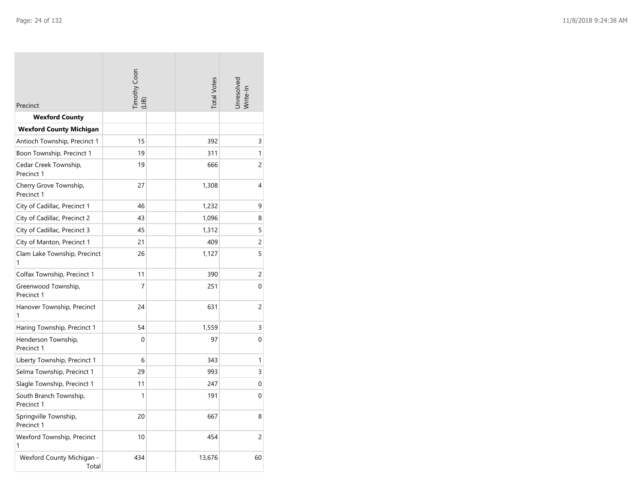| Precinct                             | Timothy Coon<br>(LIB) |  | <b>Total Votes</b> | Unresolved<br>Write-In |
|--------------------------------------|-----------------------|--|--------------------|------------------------|
| <b>Wexford County</b>                |                       |  |                    |                        |
| <b>Wexford County Michigan</b>       |                       |  |                    |                        |
| Antioch Township, Precinct 1         | 15                    |  | 392                | 3                      |
| Boon Township, Precinct 1            | 19                    |  | 311                | 1                      |
| Cedar Creek Township,<br>Precinct 1  | 19                    |  | 666                | 2                      |
| Cherry Grove Township,<br>Precinct 1 | 27                    |  | 1,308              | 4                      |
| City of Cadillac, Precinct 1         | 46                    |  | 1,232              | 9                      |
| City of Cadillac, Precinct 2         | 43                    |  | 1,096              | 8                      |
| City of Cadillac, Precinct 3         | 45                    |  | 1,312              | 5                      |
| City of Manton, Precinct 1           | 21                    |  | 409                | 2                      |
| Clam Lake Township, Precinct<br>1    | 26                    |  | 1,127              | 5                      |
| Colfax Township, Precinct 1          | 11                    |  | 390                | 2                      |
| Greenwood Township,<br>Precinct 1    | $\overline{7}$        |  | 251                | $\Omega$               |
| Hanover Township, Precinct<br>1      | 24                    |  | 631                | 2                      |
| Haring Township, Precinct 1          | 54                    |  | 1,559              | 3                      |
| Henderson Township,<br>Precinct 1    | 0                     |  | 97                 | 0                      |
| Liberty Township, Precinct 1         | 6                     |  | 343                | 1                      |
| Selma Township, Precinct 1           | 29                    |  | 993                | 3                      |
| Slagle Township, Precinct 1          | 11                    |  | 247                | 0                      |
| South Branch Township,<br>Precinct 1 | 1                     |  | 191                | 0                      |
| Springville Township,<br>Precinct 1  | 20                    |  | 667                | 8                      |
| Wexford Township, Precinct<br>1      | 10                    |  | 454                | 2                      |
| Wexford County Michigan -<br>Total   | 434                   |  | 13,676             | 60                     |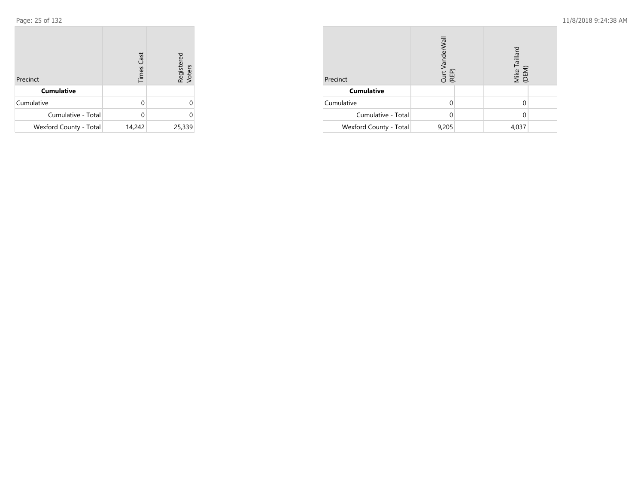| Precinct               | <b>Times Cast</b> | Registered<br>Voters |
|------------------------|-------------------|----------------------|
| <b>Cumulative</b>      |                   |                      |
| Cumulative             |                   |                      |
| Cumulative - Total     |                   |                      |
| Wexford County - Total | 14,242            | 25,339               |

| Precinct               | Curt VanderWall<br>(REP) |  | Mike Taillard<br>(DEM) |  |
|------------------------|--------------------------|--|------------------------|--|
| <b>Cumulative</b>      |                          |  |                        |  |
| Cumulative             |                          |  |                        |  |
| Cumulative - Total     |                          |  |                        |  |
| Wexford County - Total | 9,205                    |  | 4,037                  |  |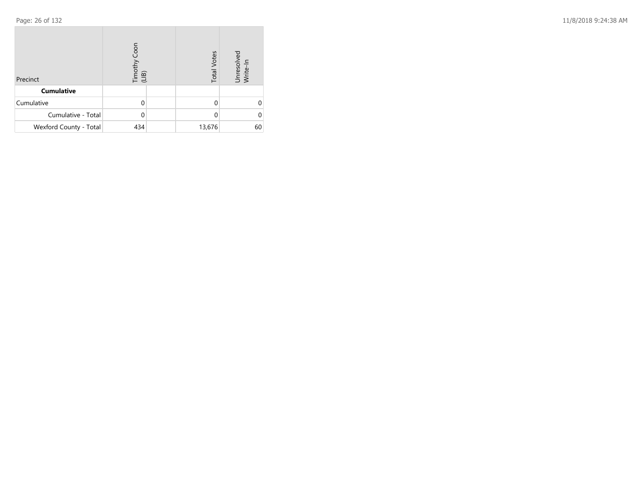| Precinct               | Timothy Coon<br>(LIB) | <b>Total Votes</b> | Unresolved<br>Write-In |
|------------------------|-----------------------|--------------------|------------------------|
| <b>Cumulative</b>      |                       |                    |                        |
| Cumulative             |                       |                    |                        |
| Cumulative - Total     |                       | 0                  |                        |
| Wexford County - Total | 434                   | 13,676             | 60                     |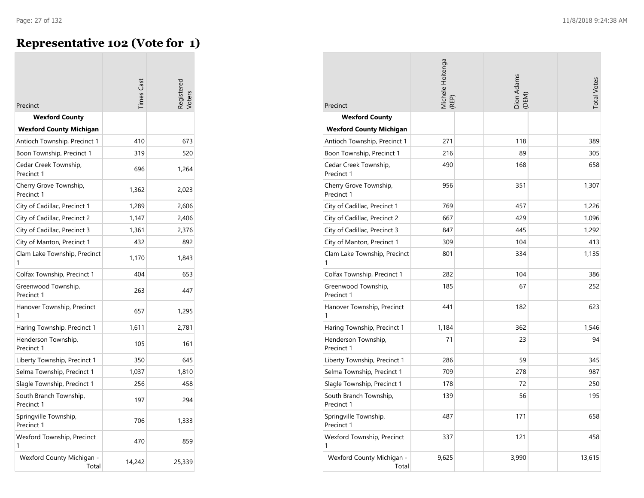## **Representative 102 (Vote for 1)**

| Precinct                             | imes Cast |        |
|--------------------------------------|-----------|--------|
| <b>Wexford County</b>                |           |        |
| <b>Wexford County Michigan</b>       |           |        |
| Antioch Township, Precinct 1         | 410       | 673    |
| Boon Township, Precinct 1            | 319       | 520    |
| Cedar Creek Township,<br>Precinct 1  | 696       | 1,264  |
| Cherry Grove Township,<br>Precinct 1 | 1,362     | 2,023  |
| City of Cadillac, Precinct 1         | 1,289     | 2,606  |
| City of Cadillac, Precinct 2         | 1,147     | 2,406  |
| City of Cadillac, Precinct 3         | 1,361     | 2,376  |
| City of Manton, Precinct 1           | 432       | 892    |
| Clam Lake Township, Precinct<br>1    | 1,170     | 1,843  |
| Colfax Township, Precinct 1          | 404       | 653    |
| Greenwood Township,<br>Precinct 1    | 263       | 447    |
| Hanover Township, Precinct<br>1      | 657       | 1,295  |
| Haring Township, Precinct 1          | 1,611     | 2,781  |
| Henderson Township,<br>Precinct 1    | 105       | 161    |
| Liberty Township, Precinct 1         | 350       | 645    |
| Selma Township, Precinct 1           | 1,037     | 1,810  |
| Slagle Township, Precinct 1          | 256       | 458    |
| South Branch Township,<br>Precinct 1 | 197       | 294    |
| Springville Township,<br>Precinct 1  | 706       | 1,333  |
| Wexford Township, Precinct<br>1      | 470       | 859    |
| Wexford County Michigan -<br>Total   | 14,242    | 25,339 |

| Precinct                             | Michele Hoitenga<br>(REP) |  | Dion Adams<br>(DEM) |  | <b>Total Votes</b> |
|--------------------------------------|---------------------------|--|---------------------|--|--------------------|
| <b>Wexford County</b>                |                           |  |                     |  |                    |
| <b>Wexford County Michigan</b>       |                           |  |                     |  |                    |
| Antioch Township, Precinct 1         | 271                       |  | 118                 |  | 389                |
| Boon Township, Precinct 1            | 216                       |  | 89                  |  | 305                |
| Cedar Creek Township,<br>Precinct 1  | 490                       |  | 168                 |  | 658                |
| Cherry Grove Township,<br>Precinct 1 | 956                       |  | 351                 |  | 1,307              |
| City of Cadillac, Precinct 1         | 769                       |  | 457                 |  | 1,226              |
| City of Cadillac, Precinct 2         | 667                       |  | 429                 |  | 1,096              |
| City of Cadillac, Precinct 3         | 847                       |  | 445                 |  | 1,292              |
| City of Manton, Precinct 1           | 309                       |  | 104                 |  | 413                |
| Clam Lake Township, Precinct<br>1    | 801                       |  | 334                 |  | 1,135              |
| Colfax Township, Precinct 1          | 282                       |  | 104                 |  | 386                |
| Greenwood Township,<br>Precinct 1    | 185                       |  | 67                  |  | 252                |
| Hanover Township, Precinct<br>1      | 441                       |  | 182                 |  | 623                |
| Haring Township, Precinct 1          | 1,184                     |  | 362                 |  | 1,546              |
| Henderson Township,<br>Precinct 1    | 71                        |  | 23                  |  | 94                 |
| Liberty Township, Precinct 1         | 286                       |  | 59                  |  | 345                |
| Selma Township, Precinct 1           | 709                       |  | 278                 |  | 987                |
| Slagle Township, Precinct 1          | 178                       |  | 72                  |  | 250                |
| South Branch Township,<br>Precinct 1 | 139                       |  | 56                  |  | 195                |
| Springville Township,<br>Precinct 1  | 487                       |  | 171                 |  | 658                |
| Wexford Township, Precinct<br>1      | 337                       |  | 121                 |  | 458                |
| Wexford County Michigan -<br>Total   | 9,625                     |  | 3,990               |  | 13,615             |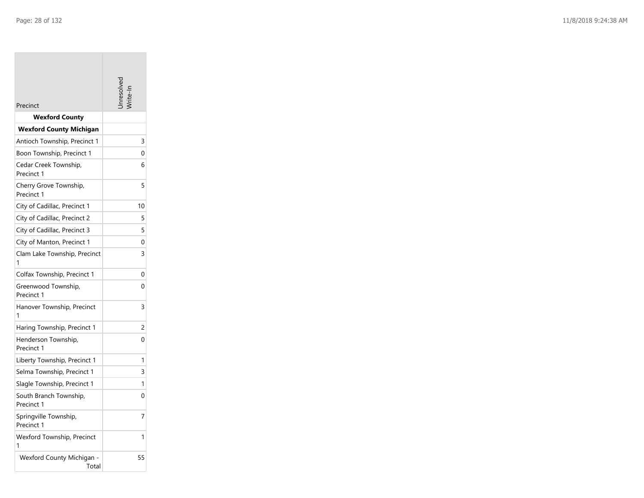**College** 

| Precinct                             |    |
|--------------------------------------|----|
| <b>Wexford County</b>                |    |
| <b>Wexford County Michigan</b>       |    |
| Antioch Township, Precinct 1         | 3  |
| Boon Township, Precinct 1            | 0  |
| Cedar Creek Township,<br>Precinct 1  | 6  |
| Cherry Grove Township,<br>Precinct 1 | 5  |
| City of Cadillac, Precinct 1         | 10 |
| City of Cadillac, Precinct 2         | 5  |
| City of Cadillac, Precinct 3         | 5  |
| City of Manton, Precinct 1           | 0  |
| Clam Lake Township, Precinct<br>1    | 3  |
| Colfax Township, Precinct 1          | 0  |
| Greenwood Township,<br>Precinct 1    | 0  |
| Hanover Township, Precinct<br>1      | 3  |
| Haring Township, Precinct 1          | 2  |
| Henderson Township,<br>Precinct 1    | 0  |
| Liberty Township, Precinct 1         | 1  |
| Selma Township, Precinct 1           | 3  |
| Slagle Township, Precinct 1          | 1  |
| South Branch Township,<br>Precinct 1 | 0  |
| Springville Township,<br>Precinct 1  | 7  |
| Wexford Township, Precinct<br>1      | 1  |
| Wexford County Michigan -<br>Total   | 55 |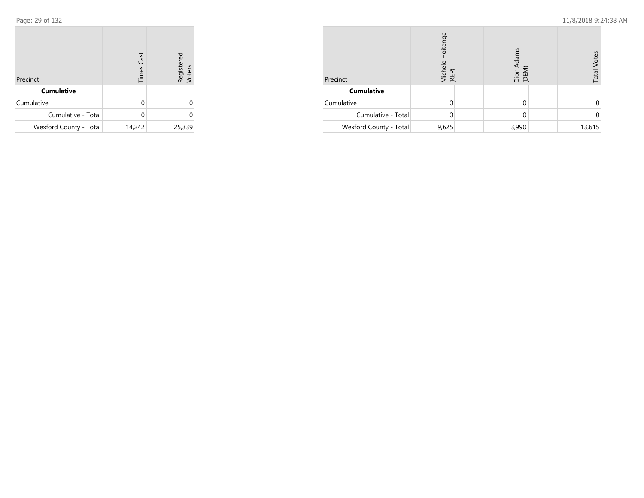| Precinct               | <b>Times Cast</b> | Registered<br>Voters |
|------------------------|-------------------|----------------------|
| <b>Cumulative</b>      |                   |                      |
| Cumulative             | U                 | U                    |
| Cumulative - Total     | U                 |                      |
| Wexford County - Total | 14,242            | 25,339               |

| Precinct               | Hoitenga<br>Michele<br>(REP) |  | Dion Adams<br>(DEM) |  | Votes<br>Total |
|------------------------|------------------------------|--|---------------------|--|----------------|
| <b>Cumulative</b>      |                              |  |                     |  |                |
| Cumulative             |                              |  |                     |  |                |
| Cumulative - Total     |                              |  |                     |  |                |
| Wexford County - Total | 9,625                        |  | 3,990               |  | 13,615         |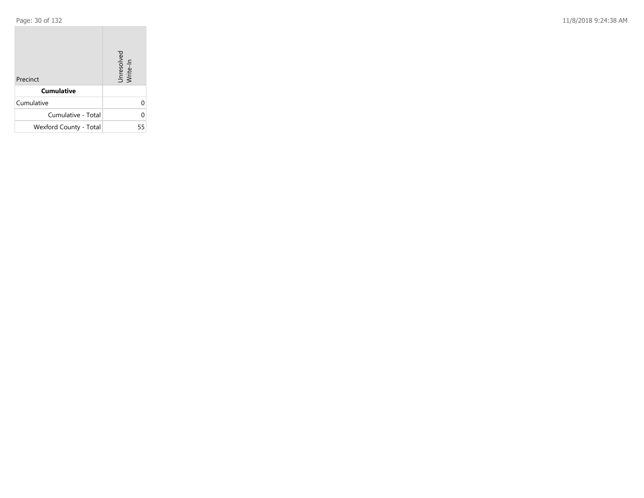**COL** 

Page: 30 of 132 11/8/2018 9:24:38 AM

| Precinct               | Unresolved<br>Write-In |
|------------------------|------------------------|
| <b>Cumulative</b>      |                        |
| Cumulative             | U                      |
| Cumulative - Total     | U                      |
| Wexford County - Total | 55                     |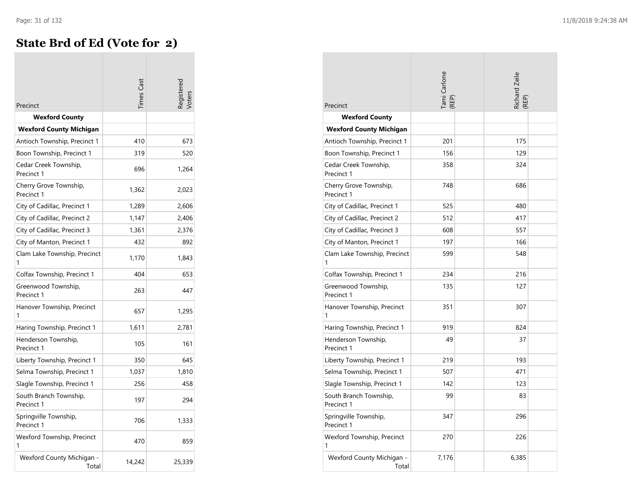## **State Brd of Ed (Vote for 2)**

| Precinct                             | imes Cast |        |
|--------------------------------------|-----------|--------|
| Wexford County                       |           |        |
| <b>Wexford County Michigan</b>       |           |        |
| Antioch Township, Precinct 1         | 410       | 673    |
| Boon Township, Precinct 1            | 319       | 520    |
| Cedar Creek Township,<br>Precinct 1  | 696       | 1,264  |
| Cherry Grove Township,<br>Precinct 1 | 1,362     | 2,023  |
| City of Cadillac, Precinct 1         | 1,289     | 2,606  |
| City of Cadillac, Precinct 2         | 1,147     | 2,406  |
| City of Cadillac, Precinct 3         | 1,361     | 2,376  |
| City of Manton, Precinct 1           | 432       | 892    |
| Clam Lake Township, Precinct         | 1,170     | 1,843  |
| Colfax Township, Precinct 1          | 404       | 653    |
| Greenwood Township,<br>Precinct 1    | 263       | 447    |
| Hanover Township, Precinct<br>1      | 657       | 1,295  |
| Haring Township, Precinct 1          | 1,611     | 2,781  |
| Henderson Township,<br>Precinct 1    | 105       | 161    |
| Liberty Township, Precinct 1         | 350       | 645    |
| Selma Township, Precinct 1           | 1,037     | 1,810  |
| Slagle Township, Precinct 1          | 256       | 458    |
| South Branch Township,<br>Precinct 1 | 197       | 294    |
| Springville Township,<br>Precinct 1  | 706       | 1,333  |
| Wexford Township, Precinct<br>1      | 470       | 859    |
| Wexford County Michigan -<br>Total   | 14,242    | 25,339 |

| Precinct                             | Tami Carlone<br>(REP) | Richard Zeile<br>(REP) |
|--------------------------------------|-----------------------|------------------------|
| <b>Wexford County</b>                |                       |                        |
| <b>Wexford County Michigan</b>       |                       |                        |
| Antioch Township, Precinct 1         | 201                   | 175                    |
| Boon Township, Precinct 1            | 156                   | 129                    |
| Cedar Creek Township,<br>Precinct 1  | 358                   | 324                    |
| Cherry Grove Township,<br>Precinct 1 | 748                   | 686                    |
| City of Cadillac, Precinct 1         | 525                   | 480                    |
| City of Cadillac, Precinct 2         | 512                   | 417                    |
| City of Cadillac, Precinct 3         | 608                   | 557                    |
| City of Manton, Precinct 1           | 197                   | 166                    |
| Clam Lake Township, Precinct<br>1    | 599                   | 548                    |
| Colfax Township, Precinct 1          | 234                   | 216                    |
| Greenwood Township,<br>Precinct 1    | 135                   | 127                    |
| Hanover Township, Precinct<br>1      | 351                   | 307                    |
| Haring Township, Precinct 1          | 919                   | 824                    |
| Henderson Township,<br>Precinct 1    | 49                    | 37                     |
| Liberty Township, Precinct 1         | 219                   | 193                    |
| Selma Township, Precinct 1           | 507                   | 471                    |
| Slagle Township, Precinct 1          | 142                   | 123                    |
| South Branch Township,<br>Precinct 1 | 99                    | 83                     |
| Springville Township,<br>Precinct 1  | 347                   | 296                    |
| Wexford Township, Precinct<br>1      | 270                   | 226                    |
| Wexford County Michigan -<br>Total   | 7,176                 | 6,385                  |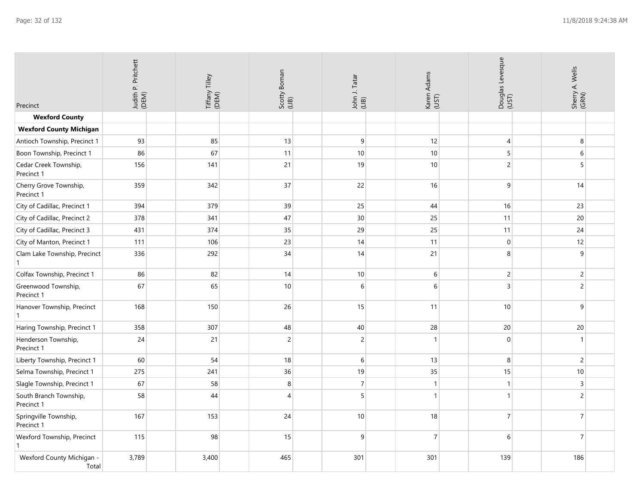| Precinct                             | Judith P. Pritchett<br>(DEM) | Tiffany Tilley<br>(DEM) | Scotty Boman<br>(LIB) | John J. Tatar<br>(LIB) | Karen Adams<br>(UST) | Douglas Levesque<br>(UST) | Sherry A. Wells<br>(GRN) |
|--------------------------------------|------------------------------|-------------------------|-----------------------|------------------------|----------------------|---------------------------|--------------------------|
| <b>Wexford County</b>                |                              |                         |                       |                        |                      |                           |                          |
| <b>Wexford County Michigan</b>       |                              |                         |                       |                        |                      |                           |                          |
| Antioch Township, Precinct 1         | 93                           | 85                      | 13                    | 9                      | 12                   | 4                         | 8                        |
| Boon Township, Precinct 1            | 86                           | 67                      | 11                    | 10                     | 10                   | 5                         | 6                        |
| Cedar Creek Township,<br>Precinct 1  | 156                          | 141                     | 21                    | 19                     | 10                   | $\overline{2}$            | 5                        |
| Cherry Grove Township,<br>Precinct 1 | 359                          | 342                     | 37                    | 22                     | 16                   | 9                         | 14                       |
| City of Cadillac, Precinct 1         | 394                          | 379                     | 39                    | 25                     | 44                   | 16                        | 23                       |
| City of Cadillac, Precinct 2         | 378                          | 341                     | 47                    | 30                     | 25                   | 11                        | 20                       |
| City of Cadillac, Precinct 3         | 431                          | 374                     | 35                    | 29                     | 25                   | 11                        | 24                       |
| City of Manton, Precinct 1           | 111                          | 106                     | 23                    | 14                     | 11                   | $\boldsymbol{0}$          | 12                       |
| Clam Lake Township, Precinct<br>1    | 336                          | 292                     | 34                    | 14                     | 21                   | 8                         | 9                        |
| Colfax Township, Precinct 1          | 86                           | 82                      | 14                    | 10                     | $\,$ 6 $\,$          | $\overline{c}$            | $\overline{c}$           |
| Greenwood Township,<br>Precinct 1    | 67                           | 65                      | 10                    | 6                      | 6                    | $\overline{3}$            | $\overline{c}$           |
| Hanover Township, Precinct<br>1      | 168                          | 150                     | 26                    | 15                     | 11                   | $10\,$                    | $9\,$                    |
| Haring Township, Precinct 1          | 358                          | 307                     | 48                    | 40                     | 28                   | 20                        | 20                       |
| Henderson Township,<br>Precinct 1    | 24                           | 21                      | $\overline{c}$        | $\overline{c}$         | $\mathbf{1}$         | $\overline{0}$            | $\mathbf{1}$             |
| Liberty Township, Precinct 1         | 60                           | 54                      | 18                    | 6                      | 13                   | 8                         | 2                        |
| Selma Township, Precinct 1           | 275                          | 241                     | 36                    | 19                     | 35                   | 15                        | 10                       |
| Slagle Township, Precinct 1          | 67                           | 58                      | 8                     | $\overline{7}$         | $\mathbf{1}$         | $\mathbf{1}$              | $\mathsf{3}$             |
| South Branch Township,<br>Precinct 1 | 58                           | 44                      | $\overline{4}$        | 5                      | $\mathbf{1}$         | 1                         | $\overline{c}$           |
| Springville Township,<br>Precinct 1  | 167                          | 153                     | 24                    | 10                     | 18                   | $\overline{7}$            | $\overline{7}$           |
| Wexford Township, Precinct           | 115                          | 98                      | 15                    | 9                      | $\overline{7}$       | 6                         | $\overline{7}$           |
| Wexford County Michigan -<br>Total   | 3,789                        | 3,400                   | 465                   | 301                    | 301                  | 139                       | 186                      |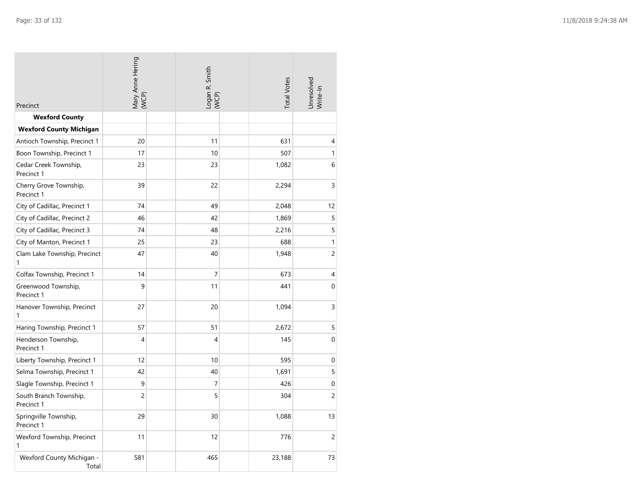| Precinct                             | Mary Anne Hering<br>(WCP) |  | Logan R. Smith<br>(WCP) |  | <b>Total Votes</b> | Unresolved<br>Write-In |
|--------------------------------------|---------------------------|--|-------------------------|--|--------------------|------------------------|
| <b>Wexford County</b>                |                           |  |                         |  |                    |                        |
| <b>Wexford County Michigan</b>       |                           |  |                         |  |                    |                        |
| Antioch Township, Precinct 1         | 20                        |  | 11                      |  | 631                | 4                      |
| Boon Township, Precinct 1            | 17                        |  | 10                      |  | 507                | 1                      |
| Cedar Creek Township,<br>Precinct 1  | 23                        |  | 23                      |  | 1,082              | 6                      |
| Cherry Grove Township,<br>Precinct 1 | 39                        |  | 22                      |  | 2,294              | $\overline{3}$         |
| City of Cadillac, Precinct 1         | 74                        |  | 49                      |  | 2,048              | 12                     |
| City of Cadillac, Precinct 2         | 46                        |  | 42                      |  | 1,869              | 5                      |
| City of Cadillac, Precinct 3         | 74                        |  | 48                      |  | 2,216              | 5                      |
| City of Manton, Precinct 1           | 25                        |  | 23                      |  | 688                | $\mathbf{1}$           |
| Clam Lake Township, Precinct<br>1    | 47                        |  | 40                      |  | 1,948              | $\overline{c}$         |
| Colfax Township, Precinct 1          | 14                        |  | 7                       |  | 673                | 4                      |
| Greenwood Township,<br>Precinct 1    | 9                         |  | 11                      |  | 441                | $\mathbf 0$            |
| Hanover Township, Precinct<br>1      | 27                        |  | 20                      |  | 1,094              | 3                      |
| Haring Township, Precinct 1          | 57                        |  | 51                      |  | 2,672              | 5                      |
| Henderson Township,<br>Precinct 1    | $\overline{4}$            |  | $\overline{4}$          |  | 145                | 0                      |
| Liberty Township, Precinct 1         | 12                        |  | 10                      |  | 595                | $\boldsymbol{0}$       |
| Selma Township, Precinct 1           | 42                        |  | 40                      |  | 1,691              | 5                      |
| Slagle Township, Precinct 1          | 9                         |  | $\overline{7}$          |  | 426                | 0                      |
| South Branch Township,<br>Precinct 1 | $\overline{c}$            |  | 5                       |  | 304                | $\overline{c}$         |
| Springville Township,<br>Precinct 1  | 29                        |  | 30                      |  | 1,088              | 13                     |
| Wexford Township, Precinct<br>1      | 11                        |  | 12                      |  | 776                | $\overline{c}$         |
| Wexford County Michigan -<br>Total   | 581                       |  | 465                     |  | 23,188             | 73                     |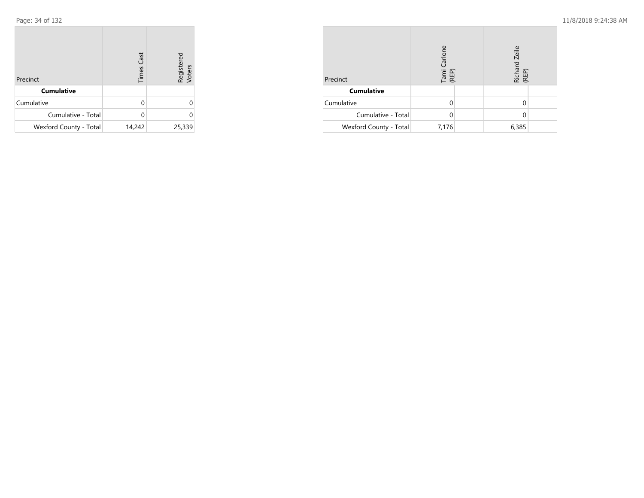| Precinct               | <b>Times Cast</b> | Registered<br>Voters |
|------------------------|-------------------|----------------------|
| <b>Cumulative</b>      |                   |                      |
| Cumulative             | U                 |                      |
| Cumulative - Total     |                   |                      |
| Wexford County - Total | 14,242            | 25,339               |

| Precinct               | Tami Carlone<br>(REP) | Richard Zeile<br>(REP) |  |  |
|------------------------|-----------------------|------------------------|--|--|
| <b>Cumulative</b>      |                       |                        |  |  |
| Cumulative             |                       |                        |  |  |
| Cumulative - Total     |                       |                        |  |  |
| Wexford County - Total | 7,176                 | 6,385                  |  |  |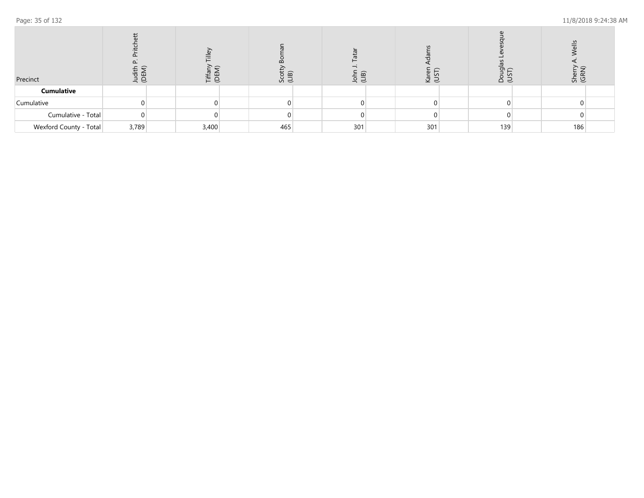| Precinct               | ᅙ<br>ш<br>日<br>$\tilde{\neg}$ |       | ine<br>G<br>いしんしゃ いちじょう しゃくいん しゃくしゃ しゃくしゃ しゃくしゃ しゃくしゃ |     | $\widehat{m}$<br>$\qquad \qquad \qquad$<br>유 크 |     | S S |     | Ğ<br>요 의 | $rac{5}{16}$<br>She<br>(GR |     |  |
|------------------------|-------------------------------|-------|-------------------------------------------------------|-----|------------------------------------------------|-----|-----|-----|----------|----------------------------|-----|--|
| <b>Cumulative</b>      |                               |       |                                                       |     |                                                |     |     |     |          |                            |     |  |
| Cumulative             |                               |       |                                                       |     |                                                |     |     |     |          |                            |     |  |
| Cumulative - Total     |                               |       |                                                       |     |                                                |     |     |     |          |                            |     |  |
| Wexford County - Total | 3,789                         | 3,400 |                                                       | 465 |                                                | 301 |     | 301 |          | 139                        | 186 |  |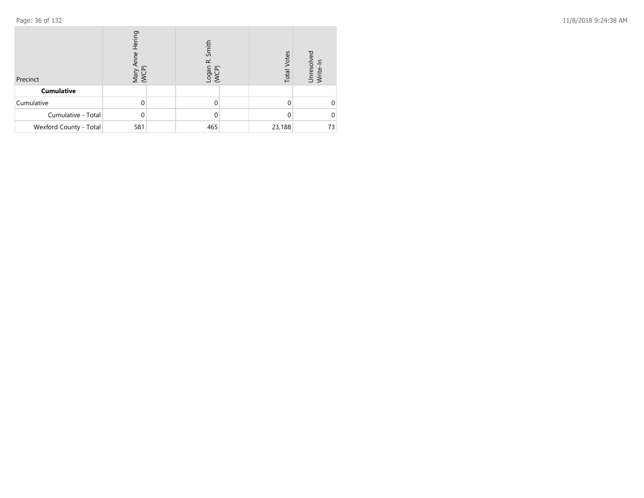| Precinct               | Hering<br>Mary<br>WCF |  | Smith<br>œ<br>nebo-<br>uebo- |  | <b>Total Votes</b> | δò<br>Unresolv<br>Write-In |  |
|------------------------|-----------------------|--|------------------------------|--|--------------------|----------------------------|--|
| <b>Cumulative</b>      |                       |  |                              |  |                    |                            |  |
| Cumulative             |                       |  | 0                            |  |                    |                            |  |
| Cumulative - Total     |                       |  | 0                            |  |                    |                            |  |
| Wexford County - Total | 581                   |  | 465                          |  | 23,188             | 73                         |  |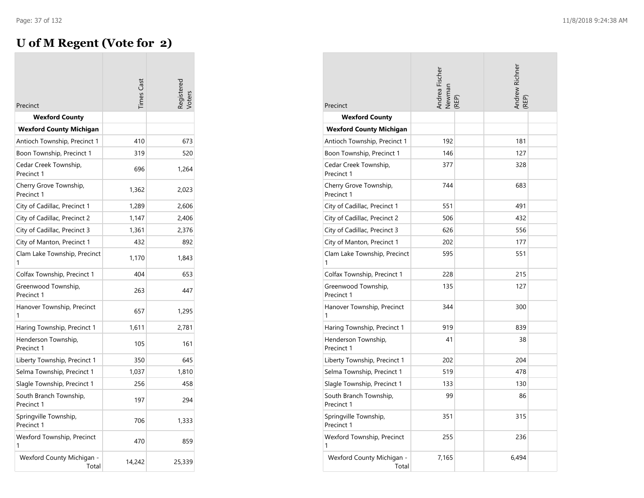# **U of M Regent (Vote for 2)**

|                                      | imes Cast |        |
|--------------------------------------|-----------|--------|
| Precinct                             |           |        |
| <b>Wexford County</b>                |           |        |
| <b>Wexford County Michigan</b>       | 410       |        |
| Antioch Township, Precinct 1         |           | 673    |
| Boon Township, Precinct 1            | 319       | 520    |
| Cedar Creek Township,<br>Precinct 1  | 696       | 1,264  |
| Cherry Grove Township,<br>Precinct 1 | 1,362     | 2,023  |
| City of Cadillac, Precinct 1         | 1,289     | 2,606  |
| City of Cadillac, Precinct 2         | 1,147     | 2,406  |
| City of Cadillac, Precinct 3         | 1,361     | 2,376  |
| City of Manton, Precinct 1           | 432       | 892    |
| Clam Lake Township, Precinct         | 1,170     | 1,843  |
| Colfax Township, Precinct 1          | 404       | 653    |
| Greenwood Township,<br>Precinct 1    | 263       | 447    |
| Hanover Township, Precinct<br>1      | 657       | 1,295  |
| Haring Township, Precinct 1          | 1,611     | 2,781  |
| Henderson Township,<br>Precinct 1    | 105       | 161    |
| Liberty Township, Precinct 1         | 350       | 645    |
| Selma Township, Precinct 1           | 1,037     | 1,810  |
| Slagle Township, Precinct 1          | 256       | 458    |
| South Branch Township,<br>Precinct 1 | 197       | 294    |
| Springville Township,<br>Precinct 1  | 706       | 1,333  |
| Wexford Township, Precinct<br>1      | 470       | 859    |
| Wexford County Michigan -<br>Total   | 14,242    | 25,339 |

| Precinct                             | Andrea Fischer<br>Newman<br>(REP) | Andrew Richner<br>(REP) |
|--------------------------------------|-----------------------------------|-------------------------|
| <b>Wexford County</b>                |                                   |                         |
| <b>Wexford County Michigan</b>       |                                   |                         |
| Antioch Township, Precinct 1         | 192                               | 181                     |
| Boon Township, Precinct 1            | 146                               | 127                     |
| Cedar Creek Township,<br>Precinct 1  | 377                               | 328                     |
| Cherry Grove Township,<br>Precinct 1 | 744                               | 683                     |
| City of Cadillac, Precinct 1         | 551                               | 491                     |
| City of Cadillac, Precinct 2         | 506                               | 432                     |
| City of Cadillac, Precinct 3         | 626                               | 556                     |
| City of Manton, Precinct 1           | 202                               | 177                     |
| Clam Lake Township, Precinct<br>1    | 595                               | 551                     |
| Colfax Township, Precinct 1          | 228                               | 215                     |
| Greenwood Township,<br>Precinct 1    | 135                               | 127                     |
| Hanover Township, Precinct<br>1      | 344                               | 300                     |
| Haring Township, Precinct 1          | 919                               | 839                     |
| Henderson Township,<br>Precinct 1    | 41                                | 38                      |
| Liberty Township, Precinct 1         | 202                               | 204                     |
| Selma Township, Precinct 1           | 519                               | 478                     |
| Slagle Township, Precinct 1          | 133                               | 130                     |
| South Branch Township,<br>Precinct 1 | 99                                | 86                      |
| Springville Township,<br>Precinct 1  | 351                               | 315                     |
| Wexford Township, Precinct<br>1      | 255                               | 236                     |
| Wexford County Michigan -<br>Total   | 7,165                             | 6,494                   |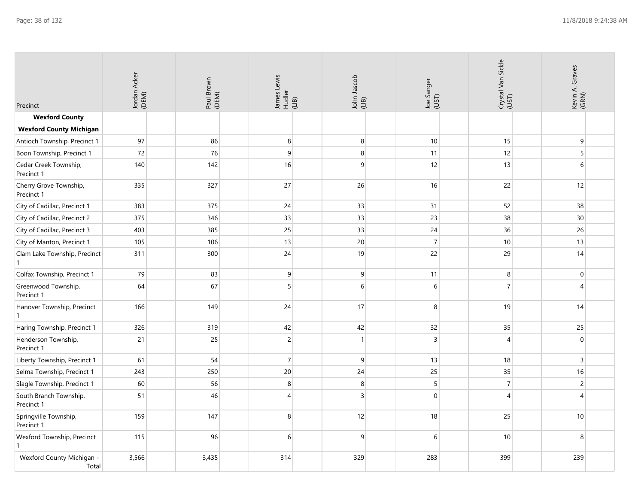| Precinct                             | Jordan Acker<br>(DEM) | Paul Brown<br>(DEM) | James Lewis<br>Hudler<br>(LIB) | John Jascob<br>(LIB) | Joe Sanger<br>(UST) | Crystal Van Sickle<br>(UST) | Kevin A. Graves<br>(GRN) |
|--------------------------------------|-----------------------|---------------------|--------------------------------|----------------------|---------------------|-----------------------------|--------------------------|
| <b>Wexford County</b>                |                       |                     |                                |                      |                     |                             |                          |
| <b>Wexford County Michigan</b>       |                       |                     |                                |                      |                     |                             |                          |
| Antioch Township, Precinct 1         | 97                    | 86                  | 8                              | 8                    | 10                  | 15                          | 9                        |
| Boon Township, Precinct 1            | 72                    | 76                  | 9                              | 8                    | 11                  | 12                          | 5 <sup>5</sup>           |
| Cedar Creek Township,<br>Precinct 1  | 140                   | 142                 | 16                             | 9                    | 12                  | 13                          | $\,6\,$                  |
| Cherry Grove Township,<br>Precinct 1 | 335                   | 327                 | 27                             | 26                   | 16                  | 22                          | 12                       |
| City of Cadillac, Precinct 1         | 383                   | 375                 | 24                             | 33                   | 31                  | 52                          | 38                       |
| City of Cadillac, Precinct 2         | 375                   | 346                 | 33                             | 33                   | 23                  | 38                          | 30                       |
| City of Cadillac, Precinct 3         | 403                   | 385                 | 25                             | 33                   | 24                  | 36                          | 26                       |
| City of Manton, Precinct 1           | 105                   | 106                 | 13                             | 20                   | $\overline{7}$      | 10                          | 13                       |
| Clam Lake Township, Precinct         | 311                   | 300                 | 24                             | 19                   | 22                  | 29                          | 14                       |
| Colfax Township, Precinct 1          | 79                    | 83                  | 9                              | 9                    | 11                  | 8                           | $\mathbf 0$              |
| Greenwood Township,<br>Precinct 1    | 64                    | 67                  | 5                              | 6                    | 6                   | 7                           | $\overline{4}$           |
| Hanover Township, Precinct<br>1      | 166                   | 149                 | 24                             | 17                   | 8                   | 19                          | 14                       |
| Haring Township, Precinct 1          | 326                   | 319                 | 42                             | 42                   | 32                  | 35                          | 25                       |
| Henderson Township,<br>Precinct 1    | 21                    | 25                  | $\overline{c}$                 | $\mathbf{1}$         | $\overline{3}$      | $\overline{4}$              | $\mathbf{0}$             |
| Liberty Township, Precinct 1         | 61                    | 54                  | $\overline{7}$                 | $\boldsymbol{9}$     | 13                  | 18                          | $\overline{3}$           |
| Selma Township, Precinct 1           | 243                   | 250                 | 20                             | 24                   | 25                  | 35                          | 16                       |
| Slagle Township, Precinct 1          | 60                    | 56                  | 8                              | $\,8\,$              | $\sqrt{5}$          | $\overline{7}$              | $\sqrt{2}$               |
| South Branch Township,<br>Precinct 1 | 51                    | 46                  | 4                              | $\overline{3}$       | $\mathbf{0}$        | $\boldsymbol{\Delta}$       | $\overline{4}$           |
| Springville Township,<br>Precinct 1  | 159                   | 147                 | 8                              | 12                   | 18                  | 25                          | 10                       |
| Wexford Township, Precinct<br>1      | 115                   | 96                  | 6                              | 9                    | 6                   | 10                          | 8                        |
| Wexford County Michigan -<br>Total   | 3,566                 | 3,435               | 314                            | 329                  | 283                 | 399                         | 239                      |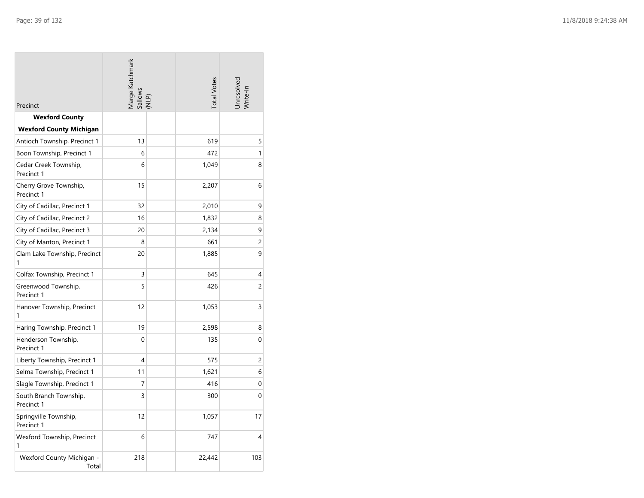| Precinct                             | Marge Katchmark<br>Sallows<br>(NLP) |  | <b>Total Votes</b> | Unresolved<br>Write-In |
|--------------------------------------|-------------------------------------|--|--------------------|------------------------|
| <b>Wexford County</b>                |                                     |  |                    |                        |
| <b>Wexford County Michigan</b>       |                                     |  |                    |                        |
| Antioch Township, Precinct 1         | 13                                  |  | 619                | 5                      |
| Boon Township, Precinct 1            | 6                                   |  | 472                | 1                      |
| Cedar Creek Township,<br>Precinct 1  | 6                                   |  | 1,049              | 8                      |
| Cherry Grove Township,<br>Precinct 1 | 15                                  |  | 2,207              | 6                      |
| City of Cadillac, Precinct 1         | 32                                  |  | 2,010              | 9                      |
| City of Cadillac, Precinct 2         | 16                                  |  | 1,832              | 8                      |
| City of Cadillac, Precinct 3         | 20                                  |  | 2,134              | 9                      |
| City of Manton, Precinct 1           | 8                                   |  | 661                | 2                      |
| Clam Lake Township, Precinct<br>1    | 20                                  |  | 1,885              | 9                      |
| Colfax Township, Precinct 1          | 3                                   |  | 645                | 4                      |
| Greenwood Township,<br>Precinct 1    | 5                                   |  | 426                | $\overline{c}$         |
| Hanover Township, Precinct<br>1      | 12                                  |  | 1,053              | 3                      |
| Haring Township, Precinct 1          | 19                                  |  | 2,598              | 8                      |
| Henderson Township,<br>Precinct 1    | $\Omega$                            |  | 135                | 0                      |
| Liberty Township, Precinct 1         | 4                                   |  | 575                | 2                      |
| Selma Township, Precinct 1           | 11                                  |  | 1,621              | 6                      |
| Slagle Township, Precinct 1          | 7                                   |  | 416                | 0                      |
| South Branch Township,<br>Precinct 1 | 3                                   |  | 300                | 0                      |
| Springville Township,<br>Precinct 1  | 12                                  |  | 1,057              | 17                     |
| Wexford Township, Precinct<br>1      | 6                                   |  | 747                | 4                      |
| Wexford County Michigan -<br>Total   | 218                                 |  | 22,442             | 103                    |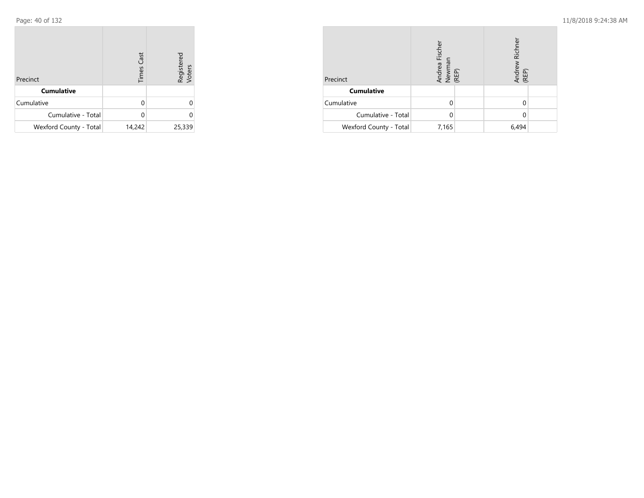| Precinct               | <b>Times Cast</b> | Registered<br>Voters |
|------------------------|-------------------|----------------------|
| <b>Cumulative</b>      |                   |                      |
| Cumulative             | U                 | 0                    |
| Cumulative - Total     |                   |                      |
| Wexford County - Total | 14,242            | 25,339               |

| Precinct               | Andrea Fischer<br>Newman<br>(REP) |  | Richner<br>Andrew<br>(REP) |  |
|------------------------|-----------------------------------|--|----------------------------|--|
| <b>Cumulative</b>      |                                   |  |                            |  |
| Cumulative             |                                   |  |                            |  |
| Cumulative - Total     |                                   |  |                            |  |
| Wexford County - Total | 7,165                             |  | 6,494                      |  |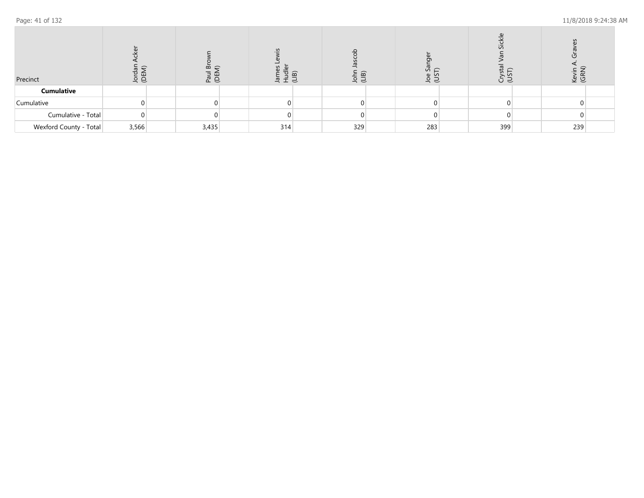| Precinct               | ng<br>G | ≃<br>nad<br>OEN | $\bar{a}$ | GE)<br>(비)<br>ഛ | Φ<br>さっ | $\mathcal{L}$<br>ここ | $\mathsf{S}$<br>ଟି ବି |  |
|------------------------|---------|-----------------|-----------|-----------------|---------|---------------------|-----------------------|--|
| <b>Cumulative</b>      |         |                 |           |                 |         |                     |                       |  |
| Cumulative             |         |                 |           |                 |         |                     |                       |  |
| Cumulative - Total     |         |                 |           |                 |         |                     |                       |  |
| Wexford County - Total | 3,566   | 3,435           | 314       | 329             | 283     | 399                 | 239                   |  |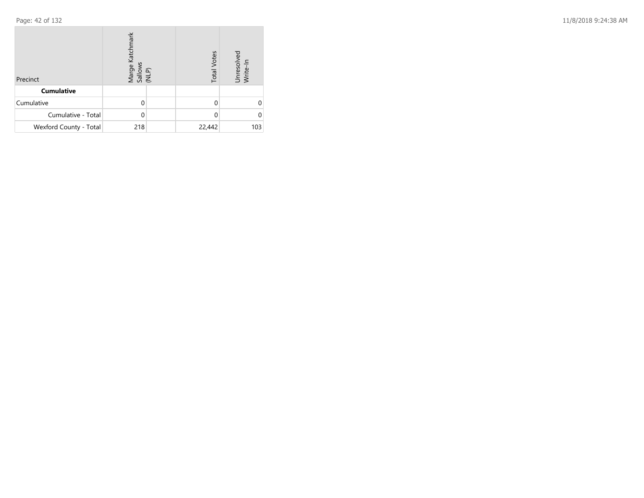| Precinct               | Marge Katchmark<br>Sallows<br>(NLP) | <b>Total Votes</b> | Unresolved<br>Write-In |
|------------------------|-------------------------------------|--------------------|------------------------|
| <b>Cumulative</b>      |                                     |                    |                        |
| Cumulative             | 0                                   |                    |                        |
| Cumulative - Total     | 0                                   |                    |                        |
| Wexford County - Total | 218                                 | 22,442             | 103                    |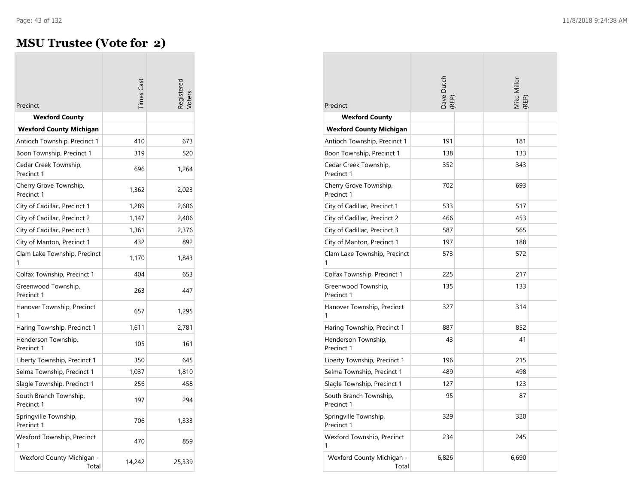$\sim$ 

## **MSU Trustee (Vote for 2)**

| Precinct                             | imes Cas |        |
|--------------------------------------|----------|--------|
| <b>Wexford County</b>                |          |        |
| <b>Wexford County Michigan</b>       |          |        |
| Antioch Township, Precinct 1         | 410      | 673    |
| Boon Township, Precinct 1            | 319      | 520    |
| Cedar Creek Township,<br>Precinct 1  | 696      | 1,264  |
| Cherry Grove Township,<br>Precinct 1 | 1,362    | 2,023  |
| City of Cadillac, Precinct 1         | 1,289    | 2,606  |
| City of Cadillac, Precinct 2         | 1,147    | 2,406  |
| City of Cadillac, Precinct 3         | 1,361    | 2,376  |
| City of Manton, Precinct 1           | 432      | 892    |
| Clam Lake Township, Precinct<br>1    | 1,170    | 1,843  |
| Colfax Township, Precinct 1          | 404      | 653    |
| Greenwood Township,<br>Precinct 1    | 263      | 447    |
| Hanover Township, Precinct           | 657      | 1,295  |
| Haring Township, Precinct 1          | 1,611    | 2,781  |
| Henderson Township,<br>Precinct 1    | 105      | 161    |
| Liberty Township, Precinct 1         | 350      | 645    |
| Selma Township, Precinct 1           | 1,037    | 1,810  |
| Slagle Township, Precinct 1          | 256      | 458    |
| South Branch Township,<br>Precinct 1 | 197      | 294    |
| Springville Township,<br>Precinct 1  | 706      | 1,333  |
| Wexford Township, Precinct<br>1      | 470      | 859    |
| Wexford County Michigan -<br>Total   | 14,242   | 25,339 |

| Precinct                             | Dave Dutch<br>(REP) |  | Mike Miller<br>(REP) |  |
|--------------------------------------|---------------------|--|----------------------|--|
| <b>Wexford County</b>                |                     |  |                      |  |
| <b>Wexford County Michigan</b>       |                     |  |                      |  |
| Antioch Township, Precinct 1         | 191                 |  | 181                  |  |
| Boon Township, Precinct 1            | 138                 |  | 133                  |  |
| Cedar Creek Township,<br>Precinct 1  | 352                 |  | 343                  |  |
| Cherry Grove Township,<br>Precinct 1 | 702                 |  | 693                  |  |
| City of Cadillac, Precinct 1         | 533                 |  | 517                  |  |
| City of Cadillac, Precinct 2         | 466                 |  | 453                  |  |
| City of Cadillac, Precinct 3         | 587                 |  | 565                  |  |
| City of Manton, Precinct 1           | 197                 |  | 188                  |  |
| Clam Lake Township, Precinct<br>1    | 573                 |  | 572                  |  |
| Colfax Township, Precinct 1          | 225                 |  | 217                  |  |
| Greenwood Township,<br>Precinct 1    | 135                 |  | 133                  |  |
| Hanover Township, Precinct<br>1      | 327                 |  | 314                  |  |
| Haring Township, Precinct 1          | 887                 |  | 852                  |  |
| Henderson Township,<br>Precinct 1    | 43                  |  | 41                   |  |
| Liberty Township, Precinct 1         | 196                 |  | 215                  |  |
| Selma Township, Precinct 1           | 489                 |  | 498                  |  |
| Slagle Township, Precinct 1          | 127                 |  | 123                  |  |
| South Branch Township,<br>Precinct 1 | 95                  |  | 87                   |  |
| Springville Township,<br>Precinct 1  | 329                 |  | 320                  |  |
| Wexford Township, Precinct<br>1      | 234                 |  | 245                  |  |
| Wexford County Michigan -<br>Total   | 6.826               |  | 6,690                |  |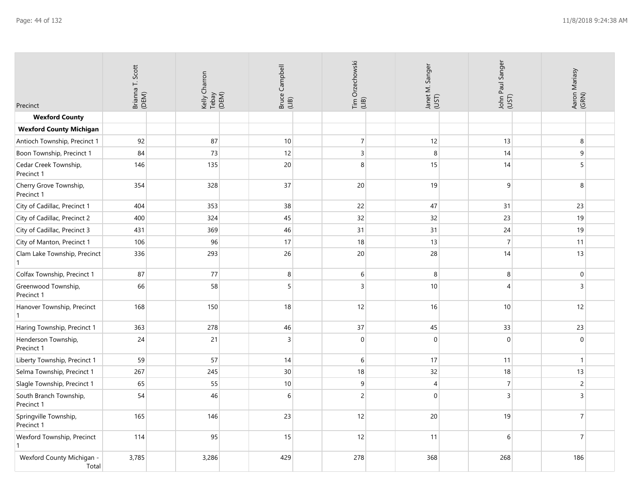| Precinct                             | Brianna T. Scott<br>(DEM) | Kelly Charron<br>Tebay<br>(DEM) | Bruce Campbell<br>(LIB) | Tim Orzechowski<br>(LIB) | Janet M. Sanger<br>(UST) | John Paul Sanger<br>(UST) | Aaron Mariasy<br>(GRN) |
|--------------------------------------|---------------------------|---------------------------------|-------------------------|--------------------------|--------------------------|---------------------------|------------------------|
| <b>Wexford County</b>                |                           |                                 |                         |                          |                          |                           |                        |
| <b>Wexford County Michigan</b>       |                           |                                 |                         |                          |                          |                           |                        |
| Antioch Township, Precinct 1         | 92                        | 87                              | 10                      | $\overline{7}$           | 12                       | 13                        | 8                      |
| Boon Township, Precinct 1            | 84                        | 73                              | 12                      | $\overline{3}$           | 8                        | 14                        | 9                      |
| Cedar Creek Township,<br>Precinct 1  | 146                       | 135                             | 20                      | 8                        | 15                       | 14                        | 5                      |
| Cherry Grove Township,<br>Precinct 1 | 354                       | 328                             | 37                      | 20                       | 19                       | 9                         | 8                      |
| City of Cadillac, Precinct 1         | 404                       | 353                             | 38                      | 22                       | 47                       | 31                        | 23                     |
| City of Cadillac, Precinct 2         | 400                       | 324                             | 45                      | 32                       | 32                       | 23                        | 19                     |
| City of Cadillac, Precinct 3         | 431                       | 369                             | 46                      | 31                       | 31                       | 24                        | 19                     |
| City of Manton, Precinct 1           | 106                       | 96                              | 17                      | 18                       | 13                       | $\overline{7}$            | 11                     |
| Clam Lake Township, Precinct         | 336                       | 293                             | 26                      | 20                       | 28                       | 14                        | 13                     |
| Colfax Township, Precinct 1          | 87                        | 77                              | 8                       | 6                        | 8                        | 8                         | $\boldsymbol{0}$       |
| Greenwood Township,<br>Precinct 1    | 66                        | 58                              | 5                       | 3                        | 10 <sup>1</sup>          | $\overline{\mathbf{A}}$   | $\overline{3}$         |
| Hanover Township, Precinct           | 168                       | 150                             | 18                      | 12                       | 16                       | 10                        | 12                     |
| Haring Township, Precinct 1          | 363                       | 278                             | 46                      | 37                       | 45                       | 33                        | 23                     |
| Henderson Township,<br>Precinct 1    | 24                        | 21                              | $\overline{3}$          | $\mathbf{0}$             | $\mathbf{0}$             | $\Omega$                  | $\mathbf{0}$           |
| Liberty Township, Precinct 1         | 59                        | 57                              | 14                      | 6                        | 17                       | 11                        | $\mathbf{1}$           |
| Selma Township, Precinct 1           | 267                       | 245                             | 30                      | 18                       | 32                       | 18                        | 13                     |
| Slagle Township, Precinct 1          | 65                        | 55                              | 10                      | 9                        | $\overline{4}$           | $\overline{7}$            | $\overline{c}$         |
| South Branch Township,<br>Precinct 1 | 54                        | 46                              | 6                       | $\sqrt{2}$               | $\boldsymbol{0}$         | $\overline{3}$            | 3                      |
| Springville Township,<br>Precinct 1  | 165                       | 146                             | 23                      | 12                       | 20                       | 19                        | $\overline{7}$         |
| Wexford Township, Precinct           | 114                       | 95                              | 15                      | 12                       | 11                       | 6                         | $\overline{7}$         |
| Wexford County Michigan -<br>Total   | 3,785                     | 3,286                           | 429                     | 278                      | 368                      | 268                       | 186                    |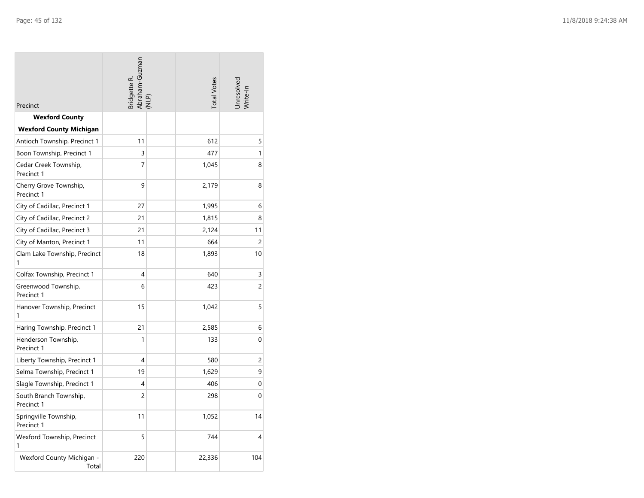| Precinct                             | Abraham-Guzman<br>(NLP)<br>3ridgette R. |  | <b>Total Votes</b> | Unresolved<br>Write-In |
|--------------------------------------|-----------------------------------------|--|--------------------|------------------------|
| <b>Wexford County</b>                |                                         |  |                    |                        |
| <b>Wexford County Michigan</b>       |                                         |  |                    |                        |
| Antioch Township, Precinct 1         | 11                                      |  | 612                | 5                      |
| Boon Township, Precinct 1            | 3                                       |  | 477                | 1                      |
| Cedar Creek Township,<br>Precinct 1  | 7                                       |  | 1,045              | 8                      |
| Cherry Grove Township,<br>Precinct 1 | 9                                       |  | 2,179              | 8                      |
| City of Cadillac, Precinct 1         | 27                                      |  | 1,995              | 6                      |
| City of Cadillac, Precinct 2         | 21                                      |  | 1,815              | 8                      |
| City of Cadillac, Precinct 3         | 21                                      |  | 2,124              | 11                     |
| City of Manton, Precinct 1           | 11                                      |  | 664                | 2                      |
| Clam Lake Township, Precinct<br>1    | 18                                      |  | 1,893              | 10                     |
| Colfax Township, Precinct 1          | 4                                       |  | 640                | 3                      |
| Greenwood Township,<br>Precinct 1    | 6                                       |  | 423                | $\overline{c}$         |
| Hanover Township, Precinct<br>1      | 15                                      |  | 1,042              | 5                      |
| Haring Township, Precinct 1          | 21                                      |  | 2,585              | 6                      |
| Henderson Township,<br>Precinct 1    | 1                                       |  | 133                | 0                      |
| Liberty Township, Precinct 1         | 4                                       |  | 580                | 2                      |
| Selma Township, Precinct 1           | 19                                      |  | 1,629              | 9                      |
| Slagle Township, Precinct 1          | 4                                       |  | 406                | $\mathbf{0}$           |
| South Branch Township,<br>Precinct 1 | $\overline{c}$                          |  | 298                | 0                      |
| Springville Township,<br>Precinct 1  | 11                                      |  | 1,052              | 14                     |
| Wexford Township, Precinct<br>1      | 5                                       |  | 744                | 4                      |
| Wexford County Michigan -<br>Total   | 220                                     |  | 22,336             | 104                    |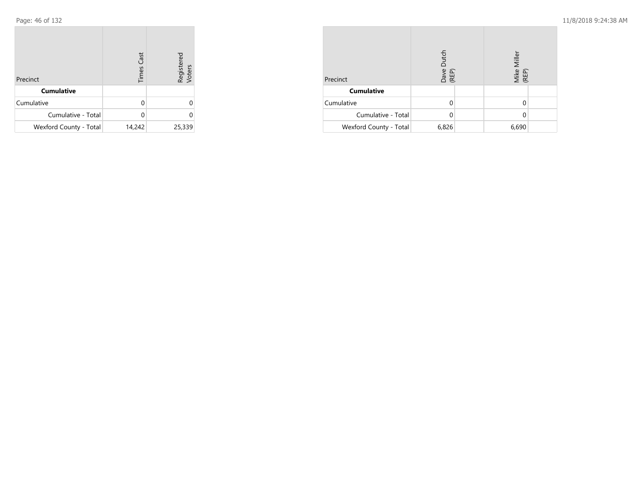| Precinct               | <b>Times Cast</b> | Registered<br>Voters |
|------------------------|-------------------|----------------------|
| <b>Cumulative</b>      |                   |                      |
| Cumulative             |                   |                      |
| Cumulative - Total     |                   |                      |
| Wexford County - Total | 14,242            | 25,339               |

| Precinct               | Dutch<br>Dave<br>(REP) | Mike Miller<br>(REP) |  |
|------------------------|------------------------|----------------------|--|
| <b>Cumulative</b>      |                        |                      |  |
| Cumulative             |                        |                      |  |
| Cumulative - Total     |                        |                      |  |
| Wexford County - Total | 6,826                  | 6,690                |  |

**COL**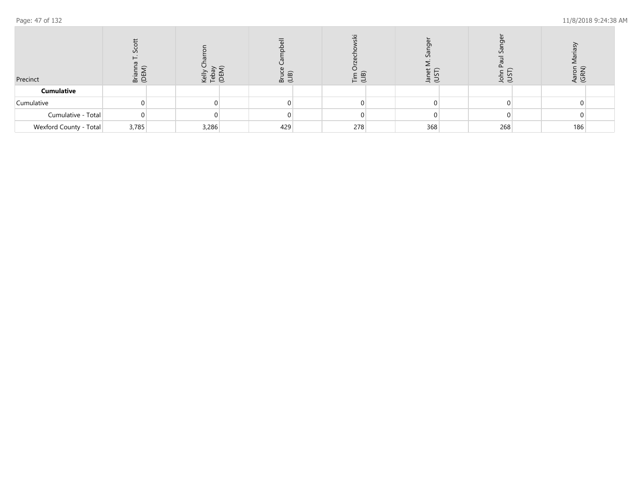| Precinct               | S<br>질 모 | veli<br>Tepa | മ ≓ | ⊏ `മ`<br>보 북 | ZU<br>S | रे इं | දී මි |  |
|------------------------|----------|--------------|-----|--------------|---------|-------|-------|--|
| <b>Cumulative</b>      |          |              |     |              |         |       |       |  |
| Cumulative             |          |              |     |              |         |       |       |  |
| Cumulative - Total     |          |              |     |              |         |       |       |  |
| Wexford County - Total | 3,785    | 3,286        | 429 | 278          | 368     | 268   | 186   |  |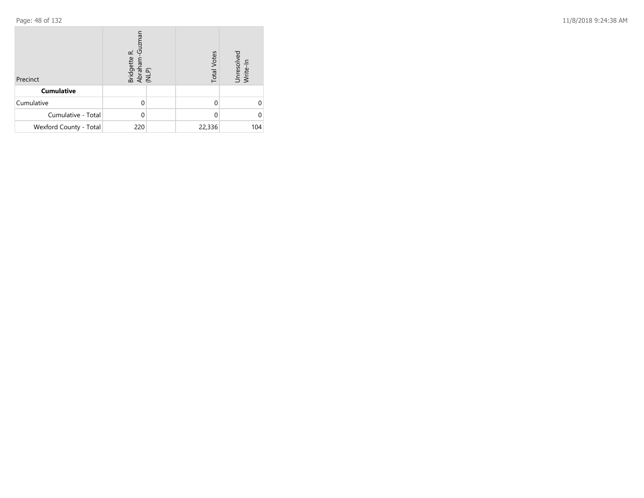| Precinct               | <b>IEWIZI</b><br>යි<br>œ<br>Bridgette<br>Abraham-<br>(NLP) |  | <b>Total Votes</b> | Unresolved<br>Write-In |
|------------------------|------------------------------------------------------------|--|--------------------|------------------------|
| <b>Cumulative</b>      |                                                            |  |                    |                        |
| Cumulative             |                                                            |  |                    |                        |
| Cumulative - Total     |                                                            |  |                    |                        |
| Wexford County - Total | 220                                                        |  | 22,336             | 104                    |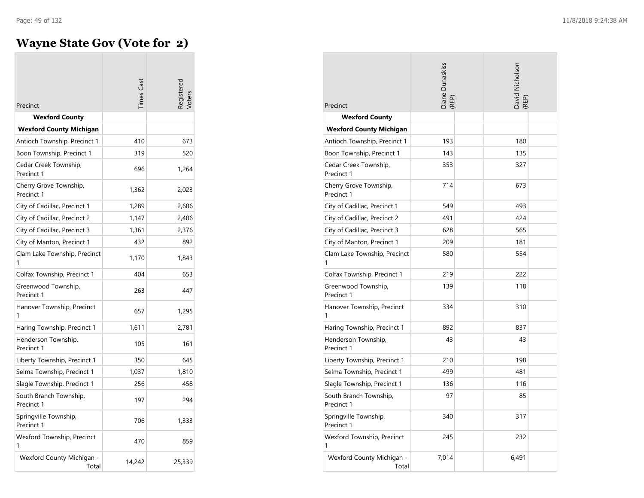$\sim$ 

# **Wayne State Gov (Vote for 2)**

| Precinct                             | imes Cas |        |
|--------------------------------------|----------|--------|
| <b>Wexford County</b>                |          |        |
| <b>Wexford County Michigan</b>       |          |        |
| Antioch Township, Precinct 1         | 410      | 673    |
| Boon Township, Precinct 1            | 319      | 520    |
| Cedar Creek Township,<br>Precinct 1  | 696      | 1,264  |
| Cherry Grove Township,<br>Precinct 1 | 1,362    | 2,023  |
| City of Cadillac, Precinct 1         | 1,289    | 2,606  |
| City of Cadillac, Precinct 2         | 1,147    | 2,406  |
| City of Cadillac, Precinct 3         | 1,361    | 2,376  |
| City of Manton, Precinct 1           | 432      | 892    |
| Clam Lake Township, Precinct<br>1    | 1,170    | 1,843  |
| Colfax Township, Precinct 1          | 404      | 653    |
| Greenwood Township,<br>Precinct 1    | 263      | 447    |
| Hanover Township, Precinct           | 657      | 1,295  |
| Haring Township, Precinct 1          | 1,611    | 2,781  |
| Henderson Township,<br>Precinct 1    | 105      | 161    |
| Liberty Township, Precinct 1         | 350      | 645    |
| Selma Township, Precinct 1           | 1,037    | 1,810  |
| Slagle Township, Precinct 1          | 256      | 458    |
| South Branch Township,<br>Precinct 1 | 197      | 294    |
| Springville Township,<br>Precinct 1  | 706      | 1,333  |
| Wexford Township, Precinct<br>1      | 470      | 859    |
| Wexford County Michigan -<br>Total   | 14,242   | 25,339 |

| Precinct                             | Diane Dunaskiss<br>(REP) | David Nicholson<br>(REP) |  |
|--------------------------------------|--------------------------|--------------------------|--|
| <b>Wexford County</b>                |                          |                          |  |
| <b>Wexford County Michigan</b>       |                          |                          |  |
| Antioch Township, Precinct 1         | 193                      | 180                      |  |
| Boon Township, Precinct 1            | 143                      | 135                      |  |
| Cedar Creek Township,<br>Precinct 1  | 353                      | 327                      |  |
| Cherry Grove Township,<br>Precinct 1 | 714                      | 673                      |  |
| City of Cadillac, Precinct 1         | 549                      | 493                      |  |
| City of Cadillac, Precinct 2         | 491                      | 424                      |  |
| City of Cadillac, Precinct 3         | 628                      | 565                      |  |
| City of Manton, Precinct 1           | 209                      | 181                      |  |
| Clam Lake Township, Precinct<br>1    | 580                      | 554                      |  |
| Colfax Township, Precinct 1          | 219                      | 222                      |  |
| Greenwood Township,<br>Precinct 1    | 139                      | 118                      |  |
| Hanover Township, Precinct           | 334                      | 310                      |  |
| Haring Township, Precinct 1          | 892                      | 837                      |  |
| Henderson Township,<br>Precinct 1    | 43                       | 43                       |  |
| Liberty Township, Precinct 1         | 210                      | 198                      |  |
| Selma Township, Precinct 1           | 499                      | 481                      |  |
| Slagle Township, Precinct 1          | 136                      | 116                      |  |
| South Branch Township,<br>Precinct 1 | 97                       | 85                       |  |
| Springville Township,<br>Precinct 1  | 340                      | 317                      |  |
| Wexford Township, Precinct<br>1      | 245                      | 232                      |  |
| Wexford County Michigan -<br>Total   | 7,014                    | 6,491                    |  |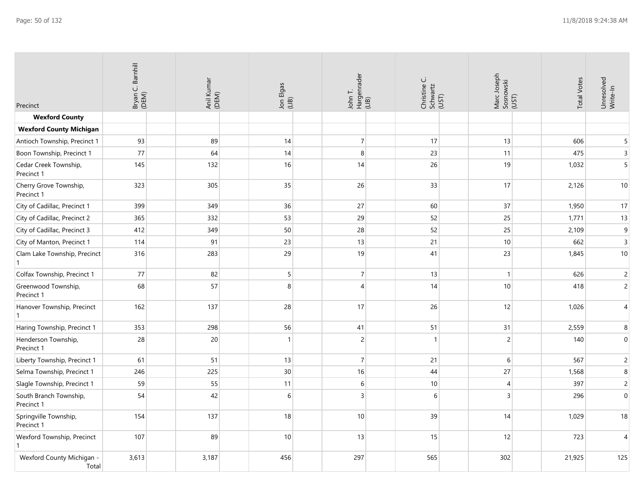| Precinct                             | Bryan C. Barnhill<br>(DEM) | Anil Kumar<br>(DEM) | Jon Elgas<br>(LIB) | John T.<br>Hargenrader<br>(LIB) | Christine C.<br>Schwartz<br>(UST) | Marc Joseph<br>Sosnowski<br>(UST) | <b>Total Votes</b> | Unresolved<br>Write-In |
|--------------------------------------|----------------------------|---------------------|--------------------|---------------------------------|-----------------------------------|-----------------------------------|--------------------|------------------------|
| <b>Wexford County</b>                |                            |                     |                    |                                 |                                   |                                   |                    |                        |
| <b>Wexford County Michigan</b>       |                            |                     |                    |                                 |                                   |                                   |                    |                        |
| Antioch Township, Precinct 1         | 93                         | 89                  | 14                 | $\overline{7}$                  | 17                                | 13                                | 606                | 5                      |
| Boon Township, Precinct 1            | 77                         | 64                  | 14                 | 8                               | 23                                | 11                                | 475                | $\overline{3}$         |
| Cedar Creek Township,<br>Precinct 1  | 145                        | 132                 | 16                 | 14                              | 26                                | 19                                | 1,032              | $5\overline{)}$        |
| Cherry Grove Township,<br>Precinct 1 | 323                        | 305                 | 35                 | 26                              | 33                                | 17                                | 2,126              | $10$                   |
| City of Cadillac, Precinct 1         | 399                        | 349                 | 36                 | 27                              | 60                                | 37                                | 1,950              | 17                     |
| City of Cadillac, Precinct 2         | 365                        | 332                 | 53                 | 29                              | 52                                | 25                                | 1,771              | 13                     |
| City of Cadillac, Precinct 3         | 412                        | 349                 | 50                 | 28                              | 52                                | 25                                | 2,109              | $\boldsymbol{9}$       |
| City of Manton, Precinct 1           | 114                        | 91                  | 23                 | 13                              | 21                                | 10                                | 662                | $\overline{3}$         |
| Clam Lake Township, Precinct         | 316                        | 283                 | 29                 | 19                              | 41                                | 23                                | 1,845              | $10$                   |
| Colfax Township, Precinct 1          | $77$                       | 82                  | 5 <sup>1</sup>     | $\overline{7}$                  | 13                                | $\mathbf{1}$                      | 626                | $\overline{c}$         |
| Greenwood Township,<br>Precinct 1    | 68                         | 57                  | 8                  | $\overline{4}$                  | 14                                | 10                                | 418                | $\overline{2}$         |
| Hanover Township, Precinct<br>1      | 162                        | 137                 | 28                 | 17                              | 26                                | 12                                | 1,026              | $\overline{4}$         |
| Haring Township, Precinct 1          | 353                        | 298                 | 56                 | 41                              | 51                                | 31                                | 2,559              | $\bf 8$                |
| Henderson Township,<br>Precinct 1    | 28                         | 20                  | 1                  | $\sqrt{2}$                      | $\mathbf{1}$                      | $\sqrt{2}$                        | 140                | $\boldsymbol{0}$       |
| Liberty Township, Precinct 1         | 61                         | 51                  | 13                 | $\overline{7}$                  | 21                                | 6                                 | 567                | $\overline{2}$         |
| Selma Township, Precinct 1           | 246                        | 225                 | 30                 | 16                              | 44                                | 27                                | 1,568              | $\bf 8$                |
| Slagle Township, Precinct 1          | 59                         | 55                  | 11                 | 6                               | 10                                | $\overline{4}$                    | 397                | $\overline{c}$         |
| South Branch Township,<br>Precinct 1 | 54                         | 42                  | 6                  | $\overline{3}$                  | $\sqrt{6}$                        | 3                                 | 296                | $\boldsymbol{0}$       |
| Springville Township,<br>Precinct 1  | 154                        | 137                 | 18                 | 10                              | 39                                | 14                                | 1,029              | 18                     |
| Wexford Township, Precinct           | 107                        | 89                  | 10 <sup>1</sup>    | 13                              | 15                                | 12                                | 723                | $\overline{4}$         |
| Wexford County Michigan -<br>Total   | 3,613                      | 3,187               | 456                | 297                             | 565                               | 302                               | 21,925             | 125                    |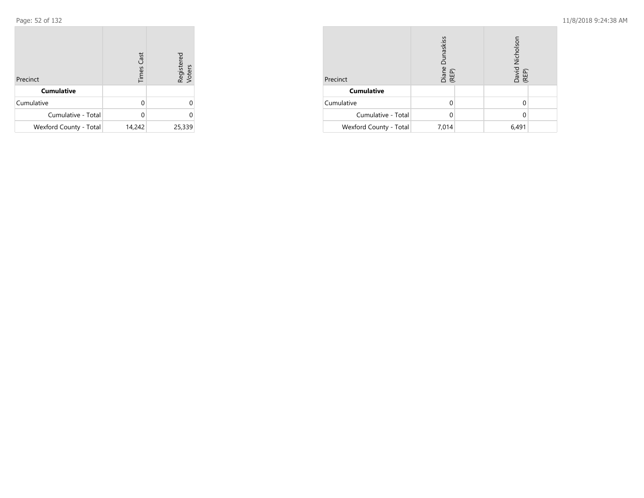| Precinct               | <b>Times Cast</b> | Registered<br>Voters |
|------------------------|-------------------|----------------------|
| <b>Cumulative</b>      |                   |                      |
| Cumulative             |                   |                      |
| Cumulative - Total     |                   |                      |
| Wexford County - Total | 14,242            | 25,339               |

| Precinct               | Dunaskiss<br>Diane<br>(REP) | Nicholson<br>David<br>(REP) |  |
|------------------------|-----------------------------|-----------------------------|--|
| <b>Cumulative</b>      |                             |                             |  |
| Cumulative             |                             |                             |  |
| Cumulative - Total     |                             |                             |  |
| Wexford County - Total | 7,014                       | 6,491                       |  |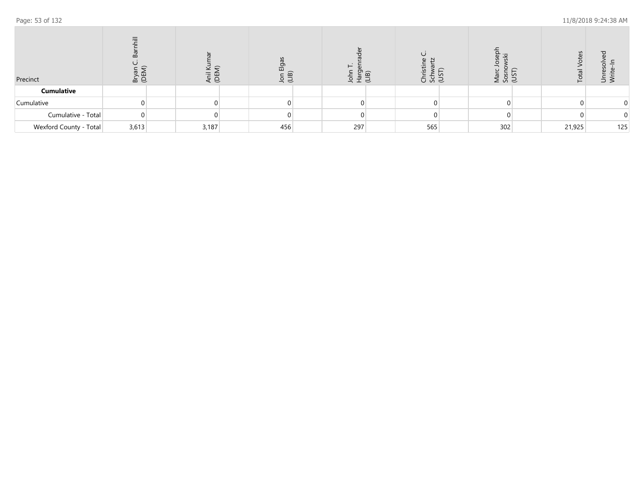| Precinct               | ₹<br>고 호 | Ē<br>Ü | $\overline{\mathbf{Q}}$<br>ш<br>lon<br>(LIB) | ᄒ<br>으 | ħ<br>ᡴᠦ<br>(LIB)<br>s s s | TSI<br>IST<br>585 |        | ⊃<br>⋝ |
|------------------------|----------|--------|----------------------------------------------|--------|---------------------------|-------------------|--------|--------|
| <b>Cumulative</b>      |          |        |                                              |        |                           |                   |        |        |
| Cumulative             |          |        |                                              |        |                           |                   |        |        |
| Cumulative - Total     |          |        |                                              |        |                           |                   |        |        |
| Wexford County - Total | 3,613    | 3,187  | 456                                          | 297    | 565                       | 302               | 21,925 | 125    |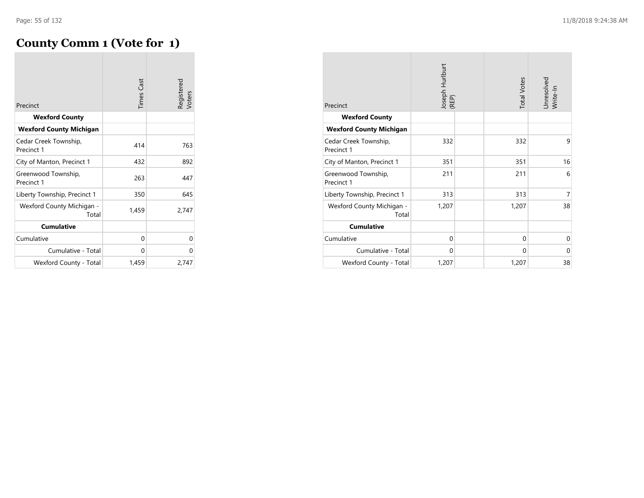## **County Comm 1 (Vote for 1)**

| Precinct                            | <b>Times Cast</b> | Registered<br>Voters |
|-------------------------------------|-------------------|----------------------|
| <b>Wexford County</b>               |                   |                      |
| <b>Wexford County Michigan</b>      |                   |                      |
| Cedar Creek Township,<br>Precinct 1 | 414               | 763                  |
| City of Manton, Precinct 1          | 432               | 892                  |
| Greenwood Township,<br>Precinct 1   | 263               | 447                  |
| Liberty Township, Precinct 1        | 350               | 645                  |
| Wexford County Michigan -<br>Total  | 1,459             | 2,747                |
| <b>Cumulative</b>                   |                   |                      |
| Cumulative                          | 0                 | 0                    |
| Cumulative - Total                  | 0                 | 0                    |
| Wexford County - Total              | 1,459             | 2,747                |

| Precinct<br><b>Wexford County</b>   | Joseph Hurlburt<br>(REP) |  | <b>Total Votes</b> | Unresolved<br>Write-In |
|-------------------------------------|--------------------------|--|--------------------|------------------------|
| <b>Wexford County Michigan</b>      |                          |  |                    |                        |
| Cedar Creek Township,<br>Precinct 1 | 332                      |  | 332                | 9                      |
| City of Manton, Precinct 1          | 351                      |  | 351                | 16                     |
| Greenwood Township,<br>Precinct 1   | 211                      |  | 211                | 6                      |
| Liberty Township, Precinct 1        | 313                      |  | 313                | 7                      |
| Wexford County Michigan -<br>Total  | 1,207                    |  | 1,207              | 38                     |
| <b>Cumulative</b>                   |                          |  |                    |                        |
| Cumulative                          | $\Omega$                 |  | $\Omega$           | $\mathbf 0$            |
| Cumulative - Total                  | 0                        |  | $\Omega$           | $\Omega$               |
| Wexford County - Total              | 1,207                    |  | 1,207              | 38                     |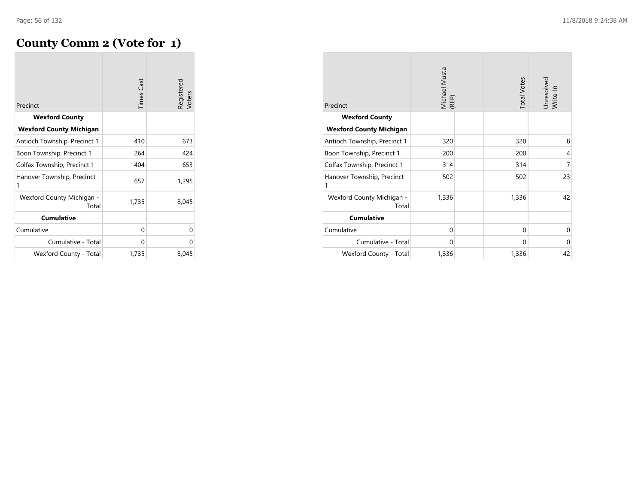# **County Comm 2 (Vote for 1)**

| Precinct                           | <b>Times Cast</b> | Registered<br>Voters |
|------------------------------------|-------------------|----------------------|
| <b>Wexford County</b>              |                   |                      |
| <b>Wexford County Michigan</b>     |                   |                      |
| Antioch Township, Precinct 1       | 410               | 673                  |
| Boon Township, Precinct 1          | 264               | 424                  |
| Colfax Township, Precinct 1        | 404               | 653                  |
| Hanover Township, Precinct<br>1    | 657               | 1,295                |
| Wexford County Michigan -<br>Total | 1,735             | 3,045                |
| <b>Cumulative</b>                  |                   |                      |
| Cumulative                         | 0                 | 0                    |
| Cumulative - Total                 | 0                 | ∩                    |
| Wexford County - Total             | 1,735             | 3,045                |

| Precinct                           | <b>Vichael Musta</b><br>(REP) | <b>Total Votes</b> | Unresolved<br>Write-In |
|------------------------------------|-------------------------------|--------------------|------------------------|
| <b>Wexford County</b>              |                               |                    |                        |
| <b>Wexford County Michigan</b>     |                               |                    |                        |
| Antioch Township, Precinct 1       | 320                           | 320                | 8                      |
| Boon Township, Precinct 1          | 200                           | 200                | $\overline{4}$         |
| Colfax Township, Precinct 1        | 314                           | 314                | 7                      |
| Hanover Township, Precinct<br>1    | 502                           | 502                | 23                     |
| Wexford County Michigan -<br>Total | 1,336                         | 1,336              | 42                     |
| <b>Cumulative</b>                  |                               |                    |                        |
| Cumulative                         | $\mathbf 0$                   | $\Omega$           | $\mathbf 0$            |
| Cumulative - Total                 | $\Omega$                      | $\Omega$           | $\Omega$               |
| Wexford County - Total             | 1,336                         | 1,336              | 42                     |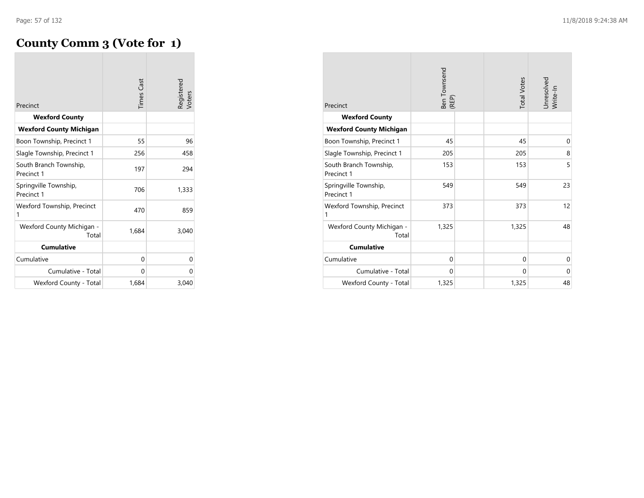# **County Comm 3 (Vote for 1)**

| Precinct                             | <b>Times Cast</b> | Registered<br>Voters |
|--------------------------------------|-------------------|----------------------|
| <b>Wexford County</b>                |                   |                      |
| <b>Wexford County Michigan</b>       |                   |                      |
| Boon Township, Precinct 1            | 55                | 96                   |
| Slagle Township, Precinct 1          | 256               | 458                  |
| South Branch Township,<br>Precinct 1 | 197               | 294                  |
| Springville Township,<br>Precinct 1  | 706               | 1,333                |
| Wexford Township, Precinct<br>1      | 470               | 859                  |
| Wexford County Michigan -<br>Total   | 1,684             | 3,040                |
| <b>Cumulative</b>                    |                   |                      |
| Cumulative                           | 0                 | 0                    |
| Cumulative - Total                   | 0                 | 0                    |
| Wexford County - Total               | 1,684             | 3,040                |

| Precinct                             | Ben Townsend<br>(REP) | <b>Total Votes</b> | Unresolved<br>Write-In |
|--------------------------------------|-----------------------|--------------------|------------------------|
| <b>Wexford County</b>                |                       |                    |                        |
| <b>Wexford County Michigan</b>       |                       |                    |                        |
| Boon Township, Precinct 1            | 45                    | 45                 | $\mathbf 0$            |
| Slagle Township, Precinct 1          | 205                   | 205                | 8                      |
| South Branch Township,<br>Precinct 1 | 153                   | 153                | 5                      |
| Springville Township,<br>Precinct 1  | 549                   | 549                | 23                     |
| Wexford Township, Precinct<br>1      | 373                   | 373                | 12                     |
| Wexford County Michigan -<br>Total   | 1,325                 | 1,325              | 48                     |
| <b>Cumulative</b>                    |                       |                    |                        |
| Cumulative                           | $\Omega$              | $\Omega$           | $\Omega$               |
| Cumulative - Total                   | $\Omega$              | $\Omega$           | $\Omega$               |
| Wexford County - Total               | 1,325                 | 1,325              | 48                     |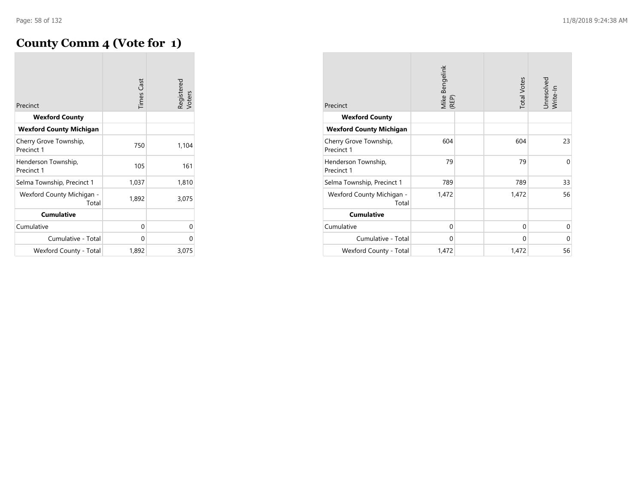## **County Comm 4 (Vote for 1)**

| Precinct                             | <b>Times Cast</b> | Registered<br>Voters |
|--------------------------------------|-------------------|----------------------|
| <b>Wexford County</b>                |                   |                      |
| <b>Wexford County Michigan</b>       |                   |                      |
| Cherry Grove Township,<br>Precinct 1 | 750               | 1,104                |
| Henderson Township,<br>Precinct 1    | 105               | 161                  |
| Selma Township, Precinct 1           | 1,037             | 1,810                |
| Wexford County Michigan -<br>Total   | 1,892             | 3,075                |
| <b>Cumulative</b>                    |                   |                      |
| Cumulative                           | 0                 | 0                    |
| Cumulative - Total                   | 0                 | 0                    |
| Wexford County - Total               | 1,892             | 3,075                |

| Precinct                             | Mike Bengelink<br>(REP) | <b>Total Votes</b> | Unresolved<br>Write-In |
|--------------------------------------|-------------------------|--------------------|------------------------|
| <b>Wexford County</b>                |                         |                    |                        |
| <b>Wexford County Michigan</b>       |                         |                    |                        |
| Cherry Grove Township,<br>Precinct 1 | 604                     | 604                | 23                     |
| Henderson Township,<br>Precinct 1    | 79                      | 79                 | $\Omega$               |
| Selma Township, Precinct 1           | 789                     | 789                | 33                     |
| Wexford County Michigan -<br>Total   | 1,472                   | 1,472              | 56                     |
| <b>Cumulative</b>                    |                         |                    |                        |
| Cumulative                           | $\mathbf 0$             | $\Omega$           | $\Omega$               |
| Cumulative - Total                   | $\mathbf 0$             | $\Omega$           | $\Omega$               |
| Wexford County - Total               | 1,472                   | 1,472              | 56                     |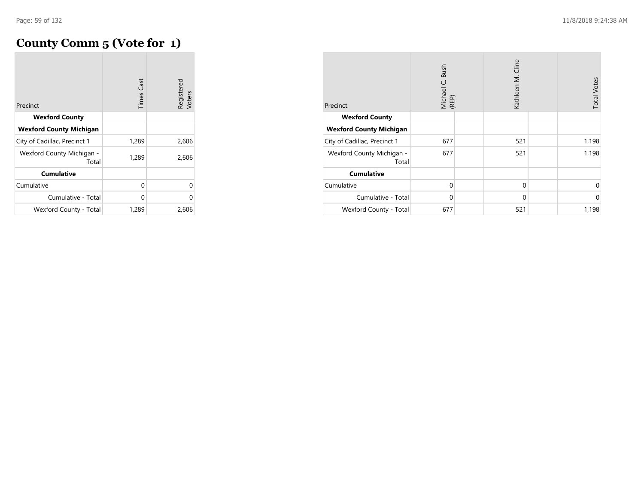## **County Comm 5 (Vote for 1)**

|                                    | <b>Times Cast</b> | Registered<br>Voters |
|------------------------------------|-------------------|----------------------|
| Precinct                           |                   |                      |
| <b>Wexford County</b>              |                   |                      |
| <b>Wexford County Michigan</b>     |                   |                      |
| City of Cadillac, Precinct 1       | 1,289             | 2,606                |
| Wexford County Michigan -<br>Total | 1,289             | 2,606                |
| <b>Cumulative</b>                  |                   |                      |
| Cumulative                         | 0                 | 0                    |
| Cumulative - Total                 | 0                 | $\Omega$             |
| Wexford County - Total             | 1,289             | 2,606                |

| Precinct                           | Bush<br>Michael C.<br>(REP) | Kathleen M. Cline | <b>Total Votes</b> |
|------------------------------------|-----------------------------|-------------------|--------------------|
| <b>Wexford County</b>              |                             |                   |                    |
| <b>Wexford County Michigan</b>     |                             |                   |                    |
| City of Cadillac, Precinct 1       | 677                         | 521               | 1,198              |
| Wexford County Michigan -<br>Total | 677                         | 521               | 1,198              |
| <b>Cumulative</b>                  |                             |                   |                    |
| Cumulative                         | $\Omega$                    | $\mathbf 0$       | 0                  |
| Cumulative - Total                 | $\mathbf{0}$                | $\mathbf{0}$      | $\mathbf{0}$       |
| Wexford County - Total             | 677                         | 521               | 1,198              |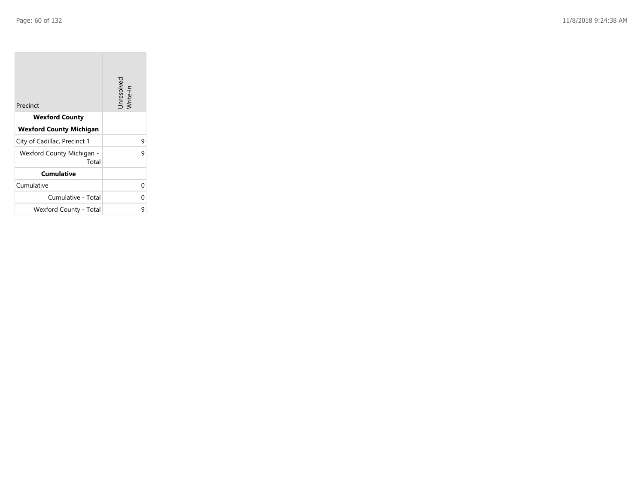**College** 

| Precinct                           | Unresolved<br>Write-In |
|------------------------------------|------------------------|
| <b>Wexford County</b>              |                        |
| <b>Wexford County Michigan</b>     |                        |
| City of Cadillac, Precinct 1       | 9                      |
| Wexford County Michigan -<br>Total | 9                      |
| <b>Cumulative</b>                  |                        |
| Cumulative                         | U                      |
| Cumulative - Total                 | 0                      |
| Wexford County - Total             | 9                      |

the control of the control of the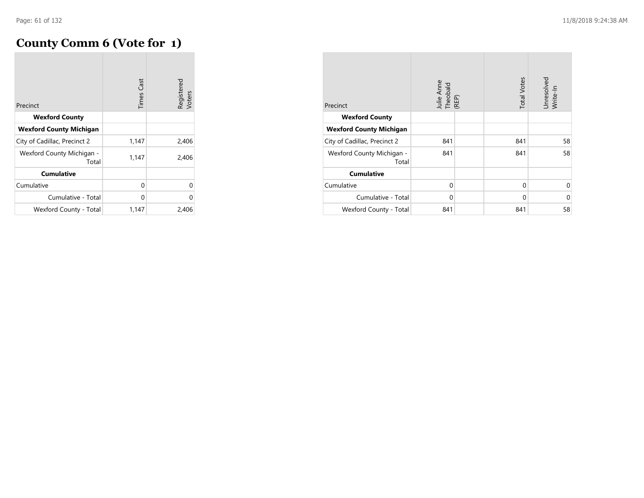## **County Comm 6 (Vote for 1)**

| Precinct                           | <b>Times Cast</b> | Registered<br>Voters |
|------------------------------------|-------------------|----------------------|
| <b>Wexford County</b>              |                   |                      |
| <b>Wexford County Michigan</b>     |                   |                      |
| City of Cadillac, Precinct 2       | 1,147             | 2,406                |
| Wexford County Michigan -<br>Total | 1,147             | 2,406                |
| <b>Cumulative</b>                  |                   |                      |
| Cumulative                         | 0                 | U                    |
| Cumulative - Total                 | 0                 | 0                    |
| Wexford County - Total             | 1,147             | 2,406                |

| Precinct                           | Julie Anne<br>Theobald<br>(REP) | <b>Total Votes</b> | Unresolved<br>Write-In |
|------------------------------------|---------------------------------|--------------------|------------------------|
| <b>Wexford County</b>              |                                 |                    |                        |
| <b>Wexford County Michigan</b>     |                                 |                    |                        |
| City of Cadillac, Precinct 2       | 841                             | 841                | 58                     |
| Wexford County Michigan -<br>Total | 841                             | 841                | 58                     |
| <b>Cumulative</b>                  |                                 |                    |                        |
| Cumulative                         | $\mathbf{0}$                    | $\mathbf 0$        | $\Omega$               |
| Cumulative - Total                 | $\mathbf 0$                     | $\mathbf 0$        | $\Omega$               |
| Wexford County - Total             | 841                             | 841                | 58                     |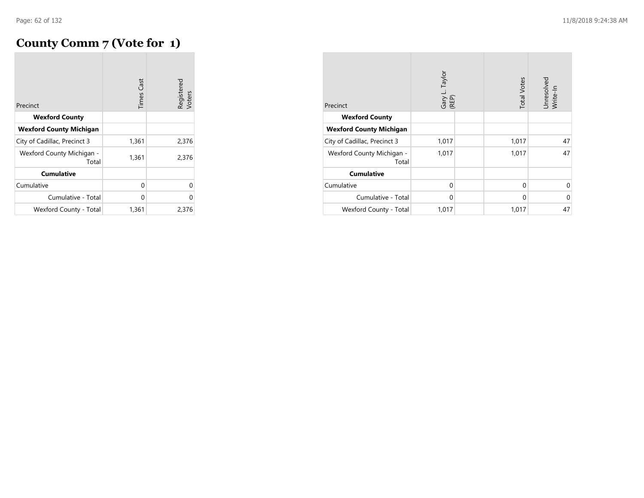## **County Comm 7 (Vote for 1)**

| Precinct                           | Cast<br>Times | Registered<br>Voters |
|------------------------------------|---------------|----------------------|
| <b>Wexford County</b>              |               |                      |
| <b>Wexford County Michigan</b>     |               |                      |
| City of Cadillac, Precinct 3       | 1,361         | 2,376                |
| Wexford County Michigan -<br>Total | 1,361         | 2,376                |
| <b>Cumulative</b>                  |               |                      |
| Cumulative                         | 0             | U                    |
| Cumulative - Total                 | 0             | 0                    |
| Wexford County - Total             | 1,361         | 2,376                |

| Precinct                           | Gary L. Taylor<br>(REP) | <b>Total Votes</b> | Unresolved<br>Write-In |
|------------------------------------|-------------------------|--------------------|------------------------|
| <b>Wexford County</b>              |                         |                    |                        |
| <b>Wexford County Michigan</b>     |                         |                    |                        |
| City of Cadillac, Precinct 3       | 1,017                   | 1,017              | 47                     |
| Wexford County Michigan -<br>Total | 1,017                   | 1,017              | 47                     |
| <b>Cumulative</b>                  |                         |                    |                        |
| Cumulative                         | $\Omega$                | $\mathbf 0$        | 0                      |
| Cumulative - Total                 | $\mathbf 0$             | $\mathbf 0$        | $\Omega$               |
| Wexford County - Total             | 1,017                   | 1,017              | 47                     |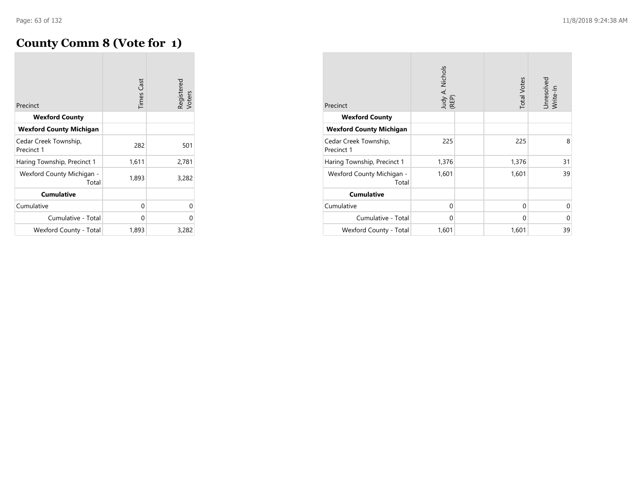## **County Comm 8 (Vote for 1)**

| Precinct                            | <b>Times Cast</b> | Registered<br>Voters |
|-------------------------------------|-------------------|----------------------|
| <b>Wexford County</b>               |                   |                      |
| <b>Wexford County Michigan</b>      |                   |                      |
| Cedar Creek Township,<br>Precinct 1 | 282               | 501                  |
| Haring Township, Precinct 1         | 1,611             | 2,781                |
| Wexford County Michigan -<br>Total  | 1,893             | 3,282                |
| <b>Cumulative</b>                   |                   |                      |
| Cumulative                          | 0                 | O                    |
| Cumulative - Total                  | 0                 | 0                    |
| Wexford County - Total              | 1,893             | 3,282                |

| Precinct                            | Judy A. Nichols<br>(REP) |  | <b>Total Votes</b> | Unresolved<br>Write-In |
|-------------------------------------|--------------------------|--|--------------------|------------------------|
| <b>Wexford County</b>               |                          |  |                    |                        |
| <b>Wexford County Michigan</b>      |                          |  |                    |                        |
| Cedar Creek Township,<br>Precinct 1 | 225                      |  | 225                | 8                      |
| Haring Township, Precinct 1         | 1,376                    |  | 1,376              | 31                     |
| Wexford County Michigan -<br>Total  | 1,601                    |  | 1,601              | 39                     |
| <b>Cumulative</b>                   |                          |  |                    |                        |
| Cumulative                          | $\mathbf 0$              |  | $\mathbf 0$        | $\Omega$               |
| Cumulative - Total                  | $\Omega$                 |  | $\Omega$           | 0                      |
| Wexford County - Total              | 1,601                    |  | 1,601              | 39                     |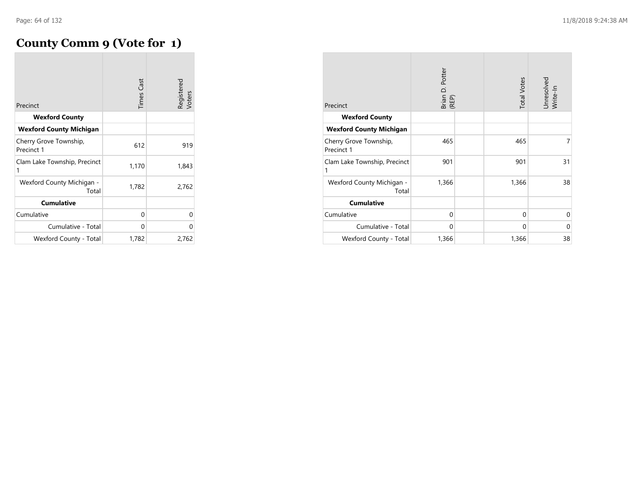# **County Comm 9 (Vote for 1)**

| Precinct                             | <b>Times Cast</b> | Registered<br>Voters |
|--------------------------------------|-------------------|----------------------|
| <b>Wexford County</b>                |                   |                      |
| <b>Wexford County Michigan</b>       |                   |                      |
| Cherry Grove Township,<br>Precinct 1 | 612               | 919                  |
| Clam Lake Township, Precinct<br>1    | 1,170             | 1,843                |
| Wexford County Michigan -<br>Total   | 1,782             | 2,762                |
| <b>Cumulative</b>                    |                   |                      |
| Cumulative                           | 0                 | 0                    |
| Cumulative - Total                   | 0                 | U                    |
| Wexford County - Total               | 1,782             | 2,762                |

| Precinct                             | Brian D. Potter<br>(REP) |  | <b>Total Votes</b> | Unresolved<br>Write-In |
|--------------------------------------|--------------------------|--|--------------------|------------------------|
| <b>Wexford County</b>                |                          |  |                    |                        |
| <b>Wexford County Michigan</b>       |                          |  |                    |                        |
| Cherry Grove Township,<br>Precinct 1 | 465                      |  | 465                | 7                      |
| Clam Lake Township, Precinct<br>1    | 901                      |  | 901                | 31                     |
| Wexford County Michigan -<br>Total   | 1,366                    |  | 1,366              | 38                     |
| <b>Cumulative</b>                    |                          |  |                    |                        |
| Cumulative                           | $\mathbf 0$              |  | $\mathbf 0$        | $\Omega$               |
| Cumulative - Total                   | $\Omega$                 |  | 0                  | 0                      |
| Wexford County - Total               | 1,366                    |  | 1,366              | 38                     |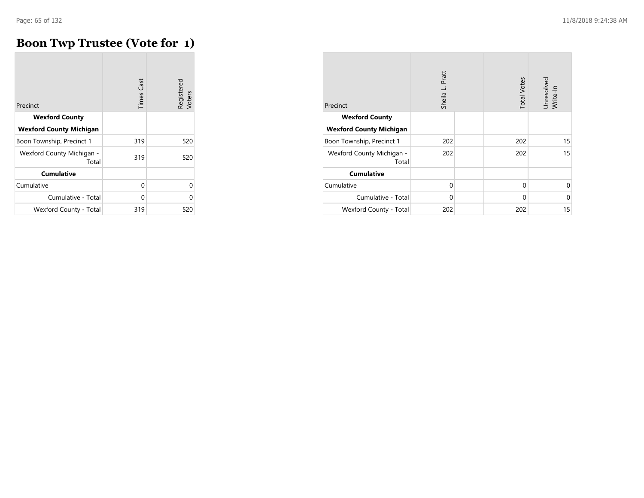#### **Boon Twp Trustee (Vote for 1)**

| Precinct                           | <b>Times Cast</b> | Registered<br>Voters |
|------------------------------------|-------------------|----------------------|
|                                    |                   |                      |
| <b>Wexford County</b>              |                   |                      |
| <b>Wexford County Michigan</b>     |                   |                      |
| Boon Township, Precinct 1          | 319               | 520                  |
| Wexford County Michigan -<br>Total | 319               | 520                  |
| <b>Cumulative</b>                  |                   |                      |
| Cumulative                         | 0                 | U                    |
| Cumulative - Total                 | 0                 | U                    |
| Wexford County - Total             | 319               | 520                  |

| Precinct                           | Sheila L. Pratt | <b>Total Votes</b> | Unresolved<br>Write-In |
|------------------------------------|-----------------|--------------------|------------------------|
| <b>Wexford County</b>              |                 |                    |                        |
| <b>Wexford County Michigan</b>     |                 |                    |                        |
| Boon Township, Precinct 1          | 202             | 202                | 15                     |
| Wexford County Michigan -<br>Total | 202             | 202                | 15                     |
| <b>Cumulative</b>                  |                 |                    |                        |
| Cumulative                         | $\mathbf{0}$    | $\mathbf 0$        | 0                      |
| Cumulative - Total                 | $\mathbf 0$     | $\mathbf 0$        | $\Omega$               |
| Wexford County - Total             | 202             | 202                | 15                     |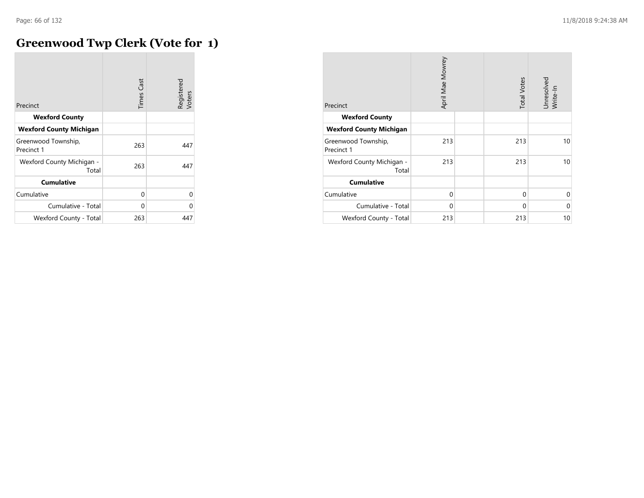#### **Greenwood Twp Clerk (Vote for 1)**  $\sim$

| Precinct                           | <b>Times Cast</b> | Registered<br>Voters |
|------------------------------------|-------------------|----------------------|
| <b>Wexford County</b>              |                   |                      |
| <b>Wexford County Michigan</b>     |                   |                      |
| Greenwood Township,<br>Precinct 1  | 263               | 447                  |
| Wexford County Michigan -<br>Total | 263               | 447                  |
| <b>Cumulative</b>                  |                   |                      |
| Cumulative                         | 0                 | 0                    |
| Cumulative - Total                 | 0                 | U                    |
| Wexford County - Total             | 263               | 447                  |

| Precinct                           | April Mae Mowrey |  | <b>Total Votes</b> | Unresolved<br>Write-In |
|------------------------------------|------------------|--|--------------------|------------------------|
| <b>Wexford County</b>              |                  |  |                    |                        |
| <b>Wexford County Michigan</b>     |                  |  |                    |                        |
| Greenwood Township,<br>Precinct 1  | 213              |  | 213                | 10                     |
| Wexford County Michigan -<br>Total | 213              |  | 213                | 10                     |
| <b>Cumulative</b>                  |                  |  |                    |                        |
| Cumulative                         | $\mathbf 0$      |  | 0                  | $\Omega$               |
| Cumulative - Total                 | $\mathbf 0$      |  | 0                  | $\Omega$               |
| Wexford County - Total             | 213              |  | 213                | 10                     |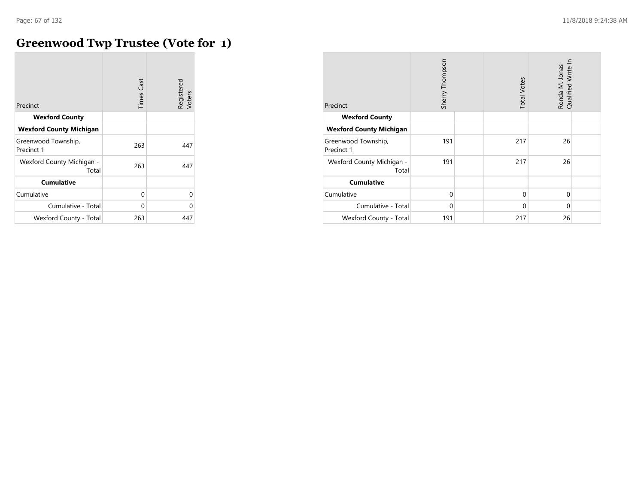$\overline{\phantom{a}}$ 

## **Greenwood Twp Trustee (Vote for 1)**

|                                    | <b>Times Cast</b> | Registered<br>Voters |
|------------------------------------|-------------------|----------------------|
| Precinct                           |                   |                      |
| <b>Wexford County</b>              |                   |                      |
| <b>Wexford County Michigan</b>     |                   |                      |
| Greenwood Township,<br>Precinct 1  | 263               | 447                  |
| Wexford County Michigan -<br>Total | 263               | 447                  |
| <b>Cumulative</b>                  |                   |                      |
| Cumulative                         | 0                 | 0                    |
| Cumulative - Total                 | 0                 | 0                    |
| Wexford County - Total             | 263               | 447                  |

| Precinct                           | Sherry Thompson |  | <b>Total Votes</b> | Ronda M. Jonas<br>Qualified Write In |  |
|------------------------------------|-----------------|--|--------------------|--------------------------------------|--|
| <b>Wexford County</b>              |                 |  |                    |                                      |  |
| <b>Wexford County Michigan</b>     |                 |  |                    |                                      |  |
| Greenwood Township,<br>Precinct 1  | 191             |  | 217                | 26                                   |  |
| Wexford County Michigan -<br>Total | 191             |  | 217                | 26                                   |  |
| <b>Cumulative</b>                  |                 |  |                    |                                      |  |
| Cumulative                         | $\Omega$        |  | 0                  | $\Omega$                             |  |
| Cumulative - Total                 | $\Omega$        |  | 0                  | 0                                    |  |
| Wexford County - Total             | 191             |  | 217                | 26                                   |  |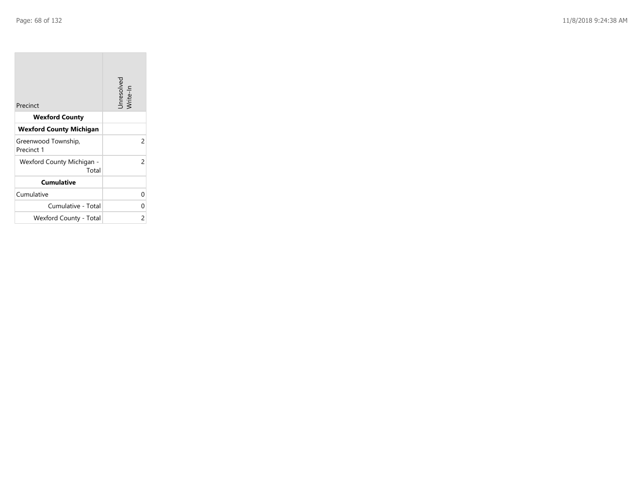**College** 

| Precinct                           | Unresolved<br>Write-In |
|------------------------------------|------------------------|
| <b>Wexford County</b>              |                        |
| <b>Wexford County Michigan</b>     |                        |
| Greenwood Township,<br>Precinct 1  | 2                      |
| Wexford County Michigan -<br>Total | 2                      |
| <b>Cumulative</b>                  |                        |
| Cumulative                         | 0                      |
| Cumulative - Total                 | 0                      |
| Wexford County - Total             | 2                      |

the control of the control of the control of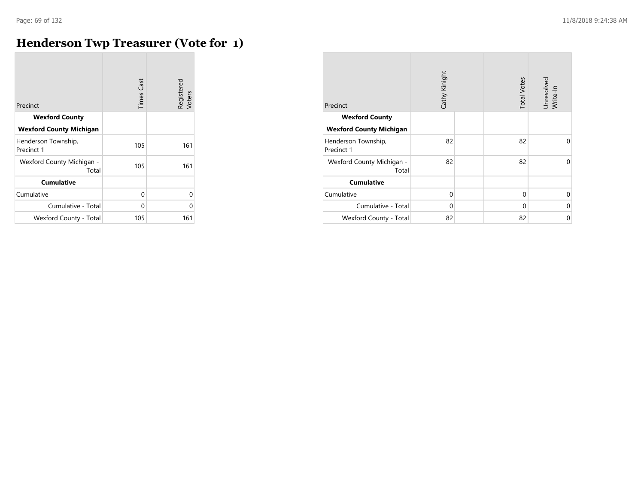**College** 

## **Henderson Twp Treasurer (Vote for 1)**

| Precinct                           | <b>Times Cast</b> | Registered<br>Voters |
|------------------------------------|-------------------|----------------------|
| <b>Wexford County</b>              |                   |                      |
| <b>Wexford County Michigan</b>     |                   |                      |
| Henderson Township,<br>Precinct 1  | 105               | 161                  |
| Wexford County Michigan -<br>Total | 105               | 161                  |
| <b>Cumulative</b>                  |                   |                      |
| Cumulative                         | 0                 | 0                    |
| Cumulative - Total                 | 0                 | U                    |
| Wexford County - Total             | 105               | 161                  |

| Precinct                           | Cathy Kinight | <b>Total Votes</b> | Unresolved<br>Write-In |
|------------------------------------|---------------|--------------------|------------------------|
| <b>Wexford County</b>              |               |                    |                        |
| <b>Wexford County Michigan</b>     |               |                    |                        |
| Henderson Township,<br>Precinct 1  | 82            | 82                 | $\Omega$               |
| Wexford County Michigan -<br>Total | 82            | 82                 | $\Omega$               |
| <b>Cumulative</b>                  |               |                    |                        |
| Cumulative                         | $\Omega$      | $\mathbf 0$        | $\Omega$               |
| Cumulative - Total                 | $\Omega$      | $\mathbf 0$        | $\Omega$               |
| Wexford County - Total             | 82            | 82                 | 0                      |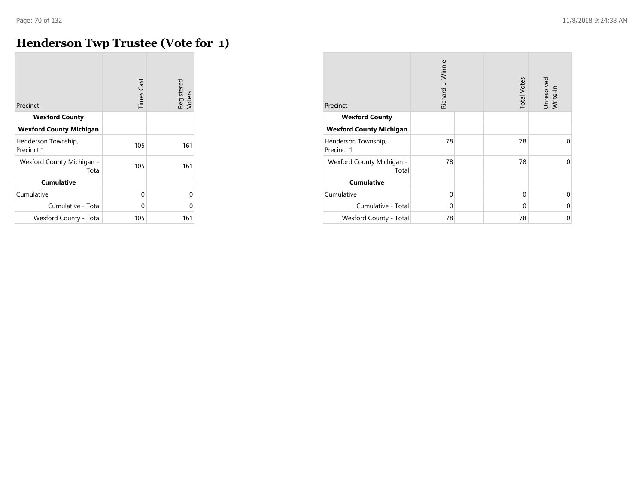$\overline{\phantom{a}}$ 

#### **Henderson Twp Trustee (Vote for 1)**

| Precinct                           | <b>Times Cast</b> | Registered<br>Voters |
|------------------------------------|-------------------|----------------------|
| <b>Wexford County</b>              |                   |                      |
| <b>Wexford County Michigan</b>     |                   |                      |
| Henderson Township,<br>Precinct 1  | 105               | 161                  |
| Wexford County Michigan -<br>Total | 105               | 161                  |
| <b>Cumulative</b>                  |                   |                      |
| Cumulative                         | 0                 | 0                    |
| Cumulative - Total                 | 0                 | 0                    |
| Wexford County - Total             | 105               | 161                  |

| Precinct                           | Richard L. Winnie | <b>Total Votes</b> | Unresolved<br>Write-In |
|------------------------------------|-------------------|--------------------|------------------------|
| <b>Wexford County</b>              |                   |                    |                        |
| <b>Wexford County Michigan</b>     |                   |                    |                        |
| Henderson Township,<br>Precinct 1  | 78                | 78                 | $\Omega$               |
| Wexford County Michigan -<br>Total | 78                | 78                 | 0                      |
| <b>Cumulative</b>                  |                   |                    |                        |
| Cumulative                         | $\Omega$          | $\Omega$           | $\Omega$               |
| Cumulative - Total                 | $\Omega$          | $\Omega$           | $\Omega$               |
| Wexford County - Total             | 78                | 78                 | $\mathbf 0$            |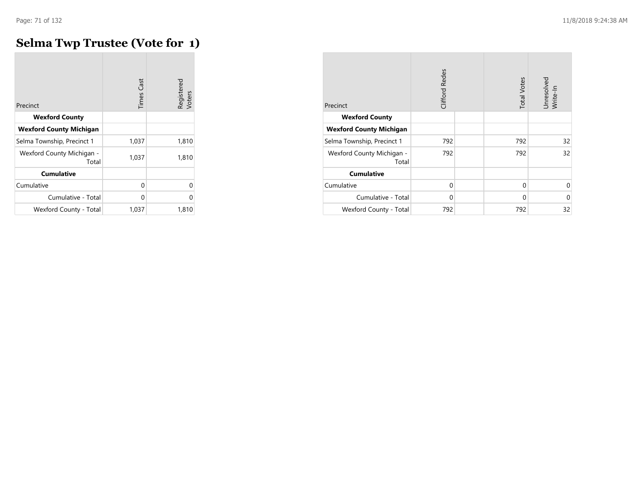# **Selma Twp Trustee (Vote for 1)**

| Precinct                           | <b>Times Cast</b> | Registered<br>Voters |
|------------------------------------|-------------------|----------------------|
| <b>Wexford County</b>              |                   |                      |
| <b>Wexford County Michigan</b>     |                   |                      |
| Selma Township, Precinct 1         | 1,037             | 1,810                |
| Wexford County Michigan -<br>Total | 1,037             | 1,810                |
| <b>Cumulative</b>                  |                   |                      |
| Cumulative                         | 0                 | U                    |
| Cumulative - Total                 | 0                 | 0                    |
| Wexford County - Total             | 1,037             | 1,810                |

|                                    | Clifford Redes |                    |                        |
|------------------------------------|----------------|--------------------|------------------------|
| Precinct                           |                | <b>Total Votes</b> | Unresolved<br>Write-In |
| <b>Wexford County</b>              |                |                    |                        |
| <b>Wexford County Michigan</b>     |                |                    |                        |
| Selma Township, Precinct 1         | 792            | 792                | 32                     |
| Wexford County Michigan -<br>Total | 792            | 792                | 32                     |
| <b>Cumulative</b>                  |                |                    |                        |
| Cumulative                         | $\mathbf 0$    | $\mathbf 0$        | $\mathbf 0$            |
| Cumulative - Total                 | $\Omega$       | $\Omega$           | $\Omega$               |
| Wexford County - Total             | 792            | 792                | 32                     |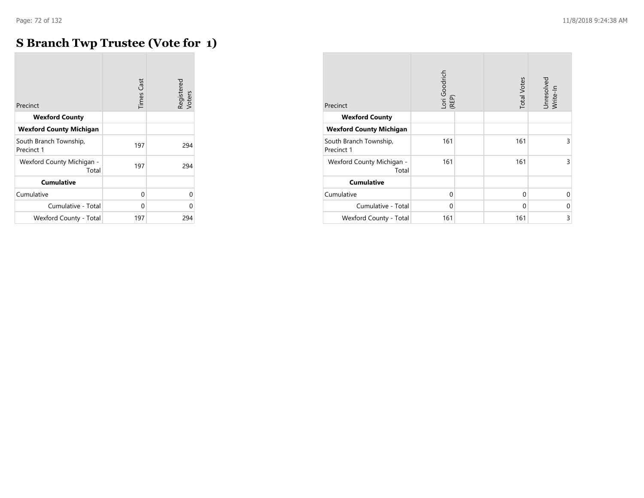m.

## **S Branch Twp Trustee (Vote for 1)**

|                                      | <b>Times Cast</b> | Registered<br>Voters |
|--------------------------------------|-------------------|----------------------|
| Precinct                             |                   |                      |
| <b>Wexford County</b>                |                   |                      |
| <b>Wexford County Michigan</b>       |                   |                      |
| South Branch Township,<br>Precinct 1 | 197               | 294                  |
| Wexford County Michigan -<br>Total   | 197               | 294                  |
| <b>Cumulative</b>                    |                   |                      |
| Cumulative                           | 0                 | U                    |
| Cumulative - Total                   | 0                 | U                    |
| Wexford County - Total               | 197               | 294                  |

| Precinct                             | Lori Goodrich<br>(REP) | <b>Total Votes</b> | Unresolved<br>Write-In |
|--------------------------------------|------------------------|--------------------|------------------------|
| <b>Wexford County</b>                |                        |                    |                        |
| <b>Wexford County Michigan</b>       |                        |                    |                        |
| South Branch Township,<br>Precinct 1 | 161                    | 161                | 3                      |
| Wexford County Michigan -<br>Total   | 161                    | 161                | 3                      |
| <b>Cumulative</b>                    |                        |                    |                        |
| Cumulative                           | $\mathbf 0$            | $\Omega$           | $\Omega$               |
| Cumulative - Total                   | $\Omega$               | $\Omega$           | $\Omega$               |
| Wexford County - Total               | 161                    | 161                | 3                      |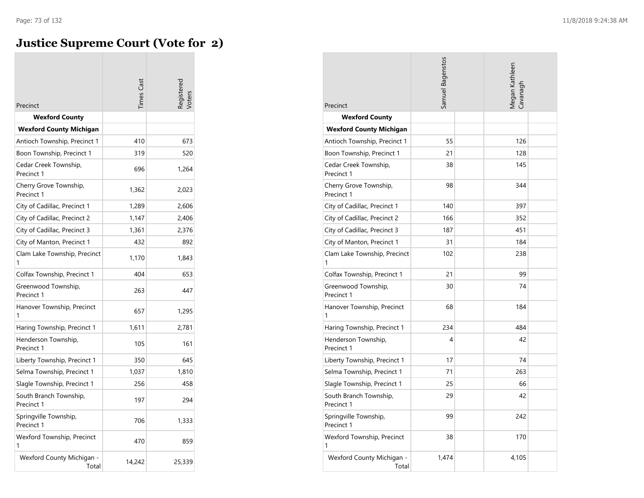### **Justice Supreme Court (Vote for 2)**

| Precinct                             | imes Cast |        |
|--------------------------------------|-----------|--------|
| <b>Wexford County</b>                |           |        |
| <b>Wexford County Michigan</b>       |           |        |
| Antioch Township, Precinct 1         | 410       | 673    |
| Boon Township, Precinct 1            | 319       | 520    |
| Cedar Creek Township,<br>Precinct 1  | 696       | 1,264  |
| Cherry Grove Township,<br>Precinct 1 | 1,362     | 2,023  |
| City of Cadillac, Precinct 1         | 1,289     | 2,606  |
| City of Cadillac, Precinct 2         | 1,147     | 2,406  |
| City of Cadillac, Precinct 3         | 1,361     | 2,376  |
| City of Manton, Precinct 1           | 432       | 892    |
| Clam Lake Township, Precinct         | 1,170     | 1,843  |
| Colfax Township, Precinct 1          | 404       | 653    |
| Greenwood Township,<br>Precinct 1    | 263       | 447    |
| Hanover Township, Precinct<br>1      | 657       | 1,295  |
| Haring Township, Precinct 1          | 1,611     | 2,781  |
| Henderson Township,<br>Precinct 1    | 105       | 161    |
| Liberty Township, Precinct 1         | 350       | 645    |
| Selma Township, Precinct 1           | 1,037     | 1,810  |
| Slagle Township, Precinct 1          | 256       | 458    |
| South Branch Township,<br>Precinct 1 | 197       | 294    |
| Springville Township,<br>Precinct 1  | 706       | 1,333  |
| Wexford Township, Precinct<br>1      | 470       | 859    |
| Wexford County Michigan -<br>Total   | 14,242    | 25,339 |

| Precinct                             | Samuel Bagenstos | <b>Megan Kathleen</b><br>Cavanagh |
|--------------------------------------|------------------|-----------------------------------|
| <b>Wexford County</b>                |                  |                                   |
| <b>Wexford County Michigan</b>       |                  |                                   |
| Antioch Township, Precinct 1         | 55               | 126                               |
| Boon Township, Precinct 1            | 21               | 128                               |
| Cedar Creek Township,<br>Precinct 1  | 38               | 145                               |
| Cherry Grove Township,<br>Precinct 1 | 98               | 344                               |
| City of Cadillac, Precinct 1         | 140              | 397                               |
| City of Cadillac, Precinct 2         | 166              | 352                               |
| City of Cadillac, Precinct 3         | 187              | 451                               |
| City of Manton, Precinct 1           | 31               | 184                               |
| Clam Lake Township, Precinct<br>1    | 102              | 238                               |
| Colfax Township, Precinct 1          | 21               | 99                                |
| Greenwood Township,<br>Precinct 1    | 30               | 74                                |
| Hanover Township, Precinct<br>1      | 68               | 184                               |
| Haring Township, Precinct 1          | 234              | 484                               |
| Henderson Township,<br>Precinct 1    | 4                | 42                                |
| Liberty Township, Precinct 1         | 17               | 74                                |
| Selma Township, Precinct 1           | 71               | 263                               |
| Slagle Township, Precinct 1          | 25               | 66                                |
| South Branch Township,<br>Precinct 1 | 29               | 42                                |
| Springville Township,<br>Precinct 1  | 99               | 242                               |
| Wexford Township, Precinct<br>1      | 38               | 170                               |
| Wexford County Michigan -<br>Total   | 1,474            | 4,105                             |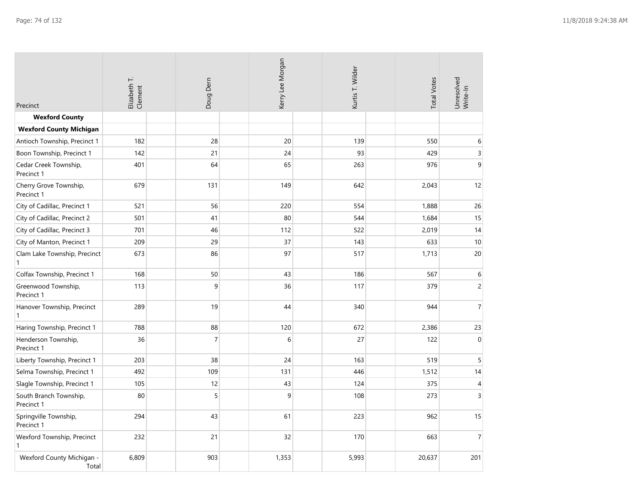| Precinct                                     | Elizabeth T.<br>Clement | Doug Dem       | Kerry Lee Morgan |   | Kurtis T. Wilder | <b>Total Votes</b> | Unresolved<br>Write-In |
|----------------------------------------------|-------------------------|----------------|------------------|---|------------------|--------------------|------------------------|
| <b>Wexford County</b>                        |                         |                |                  |   |                  |                    |                        |
| <b>Wexford County Michigan</b>               |                         |                |                  |   |                  |                    |                        |
| Antioch Township, Precinct 1                 | 182                     | 28             | 20               |   | 139              | 550                | 6                      |
| Boon Township, Precinct 1                    | 142                     | 21             | 24               |   | 93               | 429                | 3                      |
| Cedar Creek Township,<br>Precinct 1          | 401                     | 64             | 65               |   | 263              | 976                | 9                      |
| Cherry Grove Township,<br>Precinct 1         | 679                     | 131            | 149              |   | 642              | 2,043              | 12                     |
| City of Cadillac, Precinct 1                 | 521                     | 56             | 220              |   | 554              | 1,888              | 26                     |
| City of Cadillac, Precinct 2                 | 501                     | 41             | 80               |   | 544              | 1,684              | 15                     |
| City of Cadillac, Precinct 3                 | 701                     | 46             | 112              |   | 522              | 2,019              | 14                     |
| City of Manton, Precinct 1                   | 209                     | 29             | 37               |   | 143              | 633                | $10\,$                 |
| Clam Lake Township, Precinct<br>$\mathbf{1}$ | 673                     | 86             | 97               |   | 517              | 1,713              | 20                     |
| Colfax Township, Precinct 1                  | 168                     | 50             | 43               |   | 186              | 567                | 6                      |
| Greenwood Township,<br>Precinct 1            | 113                     | 9              | 36               |   | 117              | 379                | $\overline{c}$         |
| Hanover Township, Precinct<br>$\mathbf{1}$   | 289                     | 19             | 44               |   | 340              | 944                | $\overline{7}$         |
| Haring Township, Precinct 1                  | 788                     | 88             | 120              |   | 672              | 2,386              | 23                     |
| Henderson Township,<br>Precinct 1            | 36                      | $\overline{7}$ |                  | 6 | 27               | 122                | $\Omega$               |
| Liberty Township, Precinct 1                 | 203                     | 38             | 24               |   | 163              | 519                | $\overline{5}$         |
| Selma Township, Precinct 1                   | 492                     | 109            | 131              |   | 446              | 1,512              | 14                     |
| Slagle Township, Precinct 1                  | 105                     | 12             | 43               |   | 124              | 375                | $\overline{4}$         |
| South Branch Township,<br>Precinct 1         | 80                      | 5              |                  | 9 | 108              | 273                | $\overline{3}$         |
| Springville Township,<br>Precinct 1          | 294                     | 43             | 61               |   | 223              | 962                | 15                     |
| Wexford Township, Precinct<br>$\mathbf{1}$   | 232                     | 21             | 32               |   | 170              | 663                | $\overline{7}$         |
| Wexford County Michigan -<br>Total           | 6,809                   | 903            | 1,353            |   | 5,993            | 20,637             | 201                    |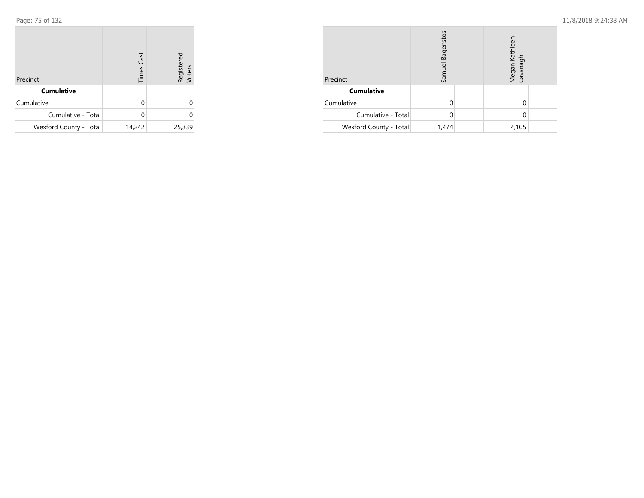| Precinct               | <b>Times Cast</b> | Registered<br>Voters |
|------------------------|-------------------|----------------------|
| <b>Cumulative</b>      |                   |                      |
| Cumulative             | U                 | 0                    |
| Cumulative - Total     |                   |                      |
| Wexford County - Total | 14,242            | 25,339               |

| Precinct               | Samuel Bagenstos |  | Megan Kathleen<br>Cavanagh |  |
|------------------------|------------------|--|----------------------------|--|
| <b>Cumulative</b>      |                  |  |                            |  |
| Cumulative             |                  |  |                            |  |
| Cumulative - Total     |                  |  |                            |  |
| Wexford County - Total | 1,474            |  | 4,105                      |  |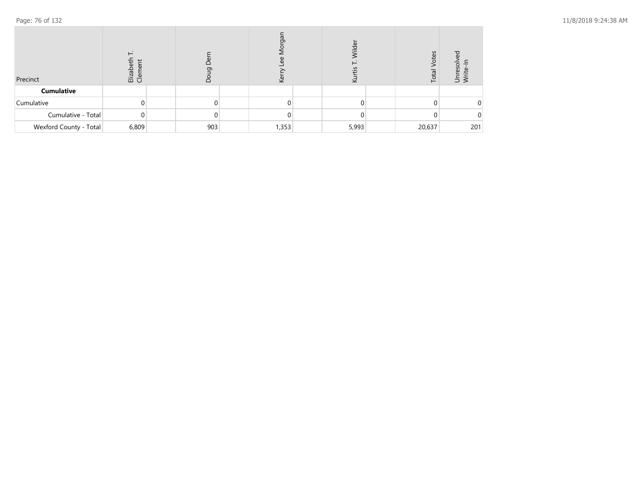| Precinct               | ω<br>$\omega$<br>Elizabe<br>Cleme |     | შ,<br>$\omega$<br>$\omega$<br><u>ē</u> | <i>lilde</i> | Votes<br>Total | ▿<br>nreso<br>$\omega$<br>ぅ ≥ |
|------------------------|-----------------------------------|-----|----------------------------------------|--------------|----------------|-------------------------------|
| <b>Cumulative</b>      |                                   |     |                                        |              |                |                               |
| Cumulative             |                                   |     |                                        |              |                | 0                             |
| Cumulative - Total     | 0                                 |     |                                        |              |                | 0                             |
| Wexford County - Total | 6,809                             | 903 | 1,353                                  | 5,993        | 20,637         | 201                           |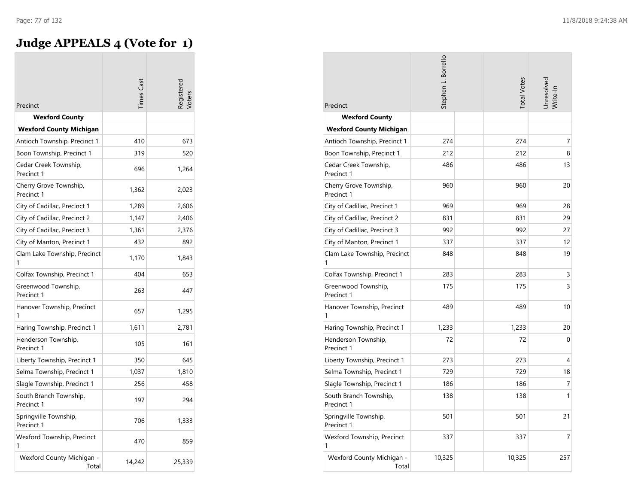# **Judge APPEALS 4 (Vote for 1)**

| Precinct                             | imes Cast |        |
|--------------------------------------|-----------|--------|
| <b>Wexford County</b>                |           |        |
| <b>Wexford County Michigan</b>       |           |        |
| Antioch Township, Precinct 1         | 410       | 673    |
| Boon Township, Precinct 1            | 319       | 520    |
| Cedar Creek Township,<br>Precinct 1  | 696       | 1,264  |
| Cherry Grove Township,<br>Precinct 1 | 1,362     | 2,023  |
| City of Cadillac, Precinct 1         | 1,289     | 2,606  |
| City of Cadillac, Precinct 2         | 1,147     | 2,406  |
| City of Cadillac, Precinct 3         | 1,361     | 2,376  |
| City of Manton, Precinct 1           | 432       | 892    |
| Clam Lake Township, Precinct         | 1,170     | 1,843  |
| Colfax Township, Precinct 1          | 404       | 653    |
| Greenwood Township,<br>Precinct 1    | 263       | 447    |
| Hanover Township, Precinct<br>1      | 657       | 1,295  |
| Haring Township, Precinct 1          | 1,611     | 2,781  |
| Henderson Township,<br>Precinct 1    | 105       | 161    |
| Liberty Township, Precinct 1         | 350       | 645    |
| Selma Township, Precinct 1           | 1,037     | 1,810  |
| Slagle Township, Precinct 1          | 256       | 458    |
| South Branch Township,<br>Precinct 1 | 197       | 294    |
| Springville Township,<br>Precinct 1  | 706       | 1,333  |
| Wexford Township, Precinct<br>1      | 470       | 859    |
| Wexford County Michigan -<br>Total   | 14,242    | 25,339 |

| Precinct                             | Stephen L. Borrello | <b>Total Votes</b> | Jnresolvec<br>Nrite-In |
|--------------------------------------|---------------------|--------------------|------------------------|
| <b>Wexford County</b>                |                     |                    |                        |
| <b>Wexford County Michigan</b>       |                     |                    |                        |
| Antioch Township, Precinct 1         | 274                 | 274                | 7                      |
| Boon Township, Precinct 1            | 212                 | 212                | 8                      |
| Cedar Creek Township,<br>Precinct 1  | 486                 | 486                | 13                     |
| Cherry Grove Township,<br>Precinct 1 | 960                 | 960                | 20                     |
| City of Cadillac, Precinct 1         | 969                 | 969                | 28                     |
| City of Cadillac, Precinct 2         | 831                 | 831                | 29                     |
| City of Cadillac, Precinct 3         | 992                 | 992                | 27                     |
| City of Manton, Precinct 1           | 337                 | 337                | 12                     |
| Clam Lake Township, Precinct<br>1    | 848                 | 848                | 19                     |
| Colfax Township, Precinct 1          | 283                 | 283                | 3                      |
| Greenwood Township,<br>Precinct 1    | 175                 | 175                | 3                      |
| Hanover Township, Precinct<br>1      | 489                 | 489                | 10                     |
| Haring Township, Precinct 1          | 1,233               | 1,233              | 20                     |
| Henderson Township,<br>Precinct 1    | 72                  | 72                 | $\Omega$               |
| Liberty Township, Precinct 1         | 273                 | 273                | 4                      |
| Selma Township, Precinct 1           | 729                 | 729                | 18                     |
| Slagle Township, Precinct 1          | 186                 | 186                | 7                      |
| South Branch Township,<br>Precinct 1 | 138                 | 138                | 1                      |
| Springville Township,<br>Precinct 1  | 501                 | 501                | 21                     |
| Wexford Township, Precinct<br>1      | 337                 | 337                | 7                      |
| Wexford County Michigan -<br>Total   | 10,325              | 10,325             | 257                    |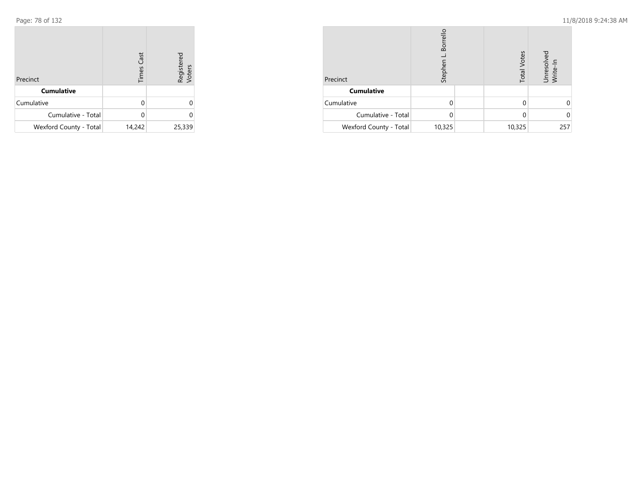| Precinct               | <b>Times Cast</b> | Registered<br>Voters |
|------------------------|-------------------|----------------------|
| <b>Cumulative</b>      |                   |                      |
| Cumulative             | U                 | Ω                    |
| Cumulative - Total     |                   |                      |
| Wexford County - Total | 14,242            | 25,339               |

| Precinct               | Borrello<br>Stephen | <b>Total Votes</b> | Unresolved<br>Write-In |
|------------------------|---------------------|--------------------|------------------------|
| <b>Cumulative</b>      |                     |                    |                        |
| Cumulative             |                     |                    |                        |
| Cumulative - Total     | U                   |                    |                        |
| Wexford County - Total | 10,325              | 10,325             | 257                    |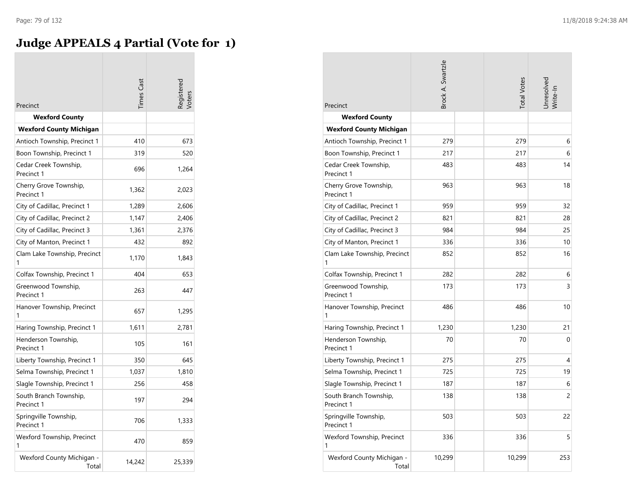### **Judge APPEALS 4 Partial (Vote for 1)**

| Precinct                             | imes Cast |        |
|--------------------------------------|-----------|--------|
| <b>Wexford County</b>                |           |        |
| <b>Wexford County Michigan</b>       |           |        |
| Antioch Township, Precinct 1         | 410       | 673    |
| Boon Township, Precinct 1            | 319       | 520    |
| Cedar Creek Township,<br>Precinct 1  | 696       | 1,264  |
| Cherry Grove Township,<br>Precinct 1 | 1,362     | 2,023  |
| City of Cadillac, Precinct 1         | 1,289     | 2,606  |
| City of Cadillac, Precinct 2         | 1,147     | 2,406  |
| City of Cadillac, Precinct 3         | 1,361     | 2,376  |
| City of Manton, Precinct 1           | 432       | 892    |
| Clam Lake Township, Precinct         | 1,170     | 1,843  |
| Colfax Township, Precinct 1          | 404       | 653    |
| Greenwood Township,<br>Precinct 1    | 263       | 447    |
| Hanover Township, Precinct<br>1      | 657       | 1,295  |
| Haring Township, Precinct 1          | 1,611     | 2,781  |
| Henderson Township,<br>Precinct 1    | 105       | 161    |
| Liberty Township, Precinct 1         | 350       | 645    |
| Selma Township, Precinct 1           | 1,037     | 1,810  |
| Slagle Township, Precinct 1          | 256       | 458    |
| South Branch Township,<br>Precinct 1 | 197       | 294    |
| Springville Township,<br>Precinct 1  | 706       | 1,333  |
| Wexford Township, Precinct<br>1      | 470       | 859    |
| Wexford County Michigan -<br>Total   | 14,242    | 25,339 |

| Precinct                             | <b>Brock A. Swartzle</b> | <b>Total Votes</b> | Jnresolvec<br>Write-In |
|--------------------------------------|--------------------------|--------------------|------------------------|
| <b>Wexford County</b>                |                          |                    |                        |
| <b>Wexford County Michigan</b>       |                          |                    |                        |
| Antioch Township, Precinct 1         | 279                      | 279                | 6                      |
| Boon Township, Precinct 1            | 217                      | 217                | 6                      |
| Cedar Creek Township,<br>Precinct 1  | 483                      | 483                | 14                     |
| Cherry Grove Township,<br>Precinct 1 | 963                      | 963                | 18                     |
| City of Cadillac, Precinct 1         | 959                      | 959                | 32                     |
| City of Cadillac, Precinct 2         | 821                      | 821                | 28                     |
| City of Cadillac, Precinct 3         | 984                      | 984                | 25                     |
| City of Manton, Precinct 1           | 336                      | 336                | 10                     |
| Clam Lake Township, Precinct<br>1    | 852                      | 852                | 16                     |
| Colfax Township, Precinct 1          | 282                      | 282                | 6                      |
| Greenwood Township,<br>Precinct 1    | 173                      | 173                | 3                      |
| Hanover Township, Precinct<br>1      | 486                      | 486                | 10                     |
| Haring Township, Precinct 1          | 1,230                    | 1,230              | 21                     |
| Henderson Township,<br>Precinct 1    | 70                       | 70                 | 0                      |
| Liberty Township, Precinct 1         | 275                      | 275                | 4                      |
| Selma Township, Precinct 1           | 725                      | 725                | 19                     |
| Slagle Township, Precinct 1          | 187                      | 187                | 6                      |
| South Branch Township,<br>Precinct 1 | 138                      | 138                | 2                      |
| Springville Township,<br>Precinct 1  | 503                      | 503                | 22                     |
| Wexford Township, Precinct<br>1      | 336                      | 336                | 5                      |
| Wexford County Michigan -<br>Total   | 10,299                   | 10,299             | 253                    |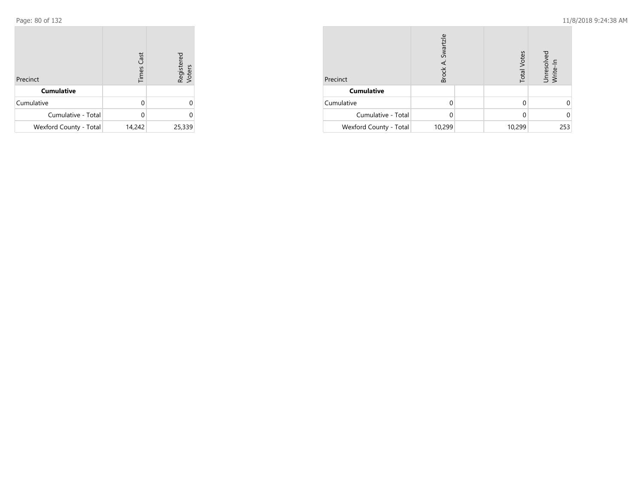| Precinct               | <b>Times Cast</b> | Registered<br>Voters |
|------------------------|-------------------|----------------------|
| <b>Cumulative</b>      |                   |                      |
| Cumulative             | U                 | Ω                    |
| Cumulative - Total     |                   |                      |
| Wexford County - Total | 14,242            | 25,339               |

| Precinct               | Swartzle<br>Brock |  | <b>Total Votes</b> | Unresolved<br>Write-In |
|------------------------|-------------------|--|--------------------|------------------------|
| <b>Cumulative</b>      |                   |  |                    |                        |
| Cumulative             |                   |  |                    |                        |
| Cumulative - Total     |                   |  |                    |                        |
| Wexford County - Total | 10,299            |  | 10,299             | 253                    |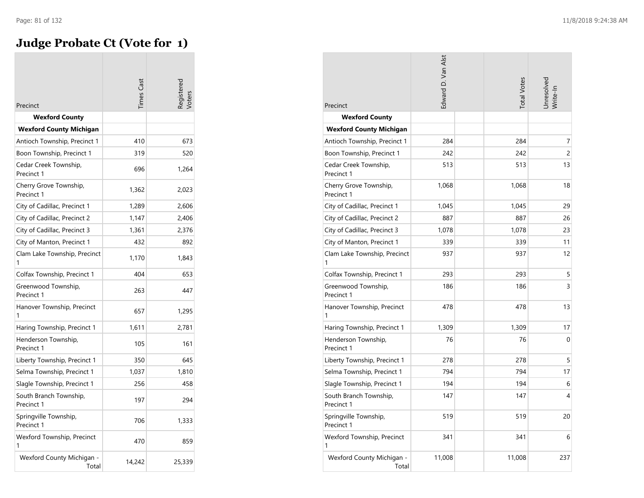## **Judge Probate Ct (Vote for 1)**

| Precinct                             | imes Cas | gistere |
|--------------------------------------|----------|---------|
| <b>Wexford County</b>                |          |         |
| <b>Wexford County Michigan</b>       |          |         |
| Antioch Township, Precinct 1         | 410      | 673     |
| Boon Township, Precinct 1            | 319      | 520     |
| Cedar Creek Township,<br>Precinct 1  | 696      | 1,264   |
| Cherry Grove Township,<br>Precinct 1 | 1,362    | 2,023   |
| City of Cadillac, Precinct 1         | 1,289    | 2,606   |
| City of Cadillac, Precinct 2         | 1,147    | 2,406   |
| City of Cadillac, Precinct 3         | 1,361    | 2,376   |
| City of Manton, Precinct 1           | 432      | 892     |
| Clam Lake Township, Precinct<br>1    | 1,170    | 1,843   |
| Colfax Township, Precinct 1          | 404      | 653     |
| Greenwood Township,<br>Precinct 1    | 263      | 447     |
| Hanover Township, Precinct           | 657      | 1,295   |
| Haring Township, Precinct 1          | 1,611    | 2,781   |
| Henderson Township,<br>Precinct 1    | 105      | 161     |
| Liberty Township, Precinct 1         | 350      | 645     |
| Selma Township, Precinct 1           | 1,037    | 1,810   |
| Slagle Township, Precinct 1          | 256      | 458     |
| South Branch Township,<br>Precinct 1 | 197      | 294     |
| Springville Township,<br>Precinct 1  | 706      | 1,333   |
| Wexford Township, Precinct<br>1      | 470      | 859     |
| Wexford County Michigan -<br>Total   | 14,242   | 25,339  |

| Precinct                             | Edward D. Van Alst | <b>Total Votes</b> | Jnresolvec<br>Write-In |
|--------------------------------------|--------------------|--------------------|------------------------|
| <b>Wexford County</b>                |                    |                    |                        |
| <b>Wexford County Michigan</b>       |                    |                    |                        |
| Antioch Township, Precinct 1         | 284                | 284                | 7                      |
| Boon Township, Precinct 1            | 242                | 242                | 2                      |
| Cedar Creek Township,<br>Precinct 1  | 513                | 513                | 13                     |
| Cherry Grove Township,<br>Precinct 1 | 1,068              | 1,068              | 18                     |
| City of Cadillac, Precinct 1         | 1,045              | 1,045              | 29                     |
| City of Cadillac, Precinct 2         | 887                | 887                | 26                     |
| City of Cadillac, Precinct 3         | 1,078              | 1,078              | 23                     |
| City of Manton, Precinct 1           | 339                | 339                | 11                     |
| Clam Lake Township, Precinct<br>1    | 937                | 937                | 12                     |
| Colfax Township, Precinct 1          | 293                | 293                | 5                      |
| Greenwood Township,<br>Precinct 1    | 186                | 186                | 3                      |
| Hanover Township, Precinct<br>1      | 478                | 478                | 13                     |
| Haring Township, Precinct 1          | 1,309              | 1,309              | 17                     |
| Henderson Township,<br>Precinct 1    | 76                 | 76                 | 0                      |
| Liberty Township, Precinct 1         | 278                | 278                | 5                      |
| Selma Township, Precinct 1           | 794                | 794                | 17                     |
| Slagle Township, Precinct 1          | 194                | 194                | 6                      |
| South Branch Township,<br>Precinct 1 | 147                | 147                | 4                      |
| Springville Township,<br>Precinct 1  | 519                | 519                | 20                     |
| Wexford Township, Precinct<br>1      | 341                | 341                | 6                      |
| Wexford County Michigan -<br>Total   | 11,008             | 11,008             | 237                    |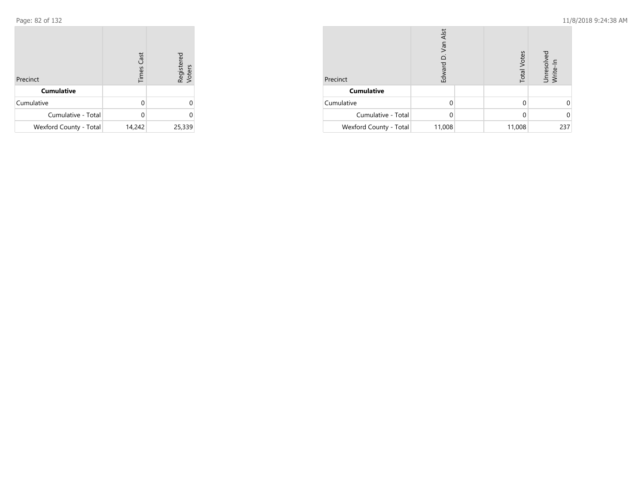| Precinct               | <b>Times Cast</b> | Registered<br>Voters |
|------------------------|-------------------|----------------------|
| <b>Cumulative</b>      |                   |                      |
| Cumulative             | U                 | 0                    |
| Cumulative - Total     |                   | U                    |
| Wexford County - Total | 14,242            | 25,339               |

| Precinct               | Van Alst<br>Edward |  | <b>Total Votes</b> | Unresolved<br>Write-In |
|------------------------|--------------------|--|--------------------|------------------------|
| <b>Cumulative</b>      |                    |  |                    |                        |
| Cumulative             |                    |  |                    |                        |
| Cumulative - Total     |                    |  |                    |                        |
| Wexford County - Total | 11,008             |  | 11,008             | 237                    |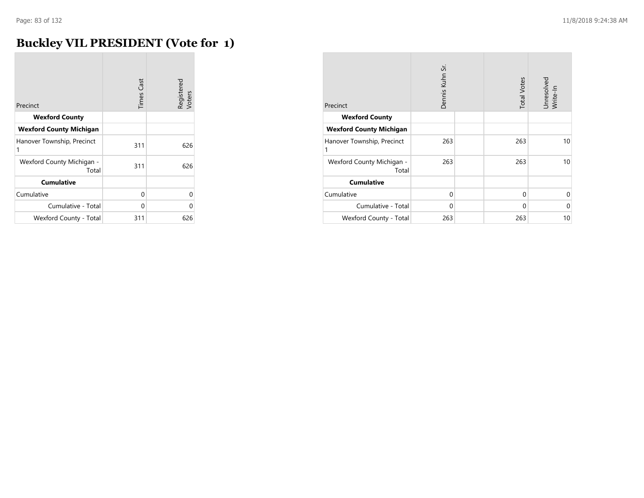m.

## **Buckley VIL PRESIDENT (Vote for 1)**

| Precinct                           | <b>Times Cast</b> | Registered<br>Voters |
|------------------------------------|-------------------|----------------------|
|                                    |                   |                      |
| <b>Wexford County</b>              |                   |                      |
| <b>Wexford County Michigan</b>     |                   |                      |
| Hanover Township, Precinct<br>1    | 311               | 626                  |
| Wexford County Michigan -<br>Total | 311               | 626                  |
| <b>Cumulative</b>                  |                   |                      |
| Cumulative                         | 0                 | 0                    |
| Cumulative - Total                 | 0                 | O                    |
| Wexford County - Total             | 311               | 626                  |

| Precinct                           | Dennis Kuhn Sr. | <b>Total Votes</b> | Unresolved<br>Write-In |
|------------------------------------|-----------------|--------------------|------------------------|
| <b>Wexford County</b>              |                 |                    |                        |
| <b>Wexford County Michigan</b>     |                 |                    |                        |
| Hanover Township, Precinct<br>1    | 263             | 263                | 10                     |
| Wexford County Michigan -<br>Total | 263             | 263                | 10                     |
| <b>Cumulative</b>                  |                 |                    |                        |
| Cumulative                         | $\Omega$        | $\Omega$           | 0                      |
| Cumulative - Total                 | $\Omega$        | $\Omega$           | $\Omega$               |
| Wexford County - Total             | 263             | 263                | 10                     |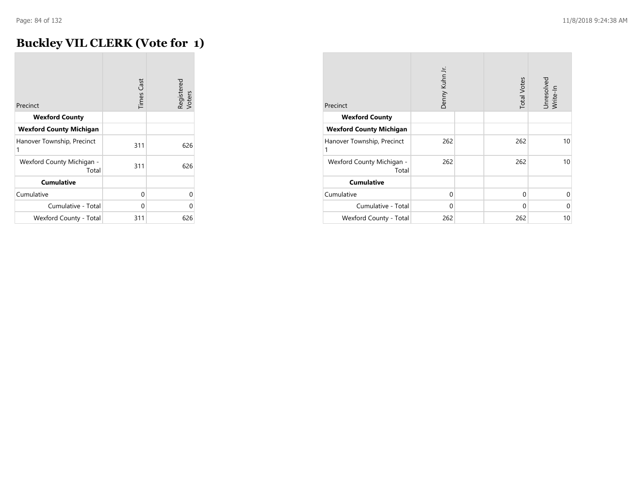## **Buckley VIL CLERK (Vote for 1)**

| Precinct                           | <b>Times Cast</b> | Registered<br>Voters |
|------------------------------------|-------------------|----------------------|
| <b>Wexford County</b>              |                   |                      |
| <b>Wexford County Michigan</b>     |                   |                      |
| Hanover Township, Precinct<br>1    | 311               | 626                  |
| Wexford County Michigan -<br>Total | 311               | 626                  |
| <b>Cumulative</b>                  |                   |                      |
| Cumulative                         | 0                 | U                    |
| Cumulative - Total                 | 0                 | Ω                    |
| Wexford County - Total             | 311               | 626                  |

| Precinct                           | Denny Kuhn Jr. | <b>Total Votes</b> | Unresolved<br>Write-In |
|------------------------------------|----------------|--------------------|------------------------|
| <b>Wexford County</b>              |                |                    |                        |
| <b>Wexford County Michigan</b>     |                |                    |                        |
| Hanover Township, Precinct<br>1    | 262            | 262                | 10                     |
| Wexford County Michigan -<br>Total | 262            | 262                | 10                     |
| <b>Cumulative</b>                  |                |                    |                        |
| Cumulative                         | $\Omega$       | 0                  | 0                      |
| Cumulative - Total                 | $\Omega$       | $\Omega$           | 0                      |
| Wexford County - Total             | 262            | 262                | 10                     |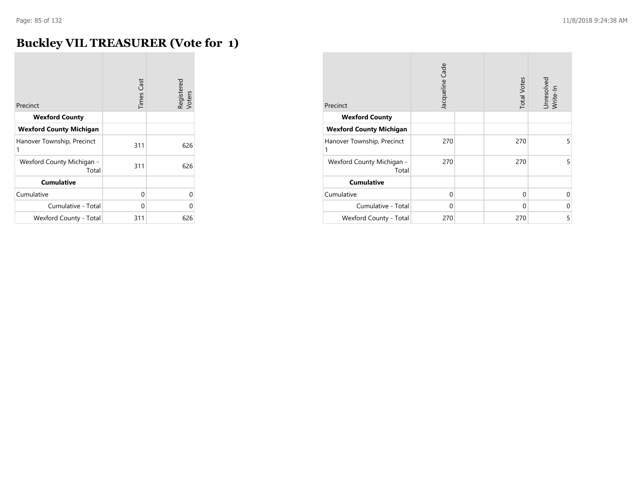### **Buckley VIL TREASURER (Vote for 1)**

| Precinct                           | <b>Times Cast</b> | Registered<br>Voters |
|------------------------------------|-------------------|----------------------|
| <b>Wexford County</b>              |                   |                      |
| <b>Wexford County Michigan</b>     |                   |                      |
| Hanover Township, Precinct<br>1    | 311               | 626                  |
| Wexford County Michigan -<br>Total | 311               | 626                  |
| <b>Cumulative</b>                  |                   |                      |
| Cumulative                         | 0                 | 0                    |
| Cumulative - Total                 | $\Omega$          | Ω                    |
| Wexford County - Total             | 311               | 626                  |

| Precinct                           | Jacqueline Cade | <b>Total Votes</b> | Unresolved<br>Write-In |
|------------------------------------|-----------------|--------------------|------------------------|
| <b>Wexford County</b>              |                 |                    |                        |
| <b>Wexford County Michigan</b>     |                 |                    |                        |
| Hanover Township, Precinct<br>1    | 270             | 270                | 5                      |
| Wexford County Michigan -<br>Total | 270             | 270                | 5                      |
| <b>Cumulative</b>                  |                 |                    |                        |
| Cumulative                         | $\Omega$        | $\Omega$           | $\Omega$               |
| Cumulative - Total                 | $\Omega$        | $\Omega$           | 0                      |
| Wexford County - Total             | 270             | 270                | 5                      |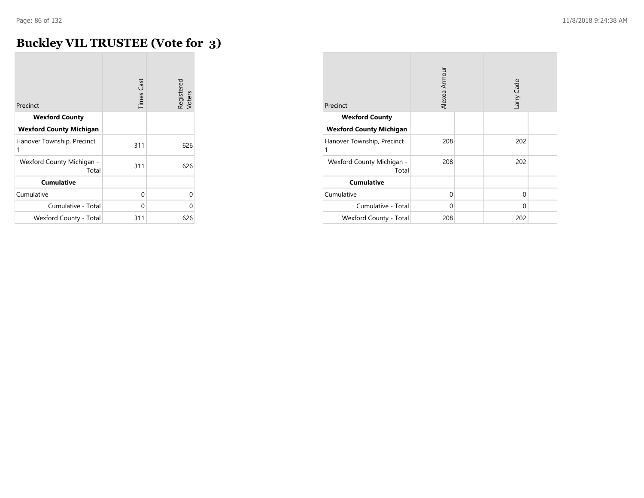## **Buckley VIL TRUSTEE (Vote for 3)**

| Precinct                           | <b>Times Cast</b> | Registered<br>Voters |
|------------------------------------|-------------------|----------------------|
|                                    |                   |                      |
| <b>Wexford County</b>              |                   |                      |
| <b>Wexford County Michigan</b>     |                   |                      |
| Hanover Township, Precinct<br>1    | 311               | 626                  |
| Wexford County Michigan -<br>Total | 311               | 626                  |
| <b>Cumulative</b>                  |                   |                      |
| Cumulative                         | 0                 | 0                    |
| Cumulative - Total                 | 0                 | O                    |
| Wexford County - Total             | 311               | 626                  |

| Precinct                           | Alexea Armour |  | arry Cade   |  |
|------------------------------------|---------------|--|-------------|--|
| <b>Wexford County</b>              |               |  |             |  |
| <b>Wexford County Michigan</b>     |               |  |             |  |
| Hanover Township, Precinct<br>1    | 208           |  | 202         |  |
| Wexford County Michigan -<br>Total | 208           |  | 202         |  |
| <b>Cumulative</b>                  |               |  |             |  |
| Cumulative                         | $\Omega$      |  | $\mathbf 0$ |  |
| Cumulative - Total                 | 0             |  | $\Omega$    |  |
| Wexford County - Total             | 208           |  | 202         |  |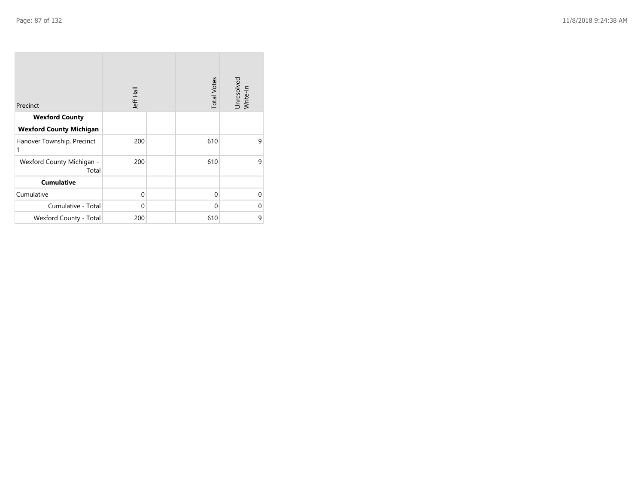| Precinct                           | <b>Jeff Hall</b> | <b>Total Votes</b> | Unresolved<br>Write-In |
|------------------------------------|------------------|--------------------|------------------------|
| <b>Wexford County</b>              |                  |                    |                        |
| <b>Wexford County Michigan</b>     |                  |                    |                        |
| Hanover Township, Precinct<br>1    | 200              | 610                | 9                      |
| Wexford County Michigan -<br>Total | 200              | 610                | 9                      |
| <b>Cumulative</b>                  |                  |                    |                        |
| Cumulative                         | $\mathbf{0}$     | $\Omega$           | $\Omega$               |
| Cumulative - Total                 | 0                | $\Omega$           | $\Omega$               |
| Wexford County - Total             | 200              | 610                | 9                      |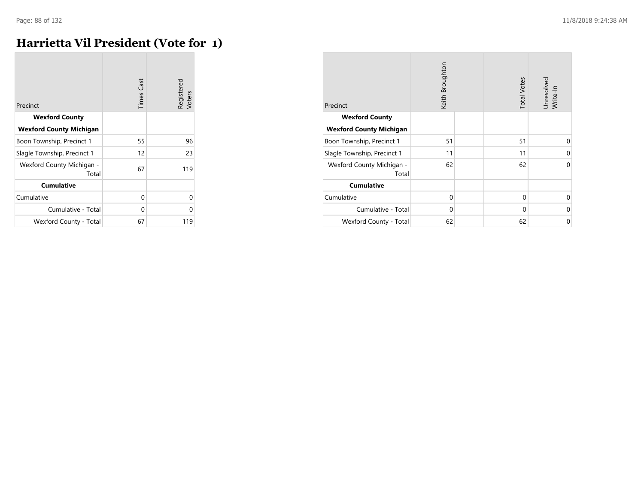### **Harrietta Vil President (Vote for 1)**

| Precinct                           | <b>Times Cast</b> | Registered<br>Voters |
|------------------------------------|-------------------|----------------------|
| <b>Wexford County</b>              |                   |                      |
| <b>Wexford County Michigan</b>     |                   |                      |
| Boon Township, Precinct 1          | 55                | 96                   |
| Slagle Township, Precinct 1        | 12                | 23                   |
| Wexford County Michigan -<br>Total | 67                | 119                  |
| <b>Cumulative</b>                  |                   |                      |
| Cumulative                         | 0                 | O                    |
| Cumulative - Total                 | 0                 | 0                    |
| Wexford County - Total             | 67                | 119                  |

| Precinct                           | Keith Broughton |  | <b>Total Votes</b> | Unresolved<br>Write-In |
|------------------------------------|-----------------|--|--------------------|------------------------|
| <b>Wexford County</b>              |                 |  |                    |                        |
| <b>Wexford County Michigan</b>     |                 |  |                    |                        |
| Boon Township, Precinct 1          | 51              |  | 51                 | $\Omega$               |
| Slagle Township, Precinct 1        | 11              |  | 11                 | 0                      |
| Wexford County Michigan -<br>Total | 62              |  | 62                 | $\Omega$               |
| <b>Cumulative</b>                  |                 |  |                    |                        |
| Cumulative                         | $\mathbf 0$     |  | 0                  | $\Omega$               |
| Cumulative - Total                 | $\Omega$        |  | $\Omega$           | 0                      |
| Wexford County - Total             | 62              |  | 62                 | 0                      |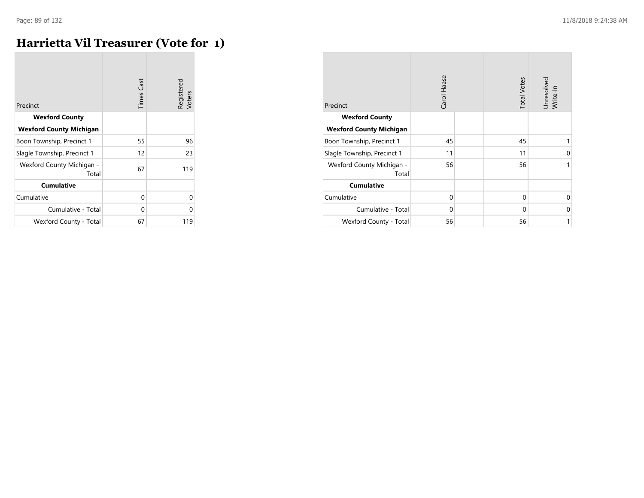### **Harrietta Vil Treasurer (Vote for 1)**

| Precinct                           | <b>Times Cast</b> | Registered<br>Voters |
|------------------------------------|-------------------|----------------------|
| <b>Wexford County</b>              |                   |                      |
| <b>Wexford County Michigan</b>     |                   |                      |
| Boon Township, Precinct 1          | 55                | 96                   |
| Slagle Township, Precinct 1        | 12                | 23                   |
| Wexford County Michigan -<br>Total | 67                | 119                  |
| <b>Cumulative</b>                  |                   |                      |
| Cumulative                         | 0                 | 0                    |
| Cumulative - Total                 | 0                 | 0                    |
| Wexford County - Total             | 67                | 119                  |

|                                    | Carol Haase | <b>Total Votes</b> | Unresolved<br>Write-In |
|------------------------------------|-------------|--------------------|------------------------|
| Precinct                           |             |                    |                        |
| <b>Wexford County</b>              |             |                    |                        |
| <b>Wexford County Michigan</b>     |             |                    |                        |
| Boon Township, Precinct 1          | 45          | 45                 | 1                      |
| Slagle Township, Precinct 1        | 11          | 11                 | 0                      |
| Wexford County Michigan -<br>Total | 56          | 56                 | 1                      |
| <b>Cumulative</b>                  |             |                    |                        |
| Cumulative                         | $\Omega$    | $\Omega$           | $\Omega$               |
| Cumulative - Total                 | $\Omega$    | $\Omega$           | $\Omega$               |
| Wexford County - Total             | 56          | 56                 | 1                      |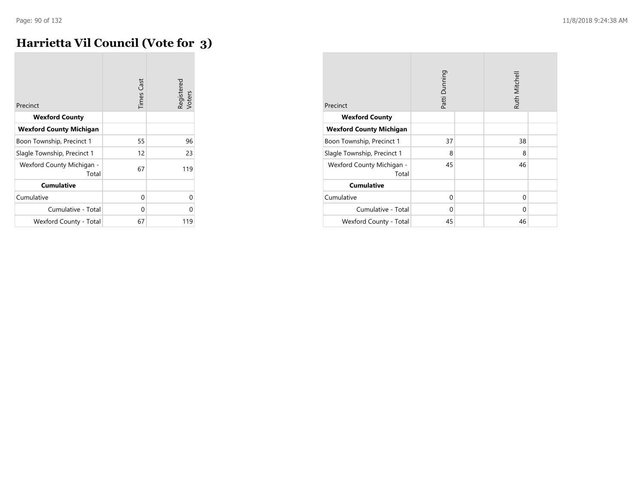## **Harrietta Vil Council (Vote for 3)**

| Precinct                           | <b>Times Cast</b> | Registered<br>Voters |
|------------------------------------|-------------------|----------------------|
| <b>Wexford County</b>              |                   |                      |
| <b>Wexford County Michigan</b>     |                   |                      |
| Boon Township, Precinct 1          | 55                | 96                   |
| Slagle Township, Precinct 1        | 12                | 23                   |
| Wexford County Michigan -<br>Total | 67                | 119                  |
| <b>Cumulative</b>                  |                   |                      |
| Cumulative                         | 0                 | U                    |
| Cumulative - Total                 | 0                 | U                    |
| Wexford County - Total             | 67                | 119                  |

| Precinct                           | Patti Dunning |  | Ruth Mitchell |  |
|------------------------------------|---------------|--|---------------|--|
| <b>Wexford County</b>              |               |  |               |  |
| <b>Wexford County Michigan</b>     |               |  |               |  |
| Boon Township, Precinct 1          | 37            |  | 38            |  |
| Slagle Township, Precinct 1        | 8             |  | 8             |  |
| Wexford County Michigan -<br>Total | 45            |  | 46            |  |
| <b>Cumulative</b>                  |               |  |               |  |
| Cumulative                         | $\Omega$      |  | $\mathbf 0$   |  |
| Cumulative - Total                 | 0             |  | $\Omega$      |  |
| Wexford County - Total             | 45            |  | 46            |  |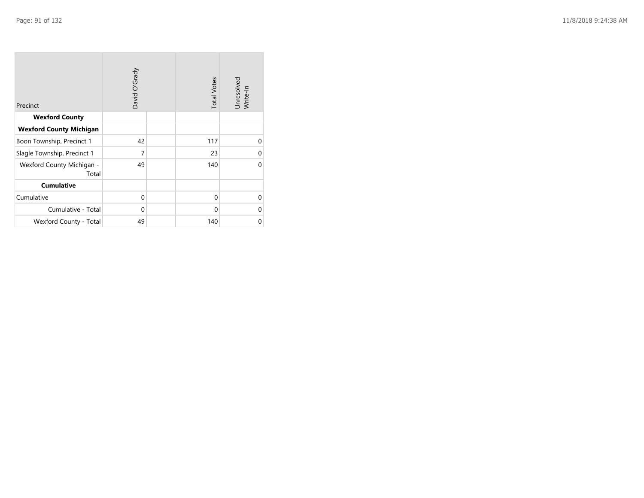| Precinct                           | David O'Grady | <b>Total Votes</b> | Unresolved<br>Write-In |
|------------------------------------|---------------|--------------------|------------------------|
| <b>Wexford County</b>              |               |                    |                        |
| <b>Wexford County Michigan</b>     |               |                    |                        |
| Boon Township, Precinct 1          | 42            | 117                | $\Omega$               |
| Slagle Township, Precinct 1        | 7             | 23                 | $\Omega$               |
| Wexford County Michigan -<br>Total | 49            | 140                | $\Omega$               |
| <b>Cumulative</b>                  |               |                    |                        |
| Cumulative                         | $\mathbf 0$   | $\mathbf 0$        | $\Omega$               |
| Cumulative - Total                 | $\mathbf 0$   | $\Omega$           | 0                      |
| Wexford County - Total             | 49            | 140                | 0                      |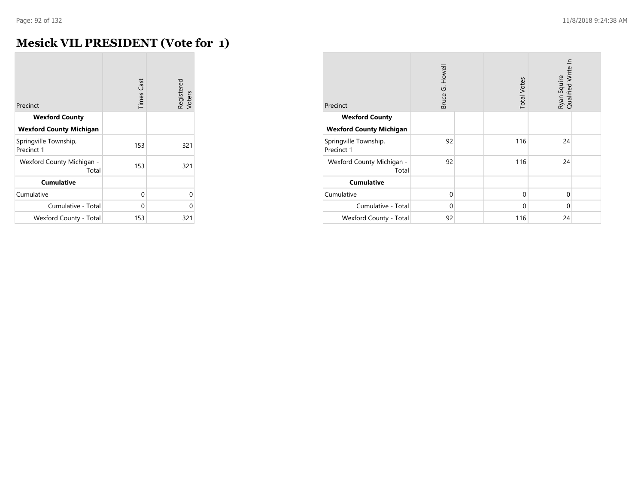### **Mesick VIL PRESIDENT (Vote for 1)**

| Precinct                            | <b>Times Cast</b> | Registered<br>Voters |
|-------------------------------------|-------------------|----------------------|
|                                     |                   |                      |
| <b>Wexford County</b>               |                   |                      |
| <b>Wexford County Michigan</b>      |                   |                      |
| Springville Township,<br>Precinct 1 | 153               | 321                  |
| Wexford County Michigan -<br>Total  | 153               | 321                  |
| <b>Cumulative</b>                   |                   |                      |
| Cumulative                          | 0                 | 0                    |
| Cumulative - Total                  | U                 | U                    |
| Wexford County - Total              | 153               | 321                  |

| Precinct                            | Bruce G. Howell |  | <b>Total Votes</b> | Ryan Squire<br>Qualified Write In |  |
|-------------------------------------|-----------------|--|--------------------|-----------------------------------|--|
| <b>Wexford County</b>               |                 |  |                    |                                   |  |
| <b>Wexford County Michigan</b>      |                 |  |                    |                                   |  |
| Springville Township,<br>Precinct 1 | 92              |  | 116                | 24                                |  |
| Wexford County Michigan -<br>Total  | 92              |  | 116                | 24                                |  |
| <b>Cumulative</b>                   |                 |  |                    |                                   |  |
| Cumulative                          | $\Omega$        |  | $\mathbf 0$        | $\Omega$                          |  |
| Cumulative - Total                  | $\Omega$        |  | 0                  | $\Omega$                          |  |
| Wexford County - Total              | 92              |  | 116                | 24                                |  |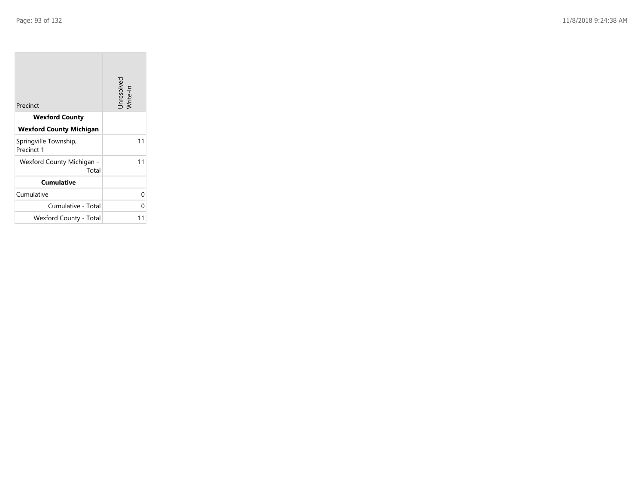**College** 

| Precinct                            | Unresolved<br>Write-In |
|-------------------------------------|------------------------|
| <b>Wexford County</b>               |                        |
| <b>Wexford County Michigan</b>      |                        |
| Springville Township,<br>Precinct 1 | 11                     |
| Wexford County Michigan -<br>Total  | 11                     |
| <b>Cumulative</b>                   |                        |
| Cumulative                          | 0                      |
| Cumulative - Total                  | U                      |
| Wexford County - Total              |                        |

the control of the control of the control of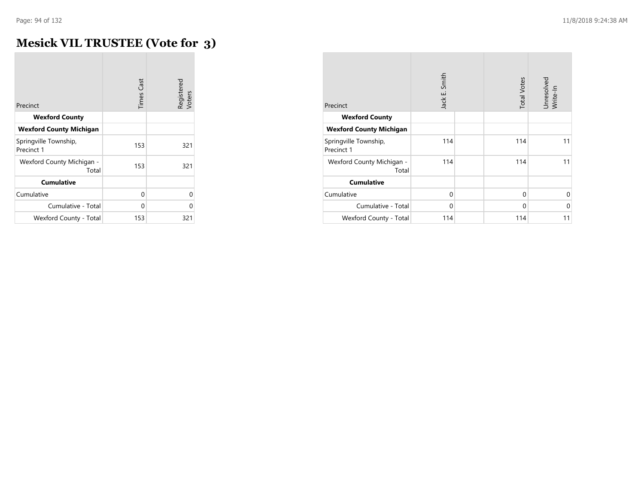## **Mesick VIL TRUSTEE (Vote for 3)**

| Precinct                            | <b>Times Cast</b> | Registered<br>Voters |
|-------------------------------------|-------------------|----------------------|
| <b>Wexford County</b>               |                   |                      |
| <b>Wexford County Michigan</b>      |                   |                      |
| Springville Township,<br>Precinct 1 | 153               | 321                  |
| Wexford County Michigan -<br>Total  | 153               | 321                  |
| <b>Cumulative</b>                   |                   |                      |
| Cumulative                          | 0                 | 0                    |
| Cumulative - Total                  | U                 | U                    |
| Wexford County - Total              | 153               | 321                  |

| Precinct                            | Jack E. Smith | <b>Total Votes</b> | Unresolved<br>Write-In |
|-------------------------------------|---------------|--------------------|------------------------|
| <b>Wexford County</b>               |               |                    |                        |
| <b>Wexford County Michigan</b>      |               |                    |                        |
| Springville Township,<br>Precinct 1 | 114           | 114                | 11                     |
| Wexford County Michigan -<br>Total  | 114           | 114                | 11                     |
| <b>Cumulative</b>                   |               |                    |                        |
| Cumulative                          | $\Omega$      | $\Omega$           | $\Omega$               |
| Cumulative - Total                  | $\Omega$      | $\Omega$           | $\Omega$               |
| Wexford County - Total              | 114           | 114                | 11                     |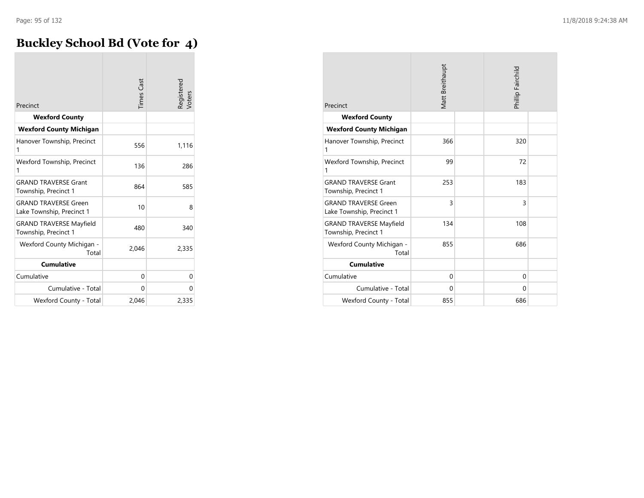### **Buckley School Bd (Vote for 4)**

| Precinct                                                 | <b>Times</b> Cast | Registered<br>Voters |
|----------------------------------------------------------|-------------------|----------------------|
| <b>Wexford County</b>                                    |                   |                      |
| <b>Wexford County Michigan</b>                           |                   |                      |
| Hanover Township, Precinct<br>1                          | 556               | 1,116                |
| Wexford Township, Precinct<br>1                          | 136               | 286                  |
| <b>GRAND TRAVERSE Grant</b><br>Township, Precinct 1      | 864               | 585                  |
| <b>GRAND TRAVERSE Green</b><br>Lake Township, Precinct 1 | 10                | 8                    |
| <b>GRAND TRAVERSE Mayfield</b><br>Township, Precinct 1   | 480               | 340                  |
| Wexford County Michigan -<br>Total                       | 2,046             | 2,335                |
| <b>Cumulative</b>                                        |                   |                      |
| Cumulative                                               | 0                 | 0                    |
| Cumulative - Total                                       | 0                 | 0                    |
| Wexford County - Total                                   | 2,046             | 2,335                |

| Precinct                                                 | Matt Breithaupt |  | Phillip Fairchild |  |
|----------------------------------------------------------|-----------------|--|-------------------|--|
| <b>Wexford County</b>                                    |                 |  |                   |  |
| <b>Wexford County Michigan</b>                           |                 |  |                   |  |
| Hanover Township, Precinct<br>1                          | 366             |  | 320               |  |
| Wexford Township, Precinct<br>1                          | 99              |  | 72                |  |
| <b>GRAND TRAVERSE Grant</b><br>Township, Precinct 1      | 253             |  | 183               |  |
| <b>GRAND TRAVERSE Green</b><br>Lake Township, Precinct 1 | 3               |  | 3                 |  |
| <b>GRAND TRAVERSE Mayfield</b><br>Township, Precinct 1   | 134             |  | 108               |  |
| Wexford County Michigan -<br>Total                       | 855             |  | 686               |  |
| <b>Cumulative</b>                                        |                 |  |                   |  |
| Cumulative                                               | $\Omega$        |  | $\Omega$          |  |
| Cumulative - Total                                       | $\Omega$        |  | $\Omega$          |  |
| Wexford County - Total                                   | 855             |  | 686               |  |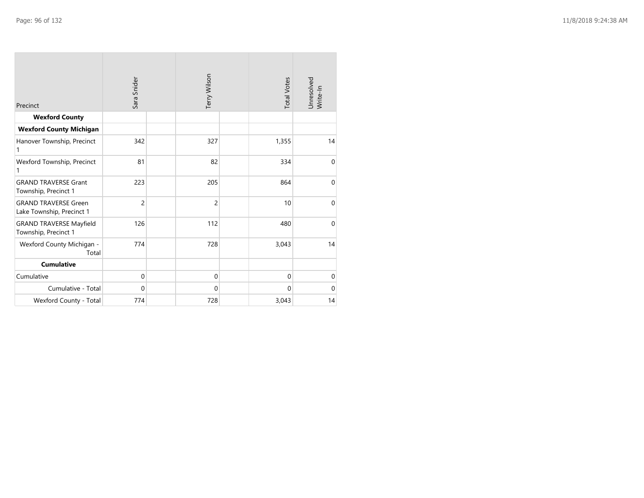| Precinct                                                 | Sara Snider    | Terry Wilson   | <b>Total Votes</b> | Unresolved<br>Write-In |
|----------------------------------------------------------|----------------|----------------|--------------------|------------------------|
| <b>Wexford County</b>                                    |                |                |                    |                        |
| <b>Wexford County Michigan</b>                           |                |                |                    |                        |
| Hanover Township, Precinct<br>1                          | 342            | 327            | 1,355              | 14                     |
| Wexford Township, Precinct<br>1                          | 81             | 82             | 334                | $\mathbf{0}$           |
| <b>GRAND TRAVERSE Grant</b><br>Township, Precinct 1      | 223            | 205            | 864                | $\mathbf{0}$           |
| <b>GRAND TRAVERSE Green</b><br>Lake Township, Precinct 1 | $\overline{c}$ | $\overline{c}$ | 10                 | $\mathbf{0}$           |
| <b>GRAND TRAVERSE Mayfield</b><br>Township, Precinct 1   | 126            | 112            | 480                | $\mathbf{0}$           |
| Wexford County Michigan -<br>Total                       | 774            | 728            | 3,043              | 14                     |
| <b>Cumulative</b>                                        |                |                |                    |                        |
| Cumulative                                               | $\mathbf{0}$   | $\mathbf{0}$   | $\mathbf{0}$       | $\mathbf 0$            |
| Cumulative - Total                                       | $\Omega$       | $\mathbf{0}$   | $\Omega$           | $\mathbf{0}$           |
| Wexford County - Total                                   | 774            | 728            | 3,043              | 14                     |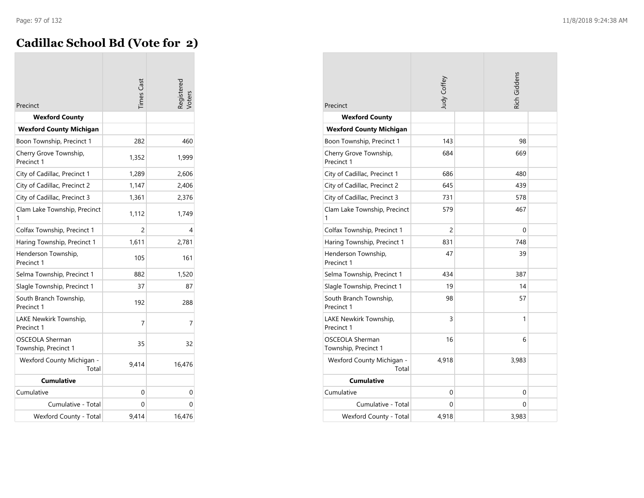### **Cadillac School Bd (Vote for 2)**

| Precinct                                | <b>Times</b> Cast | <b>Registered</b> |
|-----------------------------------------|-------------------|-------------------|
| <b>Wexford County</b>                   |                   |                   |
| <b>Wexford County Michigan</b>          |                   |                   |
| Boon Township, Precinct 1               | 282               | 460               |
| Cherry Grove Township,<br>Precinct 1    | 1,352             | 1,999             |
| City of Cadillac, Precinct 1            | 1,289             | 2,606             |
| City of Cadillac, Precinct 2            | 1,147             | 2,406             |
| City of Cadillac, Precinct 3            | 1,361             | 2,376             |
| Clam Lake Township, Precinct<br>1       | 1,112             | 1,749             |
| Colfax Township, Precinct 1             | 2                 | 4                 |
| Haring Township, Precinct 1             | 1,611             | 2,781             |
| Henderson Township,<br>Precinct 1       | 105               | 161               |
| Selma Township, Precinct 1              | 882               | 1,520             |
| Slagle Township, Precinct 1             | 37                | 87                |
| South Branch Township,<br>Precinct 1    | 192               | 288               |
| LAKE Newkirk Township,<br>Precinct 1    | 7                 | 7                 |
| OSCEOLA Sherman<br>Township, Precinct 1 | 35                | 32                |
| Wexford County Michigan -<br>Total      | 9,414             | 16,476            |
| <b>Cumulative</b>                       |                   |                   |
| Cumulative                              | 0                 | 0                 |
| Cumulative - Total                      | 0                 | 0                 |
| Wexford County - Total                  | 9,414             | 16,476            |

| Precinct                                                          | Judy Coffey |  | Rich Giddens |  |
|-------------------------------------------------------------------|-------------|--|--------------|--|
| <b>Wexford County</b>                                             |             |  |              |  |
| <b>Wexford County Michigan</b>                                    | 143         |  | 98           |  |
| Boon Township, Precinct 1<br>Cherry Grove Township,<br>Precinct 1 | 684         |  | 669          |  |
| City of Cadillac, Precinct 1                                      | 686         |  | 480          |  |
| City of Cadillac, Precinct 2                                      | 645         |  | 439          |  |
| City of Cadillac, Precinct 3                                      | 731         |  | 578          |  |
| Clam Lake Township, Precinct<br>1                                 | 579         |  | 467          |  |
| Colfax Township, Precinct 1                                       | 2           |  | 0            |  |
| Haring Township, Precinct 1                                       | 831         |  | 748          |  |
| Henderson Township,<br>Precinct 1                                 | 47          |  | 39           |  |
| Selma Township, Precinct 1                                        | 434         |  | 387          |  |
| Slagle Township, Precinct 1                                       | 19          |  | 14           |  |
| South Branch Township,<br>Precinct 1                              | 98          |  | 57           |  |
| LAKE Newkirk Township,<br>Precinct 1                              | 3           |  | 1            |  |
| <b>OSCEOLA Sherman</b><br>Township, Precinct 1                    | 16          |  | 6            |  |
| Wexford County Michigan -<br>Total                                | 4,918       |  | 3,983        |  |
| <b>Cumulative</b>                                                 |             |  |              |  |
| Cumulative                                                        | 0           |  | 0            |  |
| Cumulative - Total                                                | 0           |  | $\Omega$     |  |
| Wexford County - Total                                            | 4,918       |  | 3,983        |  |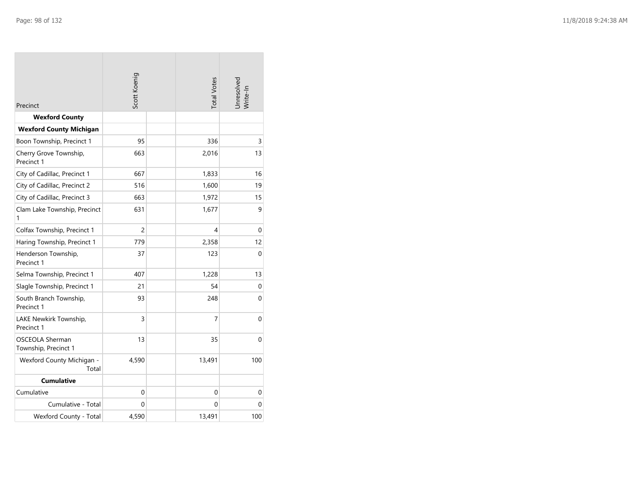| Precinct                                                | Scott Koenig |  | <b>Total Votes</b> | Unresolved<br>Write-In |
|---------------------------------------------------------|--------------|--|--------------------|------------------------|
| <b>Wexford County</b><br><b>Wexford County Michigan</b> |              |  |                    |                        |
| Boon Township, Precinct 1                               | 95           |  | 336                | 3                      |
| Cherry Grove Township,<br>Precinct 1                    | 663          |  | 2,016              | 13                     |
| City of Cadillac, Precinct 1                            | 667          |  | 1,833              | 16                     |
| City of Cadillac, Precinct 2                            | 516          |  | 1,600              | 19                     |
| City of Cadillac, Precinct 3                            | 663          |  | 1,972              | 15                     |
| Clam Lake Township, Precinct<br>1                       | 631          |  | 1,677              | 9                      |
| Colfax Township, Precinct 1                             | 2            |  | 4                  | $\mathbf{0}$           |
| Haring Township, Precinct 1                             | 779          |  | 2,358              | 12                     |
| Henderson Township,<br>Precinct 1                       | 37           |  | 123                | $\mathbf{0}$           |
| Selma Township, Precinct 1                              | 407          |  | 1,228              | 13                     |
| Slagle Township, Precinct 1                             | 21           |  | 54                 | 0                      |
| South Branch Township,<br>Precinct 1                    | 93           |  | 248                | $\mathbf{0}$           |
| LAKE Newkirk Township,<br>Precinct 1                    | 3            |  | 7                  | 0                      |
| <b>OSCEOLA Sherman</b><br>Township, Precinct 1          | 13           |  | 35                 | $\mathbf{0}$           |
| Wexford County Michigan -<br>Total                      | 4,590        |  | 13,491             | 100                    |
| Cumulative                                              |              |  |                    |                        |
| Cumulative                                              | 0            |  | $\Omega$           | $\mathbf{0}$           |
| Cumulative - Total                                      | 0            |  | 0                  | $\Omega$               |
| Wexford County - Total                                  | 4,590        |  | 13,491             | 100                    |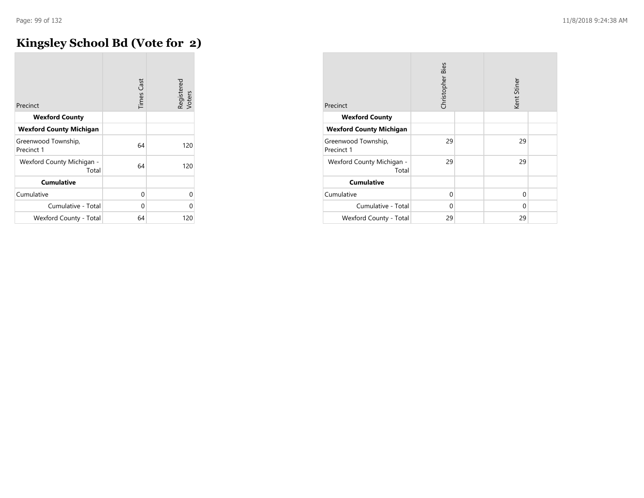## **Kingsley School Bd (Vote for 2)**

| Precinct                           | <b>Times Cast</b> | Registered<br>Voters |
|------------------------------------|-------------------|----------------------|
| <b>Wexford County</b>              |                   |                      |
| <b>Wexford County Michigan</b>     |                   |                      |
| Greenwood Township,<br>Precinct 1  | 64                | 120                  |
| Wexford County Michigan -<br>Total | 64                | 120                  |
| <b>Cumulative</b>                  |                   |                      |
| Cumulative                         | 0                 | 0                    |
| Cumulative - Total                 | 0                 | Ω                    |
| Wexford County - Total             | 64                | 120                  |

| Precinct                           | Christopher Bies |  | Kent Stiner |  |
|------------------------------------|------------------|--|-------------|--|
| <b>Wexford County</b>              |                  |  |             |  |
| <b>Wexford County Michigan</b>     |                  |  |             |  |
| Greenwood Township,<br>Precinct 1  | 29               |  | 29          |  |
| Wexford County Michigan -<br>Total | 29               |  | 29          |  |
| <b>Cumulative</b>                  |                  |  |             |  |
| Cumulative                         | $\Omega$         |  | $\Omega$    |  |
| Cumulative - Total                 | $\Omega$         |  | $\Omega$    |  |
| Wexford County - Total             | 29               |  | 29          |  |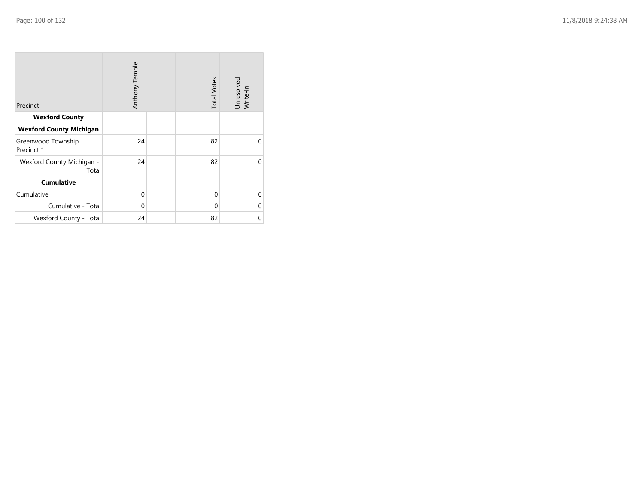| Precinct                           | Anthony Temple | <b>Total Votes</b> | Unresolved<br>Write-In |
|------------------------------------|----------------|--------------------|------------------------|
| <b>Wexford County</b>              |                |                    |                        |
| <b>Wexford County Michigan</b>     |                |                    |                        |
| Greenwood Township,<br>Precinct 1  | 24             | 82                 | $\Omega$               |
| Wexford County Michigan -<br>Total | 24             | 82                 | $\Omega$               |
| <b>Cumulative</b>                  |                |                    |                        |
| Cumulative                         | $\mathbf 0$    | $\mathbf{0}$       | $\Omega$               |
| Cumulative - Total                 | $\mathbf 0$    | $\Omega$           | 0                      |
| Wexford County - Total             | 24             | 82                 | 0                      |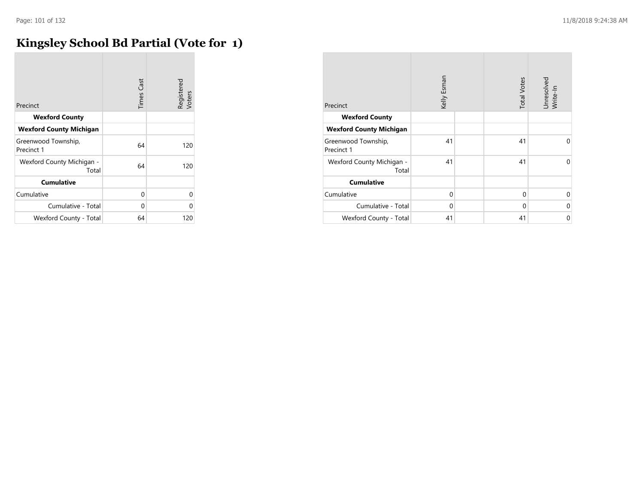### **Kingsley School Bd Partial (Vote for 1)**

| Precinct                           | <b>Times Cast</b> | Registered<br>Voters |
|------------------------------------|-------------------|----------------------|
| <b>Wexford County</b>              |                   |                      |
| <b>Wexford County Michigan</b>     |                   |                      |
| Greenwood Township,<br>Precinct 1  | 64                | 120                  |
| Wexford County Michigan -<br>Total | 64                | 120                  |
| <b>Cumulative</b>                  |                   |                      |
| Cumulative                         | $\Omega$          | 0                    |
| Cumulative - Total                 | 0                 | U                    |
| Wexford County - Total             | 64                | 120                  |

| Precinct                           | Kelly Esman |  | <b>Total Votes</b> | Unresolved<br>Write-In |
|------------------------------------|-------------|--|--------------------|------------------------|
| <b>Wexford County</b>              |             |  |                    |                        |
| <b>Wexford County Michigan</b>     |             |  |                    |                        |
| Greenwood Township,<br>Precinct 1  | 41          |  | 41                 | $\Omega$               |
| Wexford County Michigan -<br>Total | 41          |  | 41                 | $\Omega$               |
| <b>Cumulative</b>                  |             |  |                    |                        |
| Cumulative                         | $\Omega$    |  | $\Omega$           | $\Omega$               |
| Cumulative - Total                 | $\Omega$    |  | $\mathbf 0$        | $\Omega$               |
| Wexford County - Total             | 41          |  | 41                 | $\mathbf 0$            |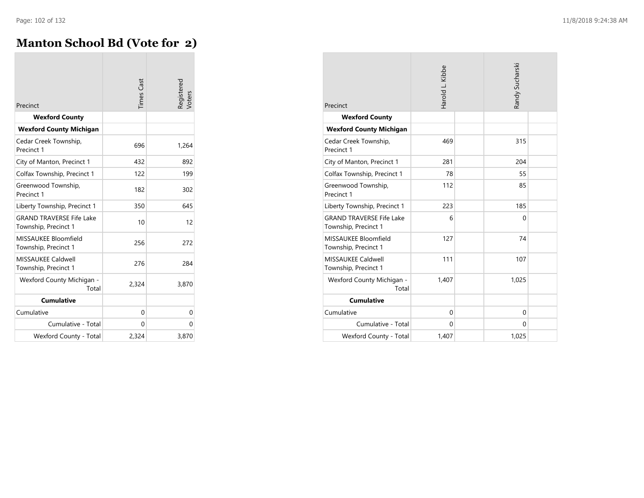**COL** 

### **Manton School Bd (Vote for 2)**

| Precinct                                                | <b>Times</b> Cast | Registered<br>Voters |
|---------------------------------------------------------|-------------------|----------------------|
| <b>Wexford County</b>                                   |                   |                      |
| <b>Wexford County Michigan</b>                          |                   |                      |
| Cedar Creek Township,<br>Precinct 1                     | 696               | 1,264                |
| City of Manton, Precinct 1                              | 432               | 892                  |
| Colfax Township, Precinct 1                             | 122               | 199                  |
| Greenwood Township,<br>Precinct 1                       | 182               | 302                  |
| Liberty Township, Precinct 1                            | 350               | 645                  |
| <b>GRAND TRAVERSE Fife Lake</b><br>Township, Precinct 1 | 10                | 12                   |
| MISSAUKEE Bloomfield<br>Township, Precinct 1            | 256               | 272                  |
| <b>MISSAUKEE Caldwell</b><br>Township, Precinct 1       | 276               | 284                  |
| Wexford County Michigan -<br>Total                      | 2,324             | 3,870                |
| <b>Cumulative</b>                                       |                   |                      |
| Cumulative                                              | 0                 | 0                    |
| Cumulative - Total                                      | 0                 | 0                    |
| Wexford County - Total                                  | 2,324             | 3,870                |

| Precinct                                                | Harold L. Kibbe | Randy Sucharski |  |
|---------------------------------------------------------|-----------------|-----------------|--|
| <b>Wexford County</b>                                   |                 |                 |  |
| <b>Wexford County Michigan</b>                          |                 |                 |  |
| Cedar Creek Township,<br>Precinct 1                     | 469             | 315             |  |
| City of Manton, Precinct 1                              | 281             | 204             |  |
| Colfax Township, Precinct 1                             | 78              | 55              |  |
| Greenwood Township,<br>Precinct 1                       | 112             | 85              |  |
| Liberty Township, Precinct 1                            | 223             | 185             |  |
| <b>GRAND TRAVERSE Fife Lake</b><br>Township, Precinct 1 | 6               | 0               |  |
| MISSAUKEE Bloomfield<br>Township, Precinct 1            | 127             | 74              |  |
| <b>MISSAUKEE Caldwell</b><br>Township, Precinct 1       | 111             | 107             |  |
| Wexford County Michigan -<br>Total                      | 1,407           | 1,025           |  |
| <b>Cumulative</b>                                       |                 |                 |  |
| Cumulative                                              | $\Omega$        | $\Omega$        |  |
| Cumulative - Total                                      | $\Omega$        | $\Omega$        |  |
| Wexford County - Total                                  | 1,407           | 1,025           |  |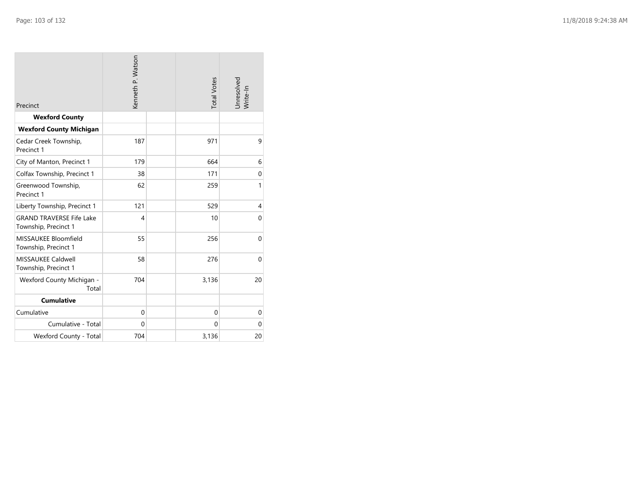| Precinct                                                | Kenneth P. Watson |  | <b>Total Votes</b> | Jnresolved<br>Write-In |
|---------------------------------------------------------|-------------------|--|--------------------|------------------------|
| <b>Wexford County</b>                                   |                   |  |                    |                        |
| <b>Wexford County Michigan</b>                          |                   |  |                    |                        |
| Cedar Creek Township,<br>Precinct 1                     | 187               |  | 971                | 9                      |
| City of Manton, Precinct 1                              | 179               |  | 664                | 6                      |
| Colfax Township, Precinct 1                             | 38                |  | 171                | $\mathbf{0}$           |
| Greenwood Township,<br>Precinct 1                       | 62                |  | 259                | 1                      |
| Liberty Township, Precinct 1                            | 121               |  | 529                | 4                      |
| <b>GRAND TRAVERSE Fife Lake</b><br>Township, Precinct 1 | $\overline{4}$    |  | 10                 | $\Omega$               |
| MISSAUKEE Bloomfield<br>Township, Precinct 1            | 55                |  | 256                | $\mathbf 0$            |
| <b>MISSAUKEE Caldwell</b><br>Township, Precinct 1       | 58                |  | 276                | $\Omega$               |
| Wexford County Michigan -<br>Total                      | 704               |  | 3,136              | 20                     |
| <b>Cumulative</b>                                       |                   |  |                    |                        |
| Cumulative                                              | $\mathbf{0}$      |  | $\mathbf{0}$       | $\mathbf{0}$           |
| Cumulative - Total                                      | $\mathbf{0}$      |  | $\Omega$           | $\mathbf{0}$           |
| Wexford County - Total                                  | 704               |  | 3,136              | 20                     |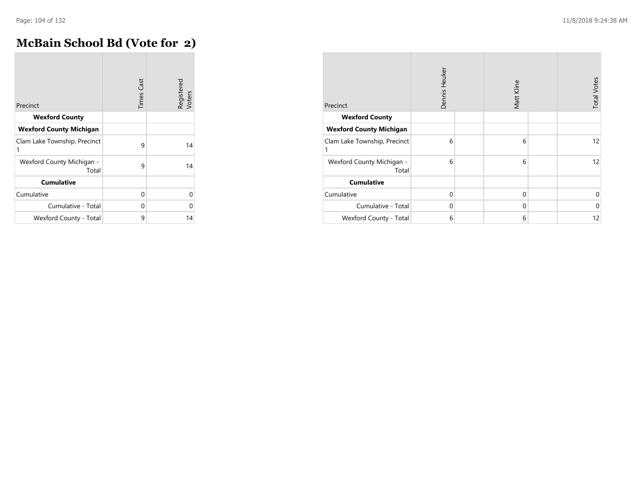### **McBain School Bd (Vote for 2)**

| Precinct                           | <b>Times Cast</b> | Registered<br>Voters |
|------------------------------------|-------------------|----------------------|
| <b>Wexford County</b>              |                   |                      |
| <b>Wexford County Michigan</b>     |                   |                      |
| Clam Lake Township, Precinct<br>1  | 9                 | 14                   |
| Wexford County Michigan -<br>Total | 9                 | 14                   |
| <b>Cumulative</b>                  |                   |                      |
| Cumulative                         | 0                 | U                    |
| Cumulative - Total                 | 0                 | Ω                    |
| Wexford County - Total             | 9                 | 14                   |

| Precinct                           | Dennis Heuker | Matt Kline  | <b>Total Votes</b> |
|------------------------------------|---------------|-------------|--------------------|
| <b>Wexford County</b>              |               |             |                    |
| <b>Wexford County Michigan</b>     |               |             |                    |
| Clam Lake Township, Precinct<br>1  | 6             | 6           | 12                 |
| Wexford County Michigan -<br>Total | 6             | 6           | 12                 |
| <b>Cumulative</b>                  |               |             |                    |
| Cumulative                         | $\Omega$      | $\Omega$    | $\mathbf 0$        |
| Cumulative - Total                 | $\Omega$      | $\mathbf 0$ | $\mathbf{0}$       |
| Wexford County - Total             | 6             | 6           | 12                 |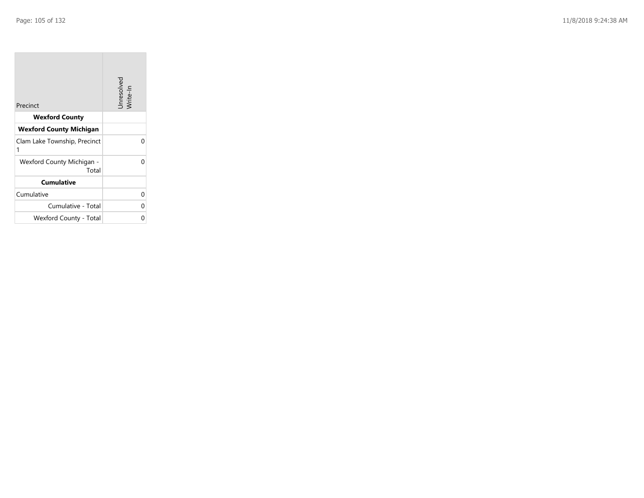**College** 

| Precinct                           | Unresolved<br>Write-In |
|------------------------------------|------------------------|
| <b>Wexford County</b>              |                        |
| <b>Wexford County Michigan</b>     |                        |
| Clam Lake Township, Precinct<br>1  | U                      |
| Wexford County Michigan -<br>Total |                        |
| <b>Cumulative</b>                  |                        |
| Cumulative                         | U                      |
| Cumulative - Total                 | U                      |
| Wexford County - Total             |                        |

the control of the control of the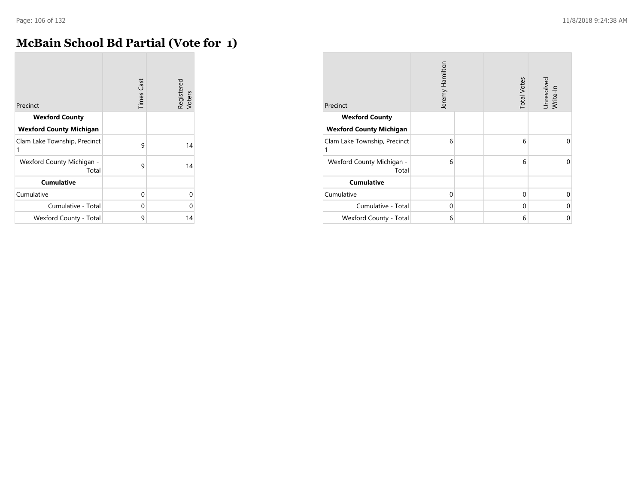**COL** 

### **McBain School Bd Partial (Vote for 1)**

|                                    | <b>Times Cast</b> | Registered<br>Voters |
|------------------------------------|-------------------|----------------------|
| Precinct                           |                   |                      |
| <b>Wexford County</b>              |                   |                      |
| <b>Wexford County Michigan</b>     |                   |                      |
| Clam Lake Township, Precinct<br>1  | 9                 | 14                   |
| Wexford County Michigan -<br>Total | 9                 | 14                   |
| <b>Cumulative</b>                  |                   |                      |
| Cumulative                         | $\Omega$          | 0                    |
| Cumulative - Total                 | 0                 | O                    |
| Wexford County - Total             | 9                 | 14                   |

| Precinct                           | Jeremy Hamilton |  | <b>Total Votes</b> | Unresolved<br>Write-In |
|------------------------------------|-----------------|--|--------------------|------------------------|
| <b>Wexford County</b>              |                 |  |                    |                        |
| <b>Wexford County Michigan</b>     |                 |  |                    |                        |
| Clam Lake Township, Precinct<br>1  | 6               |  | 6                  | $\Omega$               |
| Wexford County Michigan -<br>Total | 6               |  | 6                  | 0                      |
| <b>Cumulative</b>                  |                 |  |                    |                        |
| Cumulative                         | $\Omega$        |  | $\Omega$           | $\Omega$               |
| Cumulative - Total                 | $\mathbf 0$     |  | $\mathbf 0$        | $\Omega$               |
| Wexford County - Total             | 6               |  | 6                  | 0                      |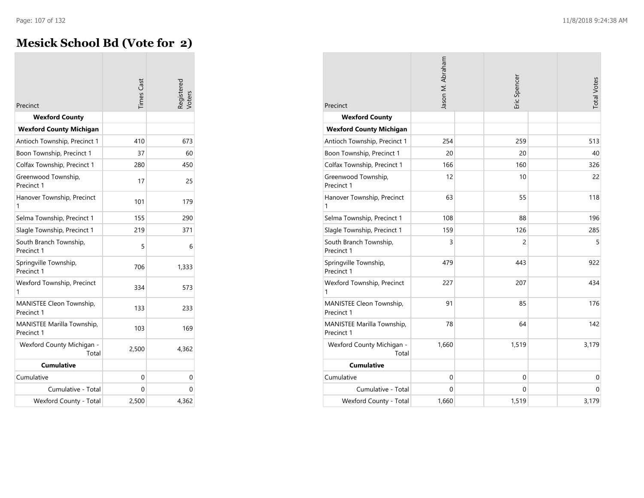**COL** 

### **Mesick School Bd (Vote for 2)**

| Precinct                                 | <b>Times</b> Cast | Registered<br>Voters |
|------------------------------------------|-------------------|----------------------|
| <b>Wexford County</b>                    |                   |                      |
| <b>Wexford County Michigan</b>           |                   |                      |
| Antioch Township, Precinct 1             | 410               | 673                  |
| Boon Township, Precinct 1                | 37                | 60                   |
| Colfax Township, Precinct 1              | 280               | 450                  |
| Greenwood Township,<br>Precinct 1        | 17                | 25                   |
| Hanover Township, Precinct<br>1          | 101               | 179                  |
| Selma Township, Precinct 1               | 155               | 290                  |
| Slagle Township, Precinct 1              | 219               | 371                  |
| South Branch Township,<br>Precinct 1     | 5                 | 6                    |
| Springville Township,<br>Precinct 1      | 706               | 1,333                |
| Wexford Township, Precinct<br>1          | 334               | 573                  |
| MANISTEE Cleon Township,<br>Precinct 1   | 133               | 233                  |
| MANISTEE Marilla Township,<br>Precinct 1 | 103               | 169                  |
| Wexford County Michigan -<br>Total       | 2,500             | 4,362                |
| <b>Cumulative</b>                        |                   |                      |
| Cumulative                               | 0                 | 0                    |
| Cumulative - Total                       | 0                 | 0                    |
| Wexford County - Total                   | 2,500             | 4,362                |

| Precinct                                 | Jason M. Abraham | Eric Spencer   | <b>Total Votes</b> |
|------------------------------------------|------------------|----------------|--------------------|
| <b>Wexford County</b>                    |                  |                |                    |
| <b>Wexford County Michigan</b>           |                  |                |                    |
| Antioch Township, Precinct 1             | 254              | 259            | 513                |
| Boon Township, Precinct 1                | 20               | 20             | 40                 |
| Colfax Township, Precinct 1              | 166              | 160            | 326                |
| Greenwood Township,<br>Precinct 1        | 12               | 10             | 22                 |
| Hanover Township, Precinct<br>1          | 63               | 55             | 118                |
| Selma Township, Precinct 1               | 108              | 88             | 196                |
| Slagle Township, Precinct 1              | 159              | 126            | 285                |
| South Branch Township,<br>Precinct 1     | 3                | $\overline{c}$ | 5                  |
| Springville Township,<br>Precinct 1      | 479              | 443            | 922                |
| Wexford Township, Precinct<br>1          | 227              | 207            | 434                |
| MANISTEE Cleon Township,<br>Precinct 1   | 91               | 85             | 176                |
| MANISTEE Marilla Township,<br>Precinct 1 | 78               | 64             | 142                |
| Wexford County Michigan -<br>Total       | 1,660            | 1,519          | 3,179              |
| <b>Cumulative</b>                        |                  |                |                    |
| Cumulative                               | $\mathbf{0}$     | $\mathbf 0$    | $\mathbf{0}$       |
| Cumulative - Total                       | $\Omega$         | $\Omega$       | $\Omega$           |
| Wexford County - Total                   | 1,660            | 1,519          | 3,179              |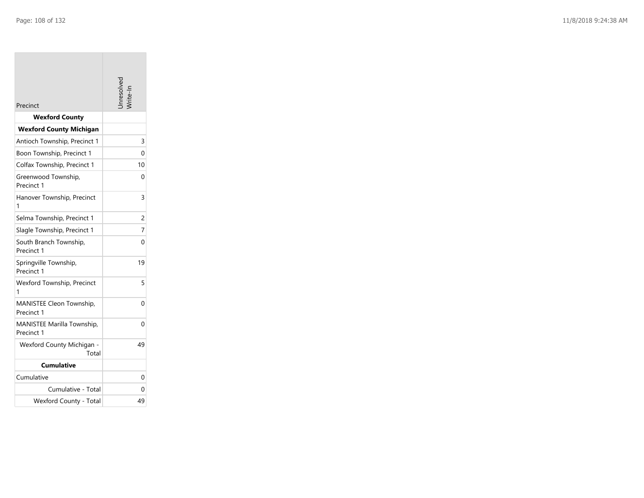| Precinct                                 | Inresolve |
|------------------------------------------|-----------|
| <b>Wexford County</b>                    |           |
| <b>Wexford County Michigan</b>           |           |
| Antioch Township, Precinct 1             | 3         |
| Boon Township, Precinct 1                | 0         |
| Colfax Township, Precinct 1              | 10        |
| Greenwood Township,<br>Precinct 1        | 0         |
| Hanover Township, Precinct<br>1          | 3         |
| Selma Township, Precinct 1               | 2         |
| Slagle Township, Precinct 1              | 7         |
| South Branch Township,<br>Precinct 1     | 0         |
| Springville Township,<br>Precinct 1      | 19        |
| <b>Wexford Township, Precinct</b><br>1   | 5         |
| MANISTEE Cleon Township,<br>Precinct 1   | 0         |
| MANISTEE Marilla Township,<br>Precinct 1 | 0         |
| Wexford County Michigan -<br>Total       | 49        |
| <b>Cumulative</b>                        |           |
| Cumulative                               | 0         |
| Cumulative - Total                       | 0         |
| Wexford County - Total                   | 49        |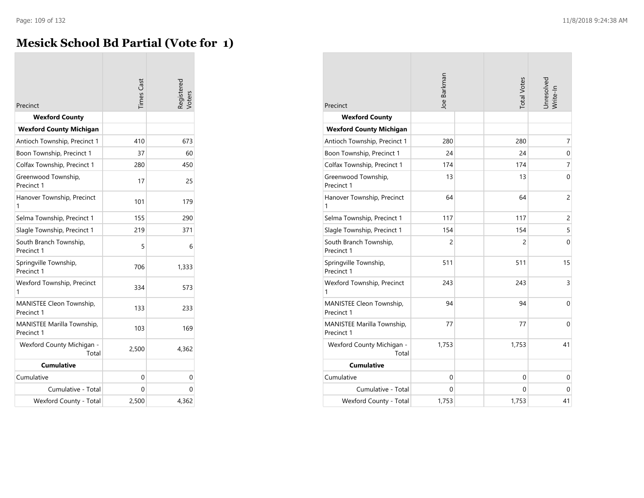### **Mesick School Bd Partial (Vote for 1)**

| Precinct                                 | <b>Times</b> Cast | Registerec<br>/oters |
|------------------------------------------|-------------------|----------------------|
| <b>Wexford County</b>                    |                   |                      |
| <b>Wexford County Michigan</b>           |                   |                      |
| Antioch Township, Precinct 1             | 410               | 673                  |
| Boon Township, Precinct 1                | 37                | 60                   |
| Colfax Township, Precinct 1              | 280               | 450                  |
| Greenwood Township,<br>Precinct 1        | 17                | 25                   |
| Hanover Township, Precinct<br>1          | 101               | 179                  |
| Selma Township, Precinct 1               | 155               | 290                  |
| Slagle Township, Precinct 1              | 219               | 371                  |
| South Branch Township,<br>Precinct 1     | 5                 | 6                    |
| Springville Township,<br>Precinct 1      | 706               | 1,333                |
| Wexford Township, Precinct<br>1          | 334               | 573                  |
| MANISTEE Cleon Township,<br>Precinct 1   | 133               | 233                  |
| MANISTEE Marilla Township,<br>Precinct 1 | 103               | 169                  |
| Wexford County Michigan -<br>Total       | 2,500             | 4,362                |
| <b>Cumulative</b>                        |                   |                      |
| Cumulative                               | 0                 | 0                    |
| Cumulative - Total                       | 0                 | 0                    |
| Wexford County - Total                   | 2,500             | 4,362                |

| Precinct                                 | Joe Barkman    |  | <b>Total Votes</b> | Unresolved<br>Write-In |
|------------------------------------------|----------------|--|--------------------|------------------------|
| <b>Wexford County</b>                    |                |  |                    |                        |
| <b>Wexford County Michigan</b>           |                |  |                    |                        |
| Antioch Township, Precinct 1             | 280            |  | 280                | 7                      |
| Boon Township, Precinct 1                | 24             |  | 24                 | $\boldsymbol{0}$       |
| Colfax Township, Precinct 1              | 174            |  | 174                | 7                      |
| Greenwood Township,<br>Precinct 1        | 13             |  | 13                 | $\Omega$               |
| Hanover Township, Precinct<br>1          | 64             |  | 64                 | $\overline{c}$         |
| Selma Township, Precinct 1               | 117            |  | 117                | $\overline{c}$         |
| Slagle Township, Precinct 1              | 154            |  | 154                | 5                      |
| South Branch Township,<br>Precinct 1     | $\overline{c}$ |  | 2                  | $\Omega$               |
| Springville Township,<br>Precinct 1      | 511            |  | 511                | 15                     |
| Wexford Township, Precinct<br>1          | 243            |  | 243                | 3                      |
| MANISTEE Cleon Township,<br>Precinct 1   | 94             |  | 94                 | 0                      |
| MANISTEE Marilla Township,<br>Precinct 1 | 77             |  | 77                 | $\Omega$               |
| Wexford County Michigan -<br>Total       | 1,753          |  | 1,753              | 41                     |
| <b>Cumulative</b>                        |                |  |                    |                        |
| Cumulative                               | $\mathbf{0}$   |  | 0                  | 0                      |
| Cumulative - Total                       | $\Omega$       |  | 0                  | $\Omega$               |
| Wexford County - Total                   | 1,753          |  | 1,753              | 41                     |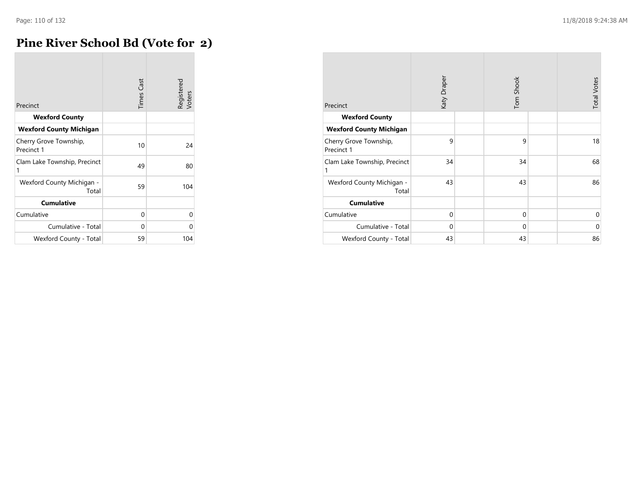### **Pine River School Bd (Vote for 2)**

| Precinct                             | <b>Times Cast</b> | Registered<br>Voters |
|--------------------------------------|-------------------|----------------------|
| <b>Wexford County</b>                |                   |                      |
| <b>Wexford County Michigan</b>       |                   |                      |
| Cherry Grove Township,<br>Precinct 1 | 10                | 24                   |
| Clam Lake Township, Precinct<br>1    | 49                | 80                   |
| Wexford County Michigan -<br>Total   | 59                | 104                  |
| <b>Cumulative</b>                    |                   |                      |
| Cumulative                           | 0                 | U                    |
| Cumulative - Total                   | 0                 |                      |
| Wexford County - Total               | 59                | 104                  |

| Precinct                             | Katy Draper | Tom Shook   | <b>Total Votes</b> |
|--------------------------------------|-------------|-------------|--------------------|
| <b>Wexford County</b>                |             |             |                    |
| <b>Wexford County Michigan</b>       |             |             |                    |
| Cherry Grove Township,<br>Precinct 1 | 9           | 9           | 18                 |
| Clam Lake Township, Precinct         | 34          | 34          | 68                 |
| Wexford County Michigan -<br>Total   | 43          | 43          | 86                 |
| <b>Cumulative</b>                    |             |             |                    |
| Cumulative                           | $\mathbf 0$ | $\mathbf 0$ | $\Omega$           |
| Cumulative - Total                   | $\Omega$    | $\mathbf 0$ | $\Omega$           |
| Wexford County - Total               | 43          | 43          | 86                 |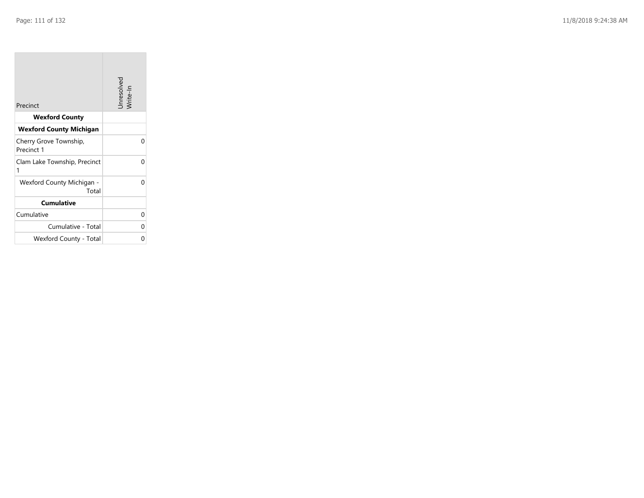| Precinct                             | Unresolved<br>Write-In |
|--------------------------------------|------------------------|
| <b>Wexford County</b>                |                        |
| <b>Wexford County Michigan</b>       |                        |
| Cherry Grove Township,<br>Precinct 1 | O                      |
| Clam Lake Township, Precinct<br>1    | U                      |
| Wexford County Michigan -<br>Total   | U                      |
| <b>Cumulative</b>                    |                        |
| Cumulative                           | O                      |
| Cumulative - Total                   | ∩                      |
| Wexford County - Total               |                        |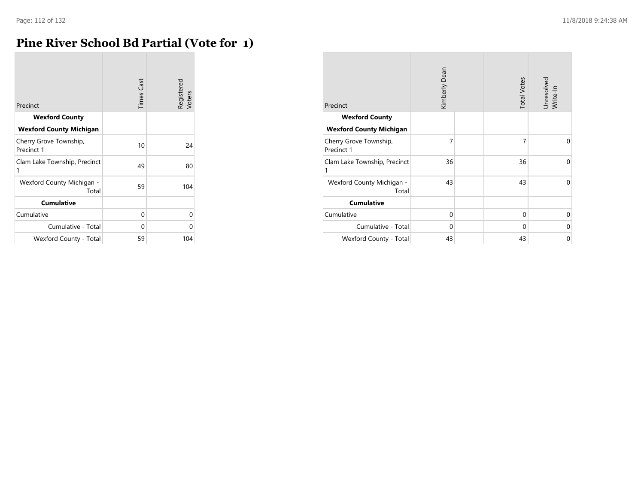### **Pine River School Bd Partial (Vote for 1)**

| Precinct                             | <b>Times Cast</b> | Registered<br>Voters |
|--------------------------------------|-------------------|----------------------|
| <b>Wexford County</b>                |                   |                      |
| <b>Wexford County Michigan</b>       |                   |                      |
| Cherry Grove Township,<br>Precinct 1 | 10                | 24                   |
| Clam Lake Township, Precinct<br>1    | 49                | 80                   |
| Wexford County Michigan -<br>Total   | 59                | 104                  |
| <b>Cumulative</b>                    |                   |                      |
| Cumulative                           | 0                 | U                    |
| Cumulative - Total                   | 0                 |                      |
| Wexford County - Total               | 59                | 104                  |

| Precinct                             | Kimberly Dean |  | <b>Total Votes</b> | Unresolved<br>Write-In |
|--------------------------------------|---------------|--|--------------------|------------------------|
| <b>Wexford County</b>                |               |  |                    |                        |
| <b>Wexford County Michigan</b>       |               |  |                    |                        |
| Cherry Grove Township,<br>Precinct 1 | 7             |  | 7                  | 0                      |
| Clam Lake Township, Precinct<br>1    | 36            |  | 36                 | 0                      |
| Wexford County Michigan -<br>Total   | 43            |  | 43                 | 0                      |
| <b>Cumulative</b>                    |               |  |                    |                        |
| Cumulative                           | 0             |  | 0                  | 0                      |
| Cumulative - Total                   | $\Omega$      |  | $\Omega$           | 0                      |
| Wexford County - Total               | 43            |  | 43                 | 0                      |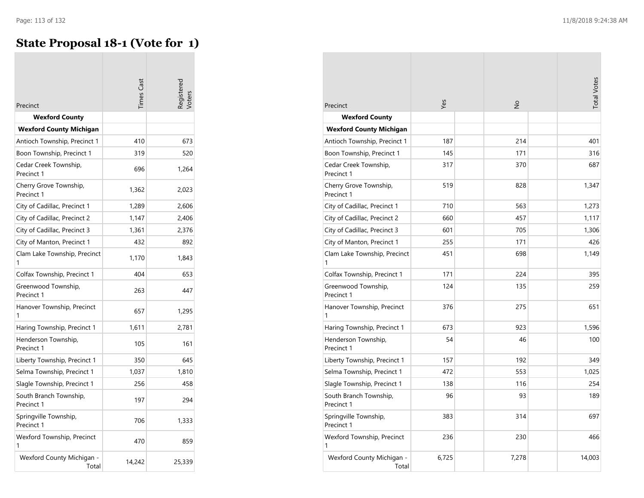$\overline{\phantom{a}}$ 

#### **State Proposal 18-1 (Vote for 1)**

| Precinct                             | imes Cast |        |
|--------------------------------------|-----------|--------|
| <b>Wexford County</b>                |           |        |
| <b>Wexford County Michigan</b>       |           |        |
| Antioch Township, Precinct 1         | 410       | 673    |
| Boon Township, Precinct 1            | 319       | 520    |
| Cedar Creek Township,<br>Precinct 1  | 696       | 1,264  |
| Cherry Grove Township,<br>Precinct 1 | 1,362     | 2,023  |
| City of Cadillac, Precinct 1         | 1,289     | 2,606  |
| City of Cadillac, Precinct 2         | 1,147     | 2,406  |
| City of Cadillac, Precinct 3         | 1,361     | 2,376  |
| City of Manton, Precinct 1           | 432       | 892    |
| Clam Lake Township, Precinct         | 1,170     | 1,843  |
| Colfax Township, Precinct 1          | 404       | 653    |
| Greenwood Township,<br>Precinct 1    | 263       | 447    |
| Hanover Township, Precinct<br>1      | 657       | 1,295  |
| Haring Township, Precinct 1          | 1,611     | 2,781  |
| Henderson Township,<br>Precinct 1    | 105       | 161    |
| Liberty Township, Precinct 1         | 350       | 645    |
| Selma Township, Precinct 1           | 1,037     | 1,810  |
| Slagle Township, Precinct 1          | 256       | 458    |
| South Branch Township,<br>Precinct 1 | 197       | 294    |
| Springville Township,<br>Precinct 1  | 706       | 1,333  |
| Wexford Township, Precinct<br>1      | 470       | 859    |
| Wexford County Michigan -<br>Total   | 14,242    | 25,339 |

| Precinct                             | Yes   | $\frac{1}{2}$ | <b>Total Votes</b> |
|--------------------------------------|-------|---------------|--------------------|
| <b>Wexford County</b>                |       |               |                    |
| <b>Wexford County Michigan</b>       |       |               |                    |
| Antioch Township, Precinct 1         | 187   | 214           | 401                |
| Boon Township, Precinct 1            | 145   | 171           | 316                |
| Cedar Creek Township,<br>Precinct 1  | 317   | 370           | 687                |
| Cherry Grove Township,<br>Precinct 1 | 519   | 828           | 1,347              |
| City of Cadillac, Precinct 1         | 710   | 563           | 1,273              |
| City of Cadillac, Precinct 2         | 660   | 457           | 1,117              |
| City of Cadillac, Precinct 3         | 601   | 705           | 1,306              |
| City of Manton, Precinct 1           | 255   | 171           | 426                |
| Clam Lake Township, Precinct<br>1    | 451   | 698           | 1,149              |
| Colfax Township, Precinct 1          | 171   | 224           | 395                |
| Greenwood Township,<br>Precinct 1    | 124   | 135           | 259                |
| Hanover Township, Precinct<br>1      | 376   | 275           | 651                |
| Haring Township, Precinct 1          | 673   | 923           | 1,596              |
| Henderson Township,<br>Precinct 1    | 54    | 46            | 100                |
| Liberty Township, Precinct 1         | 157   | 192           | 349                |
| Selma Township, Precinct 1           | 472   | 553           | 1,025              |
| Slagle Township, Precinct 1          | 138   | 116           | 254                |
| South Branch Township,<br>Precinct 1 | 96    | 93            | 189                |
| Springville Township,<br>Precinct 1  | 383   | 314           | 697                |
| Wexford Township, Precinct<br>1      | 236   | 230           | 466                |
| Wexford County Michigan -<br>Total   | 6,725 | 7,278         | 14,003             |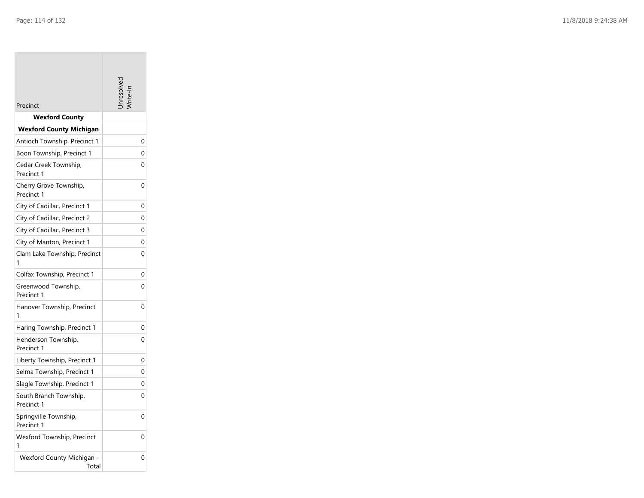| Precinct                             |          |
|--------------------------------------|----------|
| <b>Wexford County</b>                |          |
| <b>Wexford County Michigan</b>       |          |
| Antioch Township, Precinct 1         | 0        |
| Boon Township, Precinct 1            | 0        |
| Cedar Creek Township,<br>Precinct 1  | 0        |
| Cherry Grove Township,<br>Precinct 1 | 0        |
| City of Cadillac, Precinct 1         | 0        |
| City of Cadillac, Precinct 2         | 0        |
| City of Cadillac, Precinct 3         | 0        |
| City of Manton, Precinct 1           | 0        |
| Clam Lake Township, Precinct<br>1    | 0        |
| Colfax Township, Precinct 1          | 0        |
| Greenwood Township,<br>Precinct 1    | 0        |
| Hanover Township, Precinct<br>1      | 0        |
| Haring Township, Precinct 1          | 0        |
| Henderson Township,<br>Precinct 1    | 0        |
| Liberty Township, Precinct 1         | 0        |
| Selma Township, Precinct 1           | $\Omega$ |
| Slagle Township, Precinct 1          | 0        |
| South Branch Township,<br>Precinct 1 | 0        |
| Springville Township,<br>Precinct 1  | 0        |
| Wexford Township, Precinct<br>1      | 0        |
| Wexford County Michigan -<br>Total   | 0        |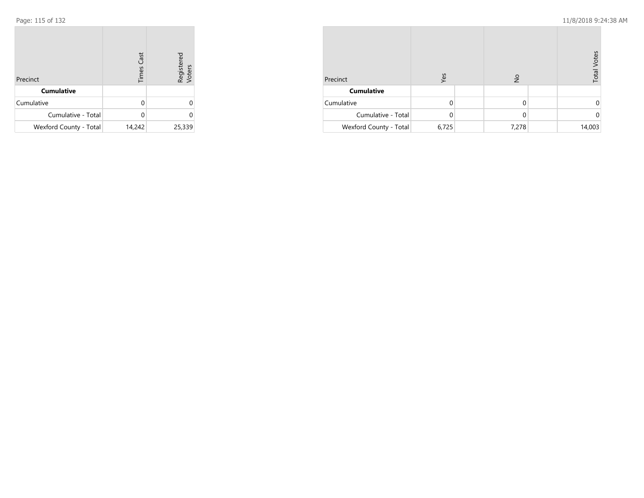| Precinct               | <b>Times Cast</b> | Registered<br>Voters |
|------------------------|-------------------|----------------------|
| <b>Cumulative</b>      |                   |                      |
| Cumulative             | 0                 |                      |
| Cumulative - Total     | U                 | 0                    |
| Wexford County - Total | 14,242            | 25,339               |

| Precinct               | Yes   | $\frac{1}{2}$ | <b>Total Votes</b> |
|------------------------|-------|---------------|--------------------|
| <b>Cumulative</b>      |       |               |                    |
| Cumulative             |       | 0             | 0                  |
| Cumulative - Total     |       | 0             | 0                  |
| Wexford County - Total | 6,725 | 7,278         | 14,003             |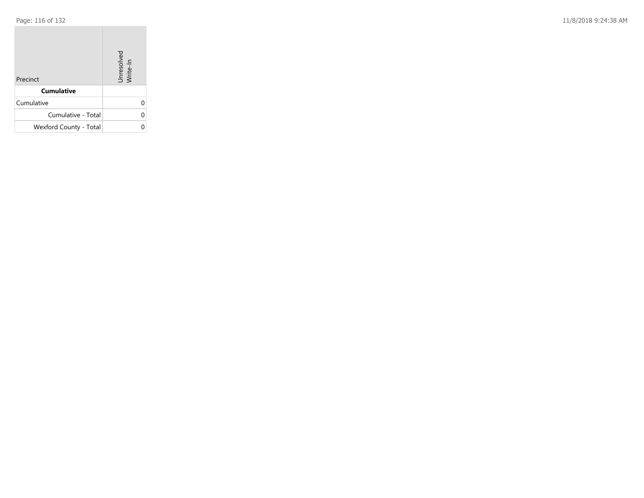Page: 116 of 132 11/8/2018 9:24:38 AM

| Precinct               | Unresolved<br>Write-In |
|------------------------|------------------------|
| <b>Cumulative</b>      |                        |
| Cumulative             |                        |
| Cumulative - Total     |                        |
| Wexford County - Total |                        |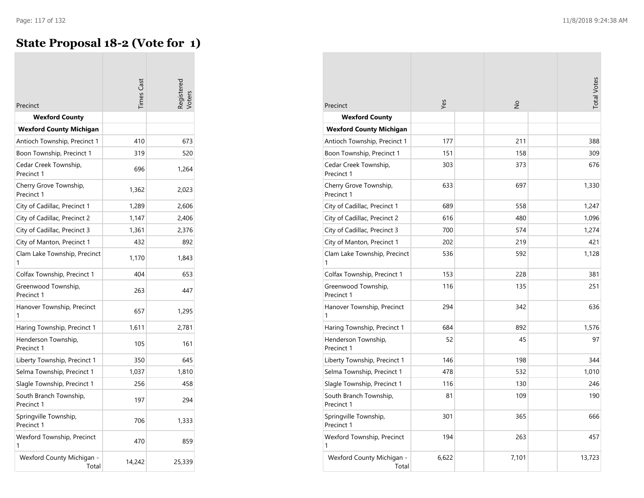$\overline{\phantom{a}}$ 

## **State Proposal 18-2 (Vote for 1)**

| Precinct                             | imes Cast |        |
|--------------------------------------|-----------|--------|
| <b>Wexford County</b>                |           |        |
| <b>Wexford County Michigan</b>       |           |        |
| Antioch Township, Precinct 1         | 410       | 673    |
| Boon Township, Precinct 1            | 319       | 520    |
| Cedar Creek Township,<br>Precinct 1  | 696       | 1,264  |
| Cherry Grove Township,<br>Precinct 1 | 1,362     | 2,023  |
| City of Cadillac, Precinct 1         | 1,289     | 2,606  |
| City of Cadillac, Precinct 2         | 1,147     | 2,406  |
| City of Cadillac, Precinct 3         | 1,361     | 2,376  |
| City of Manton, Precinct 1           | 432       | 892    |
| Clam Lake Township, Precinct<br>1    | 1,170     | 1,843  |
| Colfax Township, Precinct 1          | 404       | 653    |
| Greenwood Township,<br>Precinct 1    | 263       | 447    |
| Hanover Township, Precinct<br>1      | 657       | 1,295  |
| Haring Township, Precinct 1          | 1,611     | 2,781  |
| Henderson Township,<br>Precinct 1    | 105       | 161    |
| Liberty Township, Precinct 1         | 350       | 645    |
| Selma Township, Precinct 1           | 1,037     | 1,810  |
| Slagle Township, Precinct 1          | 256       | 458    |
| South Branch Township,<br>Precinct 1 | 197       | 294    |
| Springville Township,<br>Precinct 1  | 706       | 1,333  |
| Wexford Township, Precinct<br>1      | 470       | 859    |
| Wexford County Michigan -<br>Total   | 14,242    | 25,339 |

| Precinct                             | Yes   | $\frac{1}{2}$ | <b>Total Votes</b> |
|--------------------------------------|-------|---------------|--------------------|
| <b>Wexford County</b>                |       |               |                    |
| <b>Wexford County Michigan</b>       |       |               |                    |
| Antioch Township, Precinct 1         | 177   | 211           | 388                |
| Boon Township, Precinct 1            | 151   | 158           | 309                |
| Cedar Creek Township,<br>Precinct 1  | 303   | 373           | 676                |
| Cherry Grove Township,<br>Precinct 1 | 633   | 697           | 1,330              |
| City of Cadillac, Precinct 1         | 689   | 558           | 1,247              |
| City of Cadillac, Precinct 2         | 616   | 480           | 1,096              |
| City of Cadillac, Precinct 3         | 700   | 574           | 1,274              |
| City of Manton, Precinct 1           | 202   | 219           | 421                |
| Clam Lake Township, Precinct<br>1    | 536   | 592           | 1,128              |
| Colfax Township, Precinct 1          | 153   | 228           | 381                |
| Greenwood Township,<br>Precinct 1    | 116   | 135           | 251                |
| Hanover Township, Precinct<br>1      | 294   | 342           | 636                |
| Haring Township, Precinct 1          | 684   | 892           | 1,576              |
| Henderson Township,<br>Precinct 1    | 52    | 45            | 97                 |
| Liberty Township, Precinct 1         | 146   | 198           | 344                |
| Selma Township, Precinct 1           | 478   | 532           | 1,010              |
| Slagle Township, Precinct 1          | 116   | 130           | 246                |
| South Branch Township,<br>Precinct 1 | 81    | 109           | 190                |
| Springville Township,<br>Precinct 1  | 301   | 365           | 666                |
| Wexford Township, Precinct<br>1      | 194   | 263           | 457                |
| Wexford County Michigan -<br>Total   | 6,622 | 7,101         | 13,723             |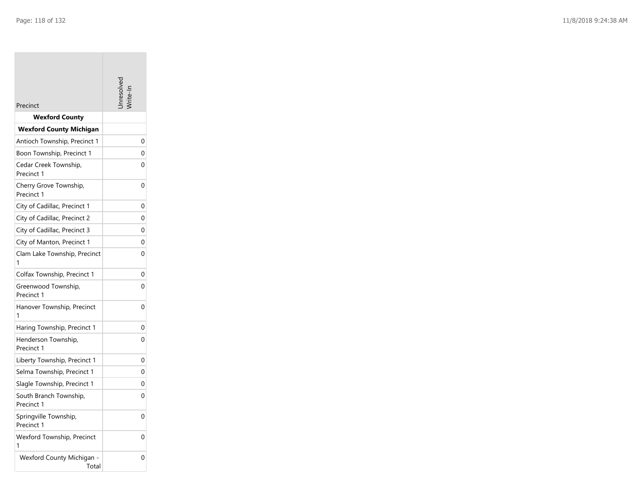**Tara** 

| Precinct                             |          |
|--------------------------------------|----------|
| <b>Wexford County</b>                |          |
| <b>Wexford County Michigan</b>       |          |
| Antioch Township, Precinct 1         | 0        |
| Boon Township, Precinct 1            | 0        |
| Cedar Creek Township,<br>Precinct 1  | 0        |
| Cherry Grove Township,<br>Precinct 1 | 0        |
| City of Cadillac, Precinct 1         | 0        |
| City of Cadillac, Precinct 2         | 0        |
| City of Cadillac, Precinct 3         | 0        |
| City of Manton, Precinct 1           | 0        |
| Clam Lake Township, Precinct<br>1    | 0        |
| Colfax Township, Precinct 1          | 0        |
| Greenwood Township,<br>Precinct 1    | 0        |
| Hanover Township, Precinct<br>1      | 0        |
| Haring Township, Precinct 1          | 0        |
| Henderson Township,<br>Precinct 1    | 0        |
| Liberty Township, Precinct 1         | 0        |
| Selma Township, Precinct 1           | $\Omega$ |
| Slagle Township, Precinct 1          | 0        |
| South Branch Township,<br>Precinct 1 | 0        |
| Springville Township,<br>Precinct 1  | 0        |
| Wexford Township, Precinct<br>1      | 0        |
| Wexford County Michigan -<br>Total   | 0        |

the control of the control of the control of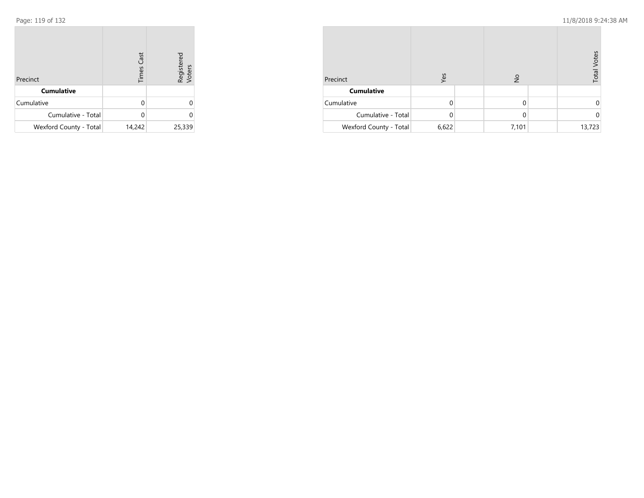| Precinct               | <b>Times Cast</b> | Registered<br>Voters |
|------------------------|-------------------|----------------------|
| <b>Cumulative</b>      |                   |                      |
| Cumulative             | 0                 |                      |
| Cumulative - Total     | U                 | 0                    |
| Wexford County - Total | 14,242            | 25,339               |

| Precinct               | Yes   | $\frac{1}{2}$ | <b>Total Votes</b> |
|------------------------|-------|---------------|--------------------|
| <b>Cumulative</b>      |       |               |                    |
| Cumulative             | U     | 0             |                    |
| Cumulative - Total     |       | 0             |                    |
| Wexford County - Total | 6,622 | 7,101         | 13,723             |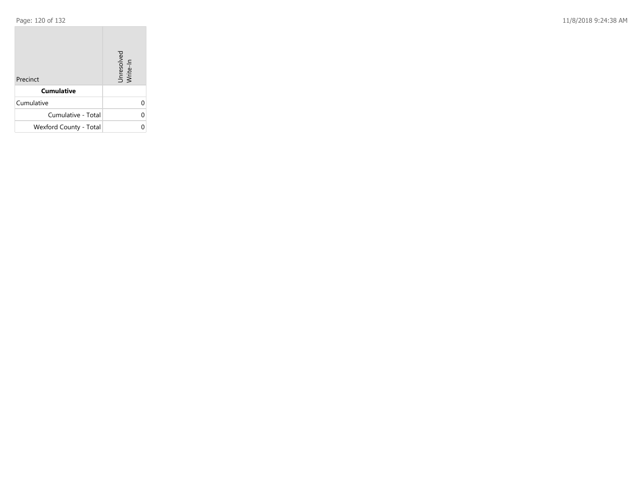Page: 120 of 132 11/8/2018 9:24:38 AM

| Precinct               | Unresolved<br>Write-In |
|------------------------|------------------------|
| <b>Cumulative</b>      |                        |
| Cumulative             |                        |
| Cumulative - Total     |                        |
| Wexford County - Total |                        |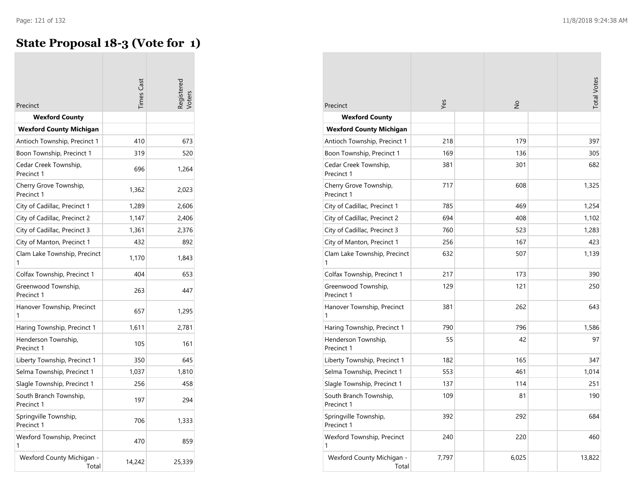# **State Proposal 18-3 (Vote for 1)**

|                                      | imes Cast |        |
|--------------------------------------|-----------|--------|
| Precinct<br><b>Wexford County</b>    |           |        |
| <b>Wexford County Michigan</b>       |           |        |
| Antioch Township, Precinct 1         | 410       | 673    |
| Boon Township, Precinct 1            | 319       | 520    |
| Cedar Creek Township,<br>Precinct 1  | 696       | 1,264  |
| Cherry Grove Township,<br>Precinct 1 | 1,362     | 2,023  |
| City of Cadillac, Precinct 1         | 1,289     | 2,606  |
| City of Cadillac, Precinct 2         | 1,147     | 2,406  |
| City of Cadillac, Precinct 3         | 1,361     | 2,376  |
| City of Manton, Precinct 1           | 432       | 892    |
| Clam Lake Township, Precinct<br>1    | 1,170     | 1,843  |
| Colfax Township, Precinct 1          | 404       | 653    |
| Greenwood Township,<br>Precinct 1    | 263       | 447    |
| Hanover Township, Precinct<br>1      | 657       | 1,295  |
| Haring Township, Precinct 1          | 1,611     | 2,781  |
| Henderson Township,<br>Precinct 1    | 105       | 161    |
| Liberty Township, Precinct 1         | 350       | 645    |
| Selma Township, Precinct 1           | 1,037     | 1,810  |
| Slagle Township, Precinct 1          | 256       | 458    |
| South Branch Township,<br>Precinct 1 | 197       | 294    |
| Springville Township,<br>Precinct 1  | 706       | 1,333  |
| Wexford Township, Precinct<br>1      | 470       | 859    |
| Wexford County Michigan -<br>Total   | 14,242    | 25,339 |

| Precinct                             | Yes   | $\frac{1}{2}$ | <b>Total Votes</b> |
|--------------------------------------|-------|---------------|--------------------|
| <b>Wexford County</b>                |       |               |                    |
| <b>Wexford County Michigan</b>       |       |               |                    |
| Antioch Township, Precinct 1         | 218   | 179           | 397                |
| Boon Township, Precinct 1            | 169   | 136           | 305                |
| Cedar Creek Township,<br>Precinct 1  | 381   | 301           | 682                |
| Cherry Grove Township,<br>Precinct 1 | 717   | 608           | 1,325              |
| City of Cadillac, Precinct 1         | 785   | 469           | 1,254              |
| City of Cadillac, Precinct 2         | 694   | 408           | 1,102              |
| City of Cadillac, Precinct 3         | 760   | 523           | 1,283              |
| City of Manton, Precinct 1           | 256   | 167           | 423                |
| Clam Lake Township, Precinct<br>1    | 632   | 507           | 1,139              |
| Colfax Township, Precinct 1          | 217   | 173           | 390                |
| Greenwood Township,<br>Precinct 1    | 129   | 121           | 250                |
| Hanover Township, Precinct<br>1      | 381   | 262           | 643                |
| Haring Township, Precinct 1          | 790   | 796           | 1,586              |
| Henderson Township,<br>Precinct 1    | 55    | 42            | 97                 |
| Liberty Township, Precinct 1         | 182   | 165           | 347                |
| Selma Township, Precinct 1           | 553   | 461           | 1,014              |
| Slagle Township, Precinct 1          | 137   | 114           | 251                |
| South Branch Township,<br>Precinct 1 | 109   | 81            | 190                |
| Springville Township,<br>Precinct 1  | 392   | 292           | 684                |
| Wexford Township, Precinct<br>1      | 240   | 220           | 460                |
| Wexford County Michigan -<br>Total   | 7,797 | 6,025         | 13,822             |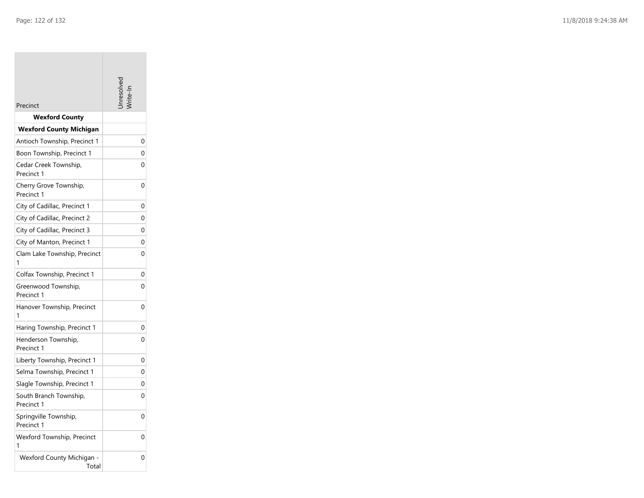**Tara** 

| Precinct                             |          |
|--------------------------------------|----------|
| <b>Wexford County</b>                |          |
| <b>Wexford County Michigan</b>       |          |
| Antioch Township, Precinct 1         | 0        |
| Boon Township, Precinct 1            | 0        |
| Cedar Creek Township,<br>Precinct 1  | 0        |
| Cherry Grove Township,<br>Precinct 1 | 0        |
| City of Cadillac, Precinct 1         | 0        |
| City of Cadillac, Precinct 2         | $\Omega$ |
| City of Cadillac, Precinct 3         | 0        |
| City of Manton, Precinct 1           | 0        |
| Clam Lake Township, Precinct<br>1    | 0        |
| Colfax Township, Precinct 1          | 0        |
| Greenwood Township,<br>Precinct 1    | 0        |
| Hanover Township, Precinct<br>1      | 0        |
| Haring Township, Precinct 1          | 0        |
| Henderson Township,<br>Precinct 1    | 0        |
| Liberty Township, Precinct 1         | 0        |
| Selma Township, Precinct 1           | 0        |
| Slagle Township, Precinct 1          | 0        |
| South Branch Township,<br>Precinct 1 | 0        |
| Springville Township,<br>Precinct 1  | 0        |
| Wexford Township, Precinct<br>1      | 0        |
| Wexford County Michigan -<br>Total   | 0        |

the control of the control of the control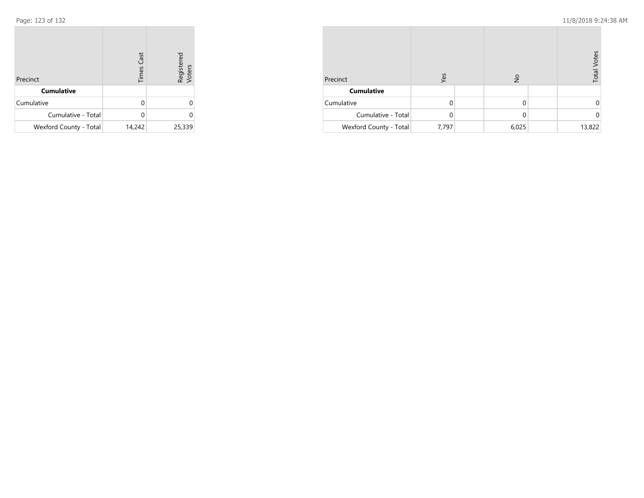| Precinct               | <b>Times Cast</b> | Registered<br>Voters |
|------------------------|-------------------|----------------------|
| <b>Cumulative</b>      |                   |                      |
| Cumulative             | U                 |                      |
| Cumulative - Total     |                   |                      |
| Wexford County - Total | 14,242            | 25,339               |

| Precinct               | Yes   | $\frac{1}{2}$ | <b>Total Votes</b> |
|------------------------|-------|---------------|--------------------|
| <b>Cumulative</b>      |       |               |                    |
| Cumulative             |       | 0             |                    |
| Cumulative - Total     |       | 0             | 0                  |
| Wexford County - Total | 7,797 | 6,025         | 13,822             |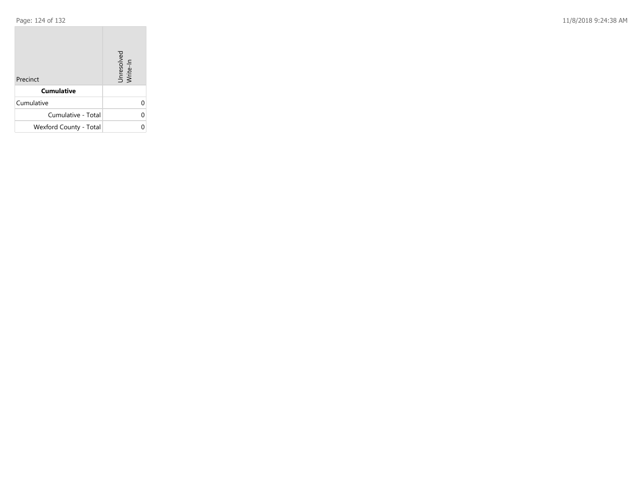Page: 124 of 132 11/8/2018 9:24:38 AM

| Precinct               | Unresolved<br>Write-In |
|------------------------|------------------------|
| <b>Cumulative</b>      |                        |
| Cumulative             |                        |
| Cumulative - Total     |                        |
| Wexford County - Total |                        |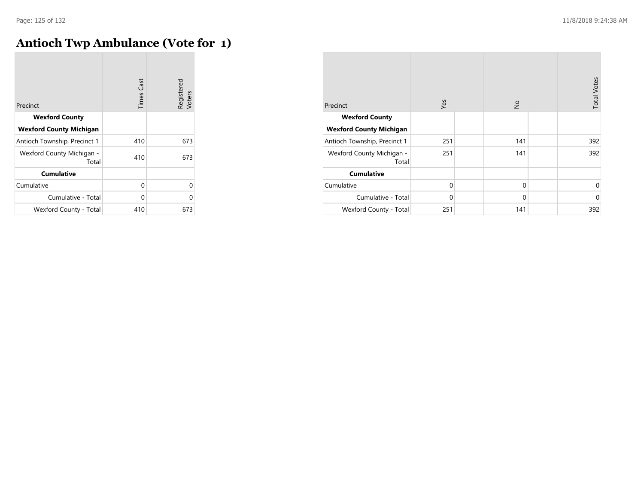$\overline{\phantom{a}}$ 

### **Antioch Twp Ambulance (Vote for 1)**

| Precinct                           | <b>Times Cast</b> | Registered<br>Voters |
|------------------------------------|-------------------|----------------------|
| <b>Wexford County</b>              |                   |                      |
| <b>Wexford County Michigan</b>     |                   |                      |
| Antioch Township, Precinct 1       | 410               | 673                  |
| Wexford County Michigan -<br>Total | 410               | 673                  |
| <b>Cumulative</b>                  |                   |                      |
| Cumulative                         | 0                 | 0                    |
| Cumulative - Total                 | 0                 | 0                    |
| Wexford County - Total             | 410               | 673                  |

| Precinct                           | Yes         | $\frac{1}{2}$ | <b>Total Votes</b> |
|------------------------------------|-------------|---------------|--------------------|
| <b>Wexford County</b>              |             |               |                    |
| <b>Wexford County Michigan</b>     |             |               |                    |
| Antioch Township, Precinct 1       | 251         | 141           | 392                |
| Wexford County Michigan -<br>Total | 251         | 141           | 392                |
| <b>Cumulative</b>                  |             |               |                    |
| Cumulative                         | $\mathbf 0$ | $\mathbf{0}$  | $\mathbf 0$        |
| Cumulative - Total                 | $\Omega$    | $\mathbf{0}$  | $\mathbf 0$        |
| Wexford County - Total             | 251         | 141           | 392                |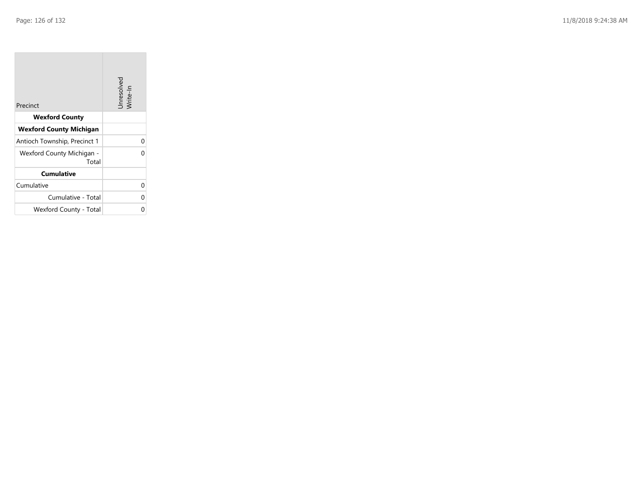| Precinct                           | Unresolved<br>Write-In |
|------------------------------------|------------------------|
| <b>Wexford County</b>              |                        |
| <b>Wexford County Michigan</b>     |                        |
| Antioch Township, Precinct 1       | U                      |
| Wexford County Michigan -<br>Total |                        |
| <b>Cumulative</b>                  |                        |
| Cumulative                         | U                      |
| Cumulative - Total                 | 0                      |
| Wexford County - Total             |                        |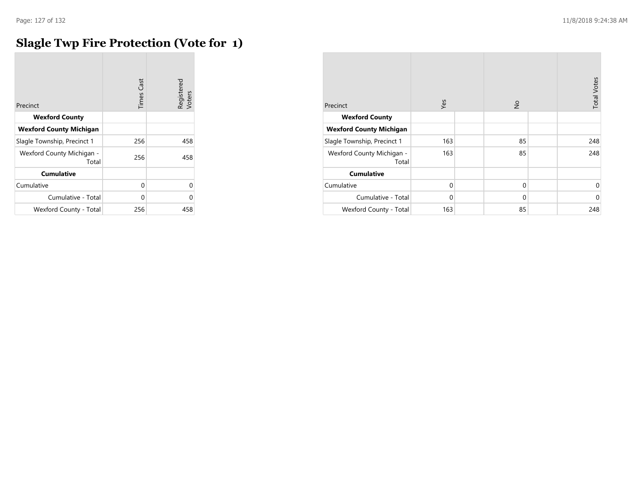### **Slagle Twp Fire Protection (Vote for 1)**

| Precinct                           | <b>Times Cast</b> | Registered<br>Voters |
|------------------------------------|-------------------|----------------------|
| <b>Wexford County</b>              |                   |                      |
| <b>Wexford County Michigan</b>     |                   |                      |
| Slagle Township, Precinct 1        | 256               | 458                  |
| Wexford County Michigan -<br>Total | 256               | 458                  |
| <b>Cumulative</b>                  |                   |                      |
| Cumulative                         | 0                 | 0                    |
| Cumulative - Total                 | 0                 | 0                    |
| Wexford County - Total             | 256               | 458                  |

| Precinct                           | Yes      | $\frac{1}{2}$ | <b>Total Votes</b> |
|------------------------------------|----------|---------------|--------------------|
| <b>Wexford County</b>              |          |               |                    |
| <b>Wexford County Michigan</b>     |          |               |                    |
| Slagle Township, Precinct 1        | 163      | 85            | 248                |
| Wexford County Michigan -<br>Total | 163      | 85            | 248                |
| <b>Cumulative</b>                  |          |               |                    |
| Cumulative                         | 0        | $\mathbf 0$   | 0                  |
| Cumulative - Total                 | $\Omega$ | $\mathbf{0}$  | $\overline{0}$     |
| Wexford County - Total             | 163      | 85            | 248                |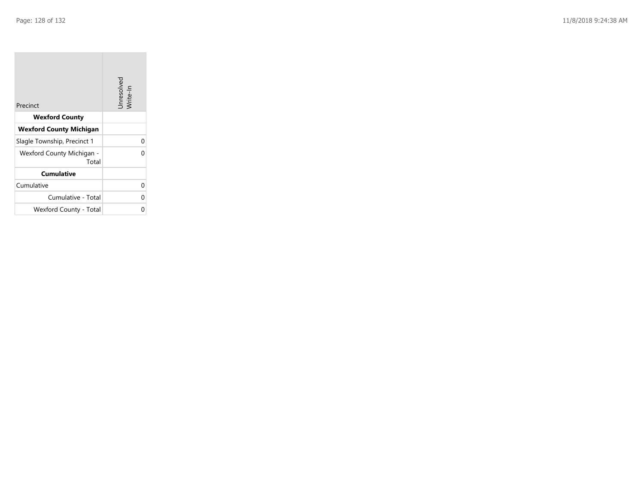| Precinct                           | Unresolved<br>Write-In |
|------------------------------------|------------------------|
| <b>Wexford County</b>              |                        |
| <b>Wexford County Michigan</b>     |                        |
| Slagle Township, Precinct 1        | 0                      |
| Wexford County Michigan -<br>Total | 0                      |
| <b>Cumulative</b>                  |                        |
| Cumulative                         |                        |
| Cumulative - Total                 | 0                      |
| Wexford County - Total             | 0                      |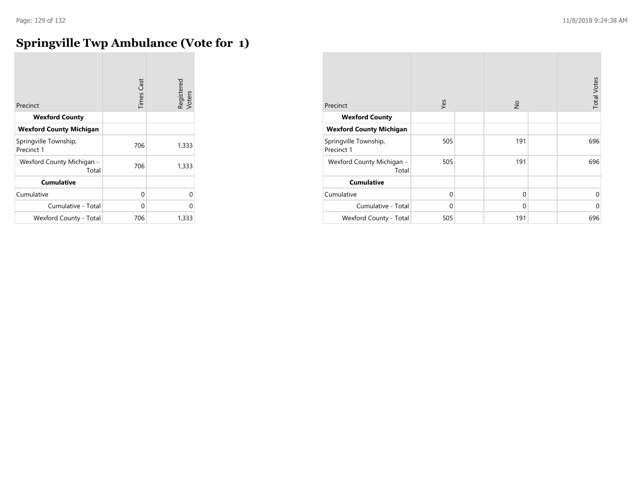### **Springville Twp Ambulance (Vote for 1)**

| Precinct                            | <b>Times Cast</b> | Registered<br>Voters |
|-------------------------------------|-------------------|----------------------|
| <b>Wexford County</b>               |                   |                      |
| <b>Wexford County Michigan</b>      |                   |                      |
| Springville Township,<br>Precinct 1 | 706               | 1,333                |
| Wexford County Michigan -<br>Total  | 706               | 1,333                |
| <b>Cumulative</b>                   |                   |                      |
| Cumulative                          | 0                 | 0                    |
| Cumulative - Total                  | 0                 | O                    |
| Wexford County - Total              | 706               | 1,333                |

| Precinct                            | Yes         | $\frac{1}{2}$ | <b>Total Votes</b> |
|-------------------------------------|-------------|---------------|--------------------|
| <b>Wexford County</b>               |             |               |                    |
| <b>Wexford County Michigan</b>      |             |               |                    |
| Springville Township,<br>Precinct 1 | 505         | 191           | 696                |
| Wexford County Michigan -<br>Total  | 505         | 191           | 696                |
| <b>Cumulative</b>                   |             |               |                    |
| Cumulative                          | $\mathbf 0$ | $\mathbf 0$   | $\mathbf 0$        |
| Cumulative - Total                  | 0           | $\mathbf 0$   | $\mathbf{0}$       |
| Wexford County - Total              | 505         | 191           | 696                |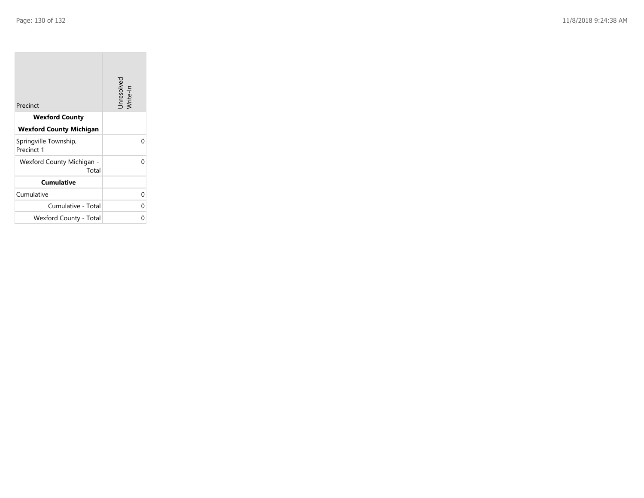| Precinct                            | Unresolved<br>Write-In |
|-------------------------------------|------------------------|
| <b>Wexford County</b>               |                        |
| <b>Wexford County Michigan</b>      |                        |
| Springville Township,<br>Precinct 1 | U                      |
| Wexford County Michigan -<br>Total  |                        |
| <b>Cumulative</b>                   |                        |
| Cumulative                          | U                      |
| Cumulative - Total                  | ∩                      |
| Wexford County - Total              |                        |

the control of the control of the control of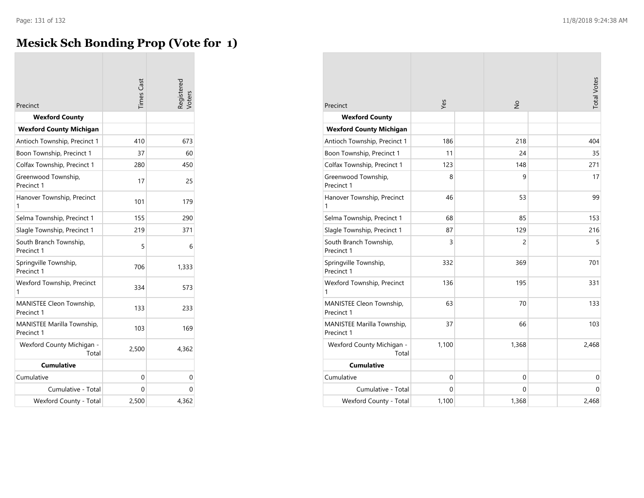## **Mesick Sch Bonding Prop (Vote for 1)**

| Precinct                                        | <b>Times</b> Cast | Registered<br>Voters |
|-------------------------------------------------|-------------------|----------------------|
| <b>Wexford County</b>                           |                   |                      |
| <b>Wexford County Michigan</b>                  |                   |                      |
| Antioch Township, Precinct 1                    | 410               | 673                  |
| Boon Township, Precinct 1                       | 37                | 60                   |
| Colfax Township, Precinct 1                     | 280               | 450                  |
| Greenwood Township,<br>Precinct 1               | 17                | 25                   |
| Hanover Township, Precinct<br>1                 | 101               | 179                  |
| Selma Township, Precinct 1                      | 155               | 290                  |
| Slagle Township, Precinct 1                     | 219               | 371                  |
| South Branch Township,<br>Precinct 1            | 5                 | 6                    |
| Springville Township,<br>Precinct 1             | 706               | 1,333                |
| Wexford Township, Precinct<br>1                 | 334               | 573                  |
| MANISTEE Cleon Township,<br>Precinct 1          | 133               | 233                  |
| <b>MANISTEE Marilla Township,</b><br>Precinct 1 | 103               | 169                  |
| Wexford County Michigan -<br>Total              | 2,500             | 4,362                |
| <b>Cumulative</b>                               |                   |                      |
| Cumulative                                      | 0                 | 0                    |
| Cumulative - Total                              | 0                 | 0                    |
| Wexford County - Total                          | 2,500             | 4,362                |

| Precinct                                 | Yes          | $\frac{1}{2}$ | <b>Total Votes</b> |
|------------------------------------------|--------------|---------------|--------------------|
| <b>Wexford County</b>                    |              |               |                    |
| <b>Wexford County Michigan</b>           |              |               |                    |
| Antioch Township, Precinct 1             | 186          | 218           | 404                |
| Boon Township, Precinct 1                | 11           | 24            | 35                 |
| Colfax Township, Precinct 1              | 123          | 148           | 271                |
| Greenwood Township,<br>Precinct 1        | 8            | 9             | 17                 |
| Hanover Township, Precinct<br>1          | 46           | 53            | 99                 |
| Selma Township, Precinct 1               | 68           | 85            | 153                |
| Slagle Township, Precinct 1              | 87           | 129           | 216                |
| South Branch Township,<br>Precinct 1     | 3            | 2             | 5                  |
| Springville Township,<br>Precinct 1      | 332          | 369           | 701                |
| Wexford Township, Precinct<br>1          | 136          | 195           | 331                |
| MANISTEE Cleon Township,<br>Precinct 1   | 63           | 70            | 133                |
| MANISTEE Marilla Township,<br>Precinct 1 | 37           | 66            | 103                |
| Wexford County Michigan -<br>Total       | 1,100        | 1,368         | 2,468              |
| <b>Cumulative</b>                        |              |               |                    |
| Cumulative                               | $\mathbf{0}$ | 0             | $\mathbf 0$        |
| Cumulative - Total                       | $\Omega$     | 0             | $\Omega$           |
| Wexford County - Total                   | 1,100        | 1,368         | 2,468              |